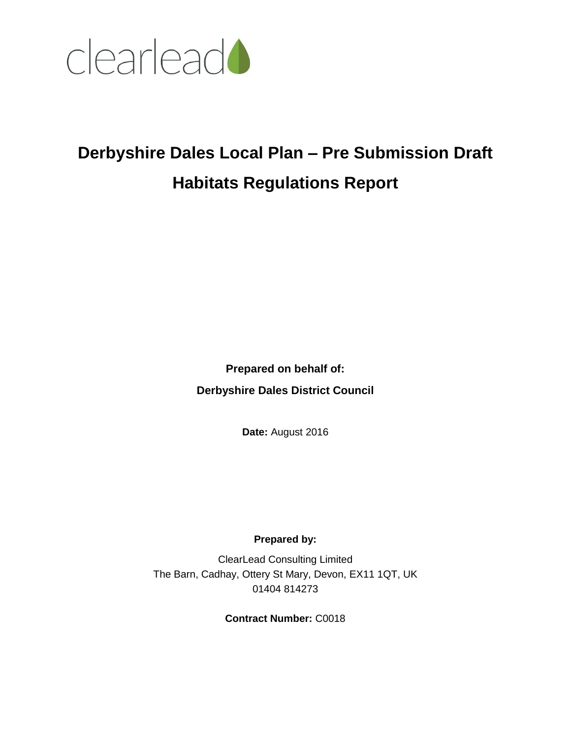

# **Derbyshire Dales Local Plan – Pre Submission Draft Habitats Regulations Report**

**Prepared on behalf of: Derbyshire Dales District Council**

**Date:** August 2016

## **Prepared by:**

ClearLead Consulting Limited The Barn, Cadhay, Ottery St Mary, Devon, EX11 1QT, UK 01404 814273

**Contract Number:** C0018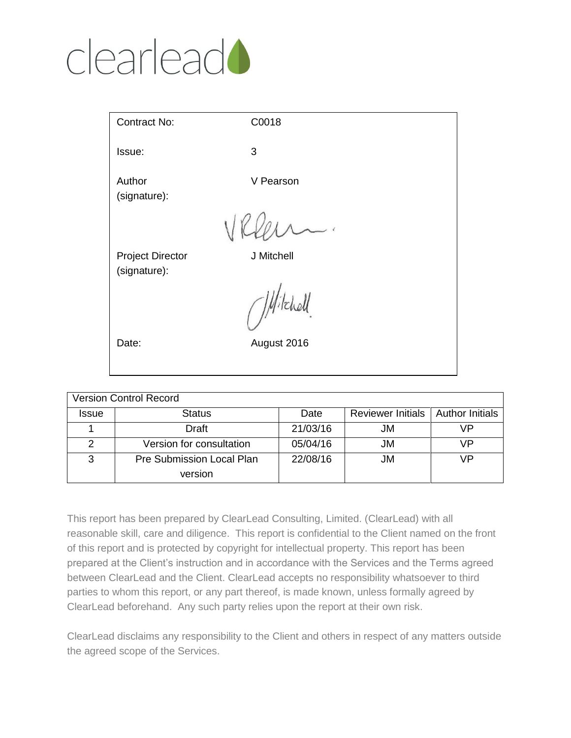# clearlead<sup>1</sup>

| Contract No:                            | C0018       |  |
|-----------------------------------------|-------------|--|
| Issue:                                  | 3           |  |
| Author<br>(signature):                  | V Pearson   |  |
|                                         |             |  |
| <b>Project Director</b><br>(signature): | J Mitchell  |  |
|                                         | Nitchell.   |  |
| Date:                                   | August 2016 |  |
|                                         |             |  |

| <b>Version Control Record</b> |                                  |          |                                     |    |  |  |  |  |  |
|-------------------------------|----------------------------------|----------|-------------------------------------|----|--|--|--|--|--|
| <b>Issue</b>                  | <b>Status</b>                    | Date     | Reviewer Initials   Author Initials |    |  |  |  |  |  |
|                               | Draft                            | 21/03/16 | JM                                  | VP |  |  |  |  |  |
|                               | Version for consultation         | 05/04/16 | JM                                  | VP |  |  |  |  |  |
| 3                             | <b>Pre Submission Local Plan</b> | 22/08/16 | JM                                  | VP |  |  |  |  |  |
|                               | version                          |          |                                     |    |  |  |  |  |  |

This report has been prepared by ClearLead Consulting, Limited. (ClearLead) with all reasonable skill, care and diligence. This report is confidential to the Client named on the front of this report and is protected by copyright for intellectual property. This report has been prepared at the Client's instruction and in accordance with the Services and the Terms agreed between ClearLead and the Client. ClearLead accepts no responsibility whatsoever to third parties to whom this report, or any part thereof, is made known, unless formally agreed by ClearLead beforehand. Any such party relies upon the report at their own risk.

ClearLead disclaims any responsibility to the Client and others in respect of any matters outside the agreed scope of the Services.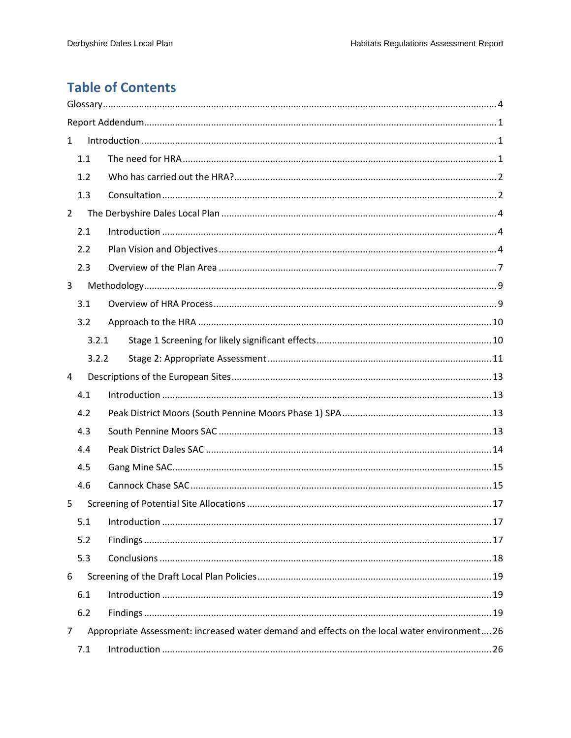# **Table of Contents**

| $\mathbf{1}$   |       |                                                                                              |  |
|----------------|-------|----------------------------------------------------------------------------------------------|--|
|                | 1.1   |                                                                                              |  |
|                | 1.2   |                                                                                              |  |
|                | 1.3   |                                                                                              |  |
| $\overline{2}$ |       |                                                                                              |  |
|                | 2.1   |                                                                                              |  |
|                | 2.2   |                                                                                              |  |
|                | 2.3   |                                                                                              |  |
| 3              |       |                                                                                              |  |
|                | 3.1   |                                                                                              |  |
|                | 3.2   |                                                                                              |  |
|                | 3.2.1 |                                                                                              |  |
|                | 3.2.2 |                                                                                              |  |
| 4              |       |                                                                                              |  |
|                | 4.1   |                                                                                              |  |
|                | 4.2   |                                                                                              |  |
|                | 4.3   |                                                                                              |  |
|                | 4.4   |                                                                                              |  |
|                | 4.5   |                                                                                              |  |
|                | 4.6   |                                                                                              |  |
| 5              |       |                                                                                              |  |
|                | 5.1   |                                                                                              |  |
|                | 5.2   |                                                                                              |  |
|                | 5.3   |                                                                                              |  |
| 6              |       |                                                                                              |  |
|                | 6.1   |                                                                                              |  |
|                | 6.2   |                                                                                              |  |
| 7              |       | Appropriate Assessment: increased water demand and effects on the local water environment 26 |  |
|                | 7.1   |                                                                                              |  |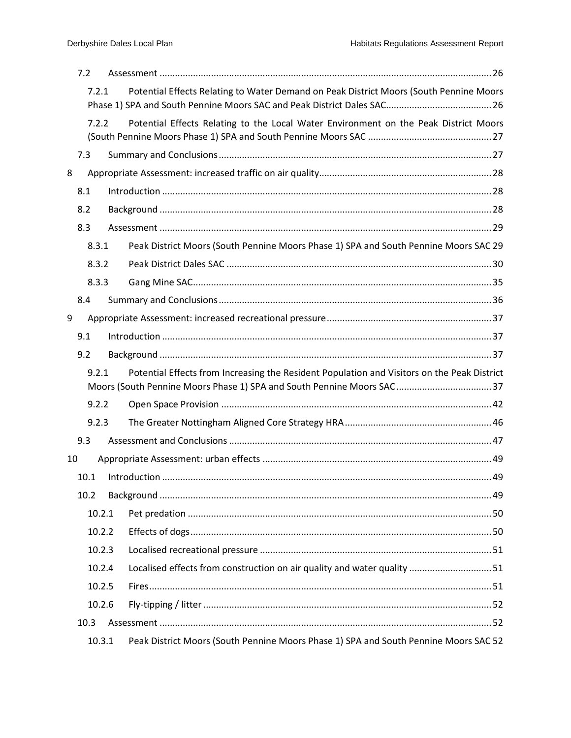|    | 7.2  |        |                                                                                                                                                                      |  |
|----|------|--------|----------------------------------------------------------------------------------------------------------------------------------------------------------------------|--|
|    |      | 7.2.1  | Potential Effects Relating to Water Demand on Peak District Moors (South Pennine Moors                                                                               |  |
|    |      | 7.2.2  | Potential Effects Relating to the Local Water Environment on the Peak District Moors                                                                                 |  |
|    | 7.3  |        |                                                                                                                                                                      |  |
| 8  |      |        |                                                                                                                                                                      |  |
|    | 8.1  |        |                                                                                                                                                                      |  |
|    | 8.2  |        |                                                                                                                                                                      |  |
|    | 8.3  |        |                                                                                                                                                                      |  |
|    |      | 8.3.1  | Peak District Moors (South Pennine Moors Phase 1) SPA and South Pennine Moors SAC 29                                                                                 |  |
|    |      | 8.3.2  |                                                                                                                                                                      |  |
|    |      | 8.3.3  |                                                                                                                                                                      |  |
|    | 8.4  |        |                                                                                                                                                                      |  |
| 9  |      |        |                                                                                                                                                                      |  |
|    | 9.1  |        |                                                                                                                                                                      |  |
|    | 9.2  |        |                                                                                                                                                                      |  |
|    |      | 9.2.1  | Potential Effects from Increasing the Resident Population and Visitors on the Peak District<br>Moors (South Pennine Moors Phase 1) SPA and South Pennine Moors SAC37 |  |
|    |      | 9.2.2  |                                                                                                                                                                      |  |
|    |      | 9.2.3  |                                                                                                                                                                      |  |
|    | 9.3  |        |                                                                                                                                                                      |  |
| 10 |      |        |                                                                                                                                                                      |  |
|    | 10.1 |        |                                                                                                                                                                      |  |
|    | 10.2 |        |                                                                                                                                                                      |  |
|    |      | 10.2.1 |                                                                                                                                                                      |  |
|    |      | 10.2.2 |                                                                                                                                                                      |  |
|    |      | 10.2.3 |                                                                                                                                                                      |  |
|    |      | 10.2.4 | Localised effects from construction on air quality and water quality  51                                                                                             |  |
|    |      | 10.2.5 |                                                                                                                                                                      |  |
|    |      | 10.2.6 |                                                                                                                                                                      |  |
|    | 10.3 |        |                                                                                                                                                                      |  |
|    |      | 10.3.1 | Peak District Moors (South Pennine Moors Phase 1) SPA and South Pennine Moors SAC 52                                                                                 |  |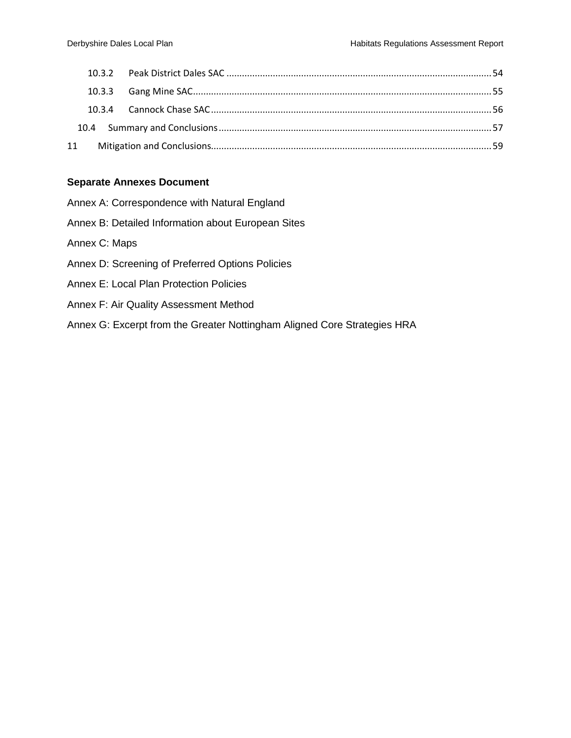#### **Separate Annexes Document**

- Annex A: Correspondence with Natural England
- Annex B: Detailed Information about European Sites
- Annex C: Maps
- Annex D: Screening of Preferred Options Policies
- Annex E: Local Plan Protection Policies
- Annex F: Air Quality Assessment Method
- Annex G: Excerpt from the Greater Nottingham Aligned Core Strategies HRA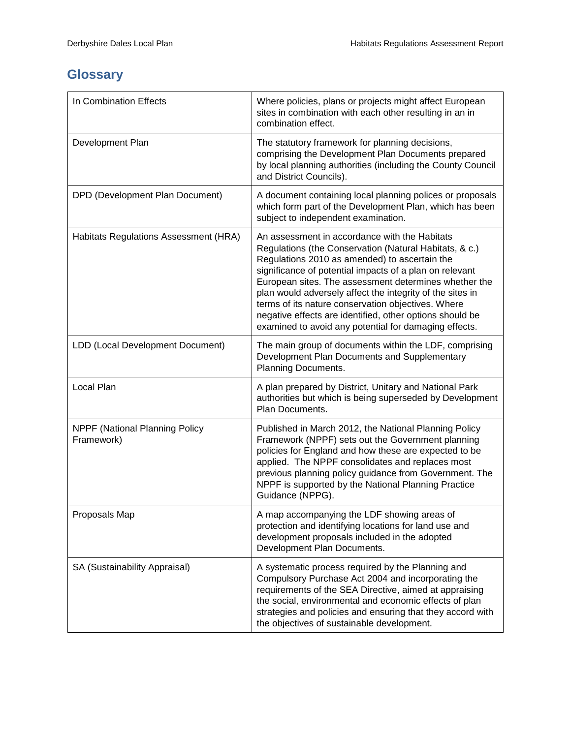# <span id="page-5-0"></span>**Glossary**

| In Combination Effects                       | Where policies, plans or projects might affect European<br>sites in combination with each other resulting in an in<br>combination effect.                                                                                                                                                                                                                                                                                                                                                                            |
|----------------------------------------------|----------------------------------------------------------------------------------------------------------------------------------------------------------------------------------------------------------------------------------------------------------------------------------------------------------------------------------------------------------------------------------------------------------------------------------------------------------------------------------------------------------------------|
| Development Plan                             | The statutory framework for planning decisions,<br>comprising the Development Plan Documents prepared<br>by local planning authorities (including the County Council<br>and District Councils).                                                                                                                                                                                                                                                                                                                      |
| DPD (Development Plan Document)              | A document containing local planning polices or proposals<br>which form part of the Development Plan, which has been<br>subject to independent examination.                                                                                                                                                                                                                                                                                                                                                          |
| Habitats Regulations Assessment (HRA)        | An assessment in accordance with the Habitats<br>Regulations (the Conservation (Natural Habitats, & c.)<br>Regulations 2010 as amended) to ascertain the<br>significance of potential impacts of a plan on relevant<br>European sites. The assessment determines whether the<br>plan would adversely affect the integrity of the sites in<br>terms of its nature conservation objectives. Where<br>negative effects are identified, other options should be<br>examined to avoid any potential for damaging effects. |
| LDD (Local Development Document)             | The main group of documents within the LDF, comprising<br>Development Plan Documents and Supplementary<br>Planning Documents.                                                                                                                                                                                                                                                                                                                                                                                        |
| Local Plan                                   | A plan prepared by District, Unitary and National Park<br>authorities but which is being superseded by Development<br>Plan Documents.                                                                                                                                                                                                                                                                                                                                                                                |
| NPPF (National Planning Policy<br>Framework) | Published in March 2012, the National Planning Policy<br>Framework (NPPF) sets out the Government planning<br>policies for England and how these are expected to be<br>applied. The NPPF consolidates and replaces most<br>previous planning policy guidance from Government. The<br>NPPF is supported by the National Planning Practice<br>Guidance (NPPG).                                                                                                                                                         |
| Proposals Map                                | A map accompanying the LDF showing areas of<br>protection and identifying locations for land use and<br>development proposals included in the adopted<br>Development Plan Documents.                                                                                                                                                                                                                                                                                                                                 |
| SA (Sustainability Appraisal)                | A systematic process required by the Planning and<br>Compulsory Purchase Act 2004 and incorporating the<br>requirements of the SEA Directive, aimed at appraising<br>the social, environmental and economic effects of plan<br>strategies and policies and ensuring that they accord with<br>the objectives of sustainable development.                                                                                                                                                                              |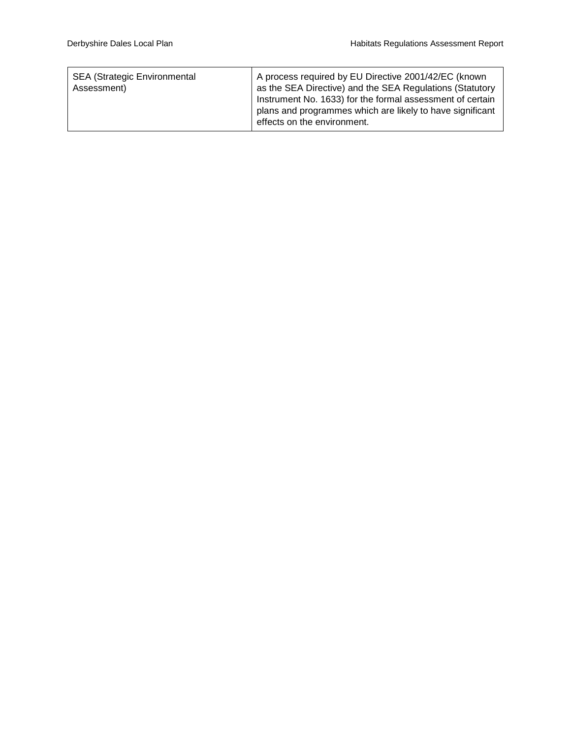| <b>SEA (Strategic Environmental</b><br>Assessment) | A process required by EU Directive 2001/42/EC (known<br>as the SEA Directive) and the SEA Regulations (Statutory<br>Instrument No. 1633) for the formal assessment of certain<br>plans and programmes which are likely to have significant<br>effects on the environment. |
|----------------------------------------------------|---------------------------------------------------------------------------------------------------------------------------------------------------------------------------------------------------------------------------------------------------------------------------|
|----------------------------------------------------|---------------------------------------------------------------------------------------------------------------------------------------------------------------------------------------------------------------------------------------------------------------------------|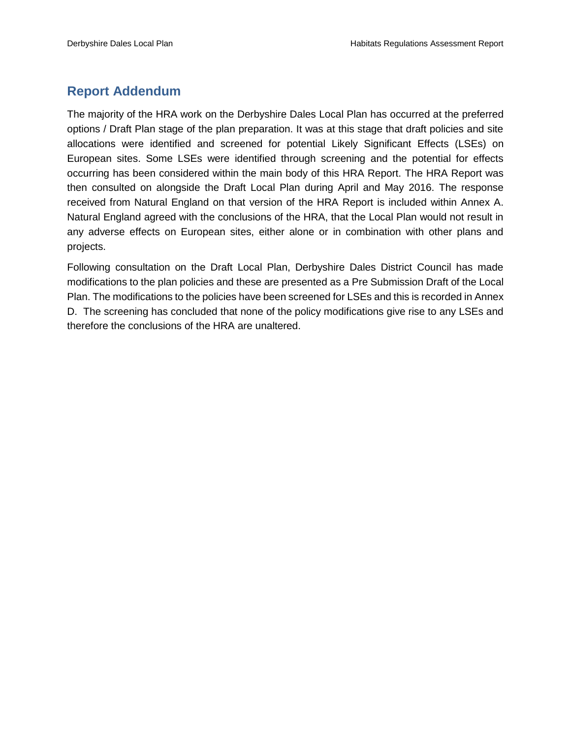## <span id="page-7-0"></span>**Report Addendum**

The majority of the HRA work on the Derbyshire Dales Local Plan has occurred at the preferred options / Draft Plan stage of the plan preparation. It was at this stage that draft policies and site allocations were identified and screened for potential Likely Significant Effects (LSEs) on European sites. Some LSEs were identified through screening and the potential for effects occurring has been considered within the main body of this HRA Report. The HRA Report was then consulted on alongside the Draft Local Plan during April and May 2016. The response received from Natural England on that version of the HRA Report is included within Annex A. Natural England agreed with the conclusions of the HRA, that the Local Plan would not result in any adverse effects on European sites, either alone or in combination with other plans and projects.

Following consultation on the Draft Local Plan, Derbyshire Dales District Council has made modifications to the plan policies and these are presented as a Pre Submission Draft of the Local Plan. The modifications to the policies have been screened for LSEs and this is recorded in Annex D. The screening has concluded that none of the policy modifications give rise to any LSEs and therefore the conclusions of the HRA are unaltered.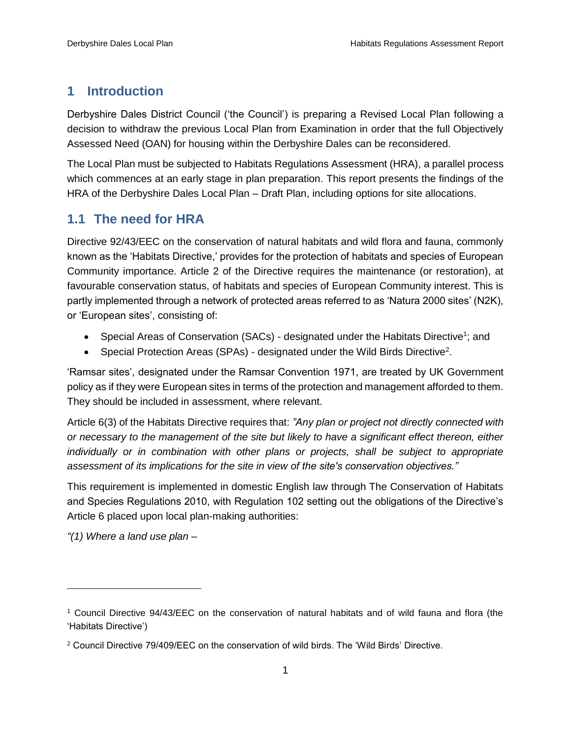## <span id="page-8-0"></span>**1 Introduction**

Derbyshire Dales District Council ('the Council') is preparing a Revised Local Plan following a decision to withdraw the previous Local Plan from Examination in order that the full Objectively Assessed Need (OAN) for housing within the Derbyshire Dales can be reconsidered.

The Local Plan must be subjected to Habitats Regulations Assessment (HRA), a parallel process which commences at an early stage in plan preparation. This report presents the findings of the HRA of the Derbyshire Dales Local Plan – Draft Plan, including options for site allocations.

## <span id="page-8-1"></span>**1.1 The need for HRA**

Directive 92/43/EEC on the conservation of natural habitats and wild flora and fauna, commonly known as the 'Habitats Directive,' provides for the protection of habitats and species of European Community importance. Article 2 of the Directive requires the maintenance (or restoration), at favourable conservation status, of habitats and species of European Community interest. This is partly implemented through a network of protected areas referred to as 'Natura 2000 sites' (N2K), or 'European sites', consisting of:

- Special Areas of Conservation (SACs) designated under the Habitats Directive<sup>1</sup>; and
- Special Protection Areas (SPAs) designated under the Wild Birds Directive<sup>2</sup>.

'Ramsar sites', designated under the Ramsar Convention 1971, are treated by UK Government policy as if they were European sites in terms of the protection and management afforded to them. They should be included in assessment, where relevant.

Article 6(3) of the Habitats Directive requires that: *"Any plan or project not directly connected with or necessary to the management of the site but likely to have a significant effect thereon, either individually or in combination with other plans or projects, shall be subject to appropriate assessment of its implications for the site in view of the site's conservation objectives."*

This requirement is implemented in domestic English law through The Conservation of Habitats and Species Regulations 2010, with Regulation 102 setting out the obligations of the Directive's Article 6 placed upon local plan-making authorities:

*"(1) Where a land use plan –*

 $\overline{a}$ 

<sup>1</sup> Council Directive 94/43/EEC on the conservation of natural habitats and of wild fauna and flora (the 'Habitats Directive')

<sup>2</sup> Council Directive 79/409/EEC on the conservation of wild birds. The 'Wild Birds' Directive.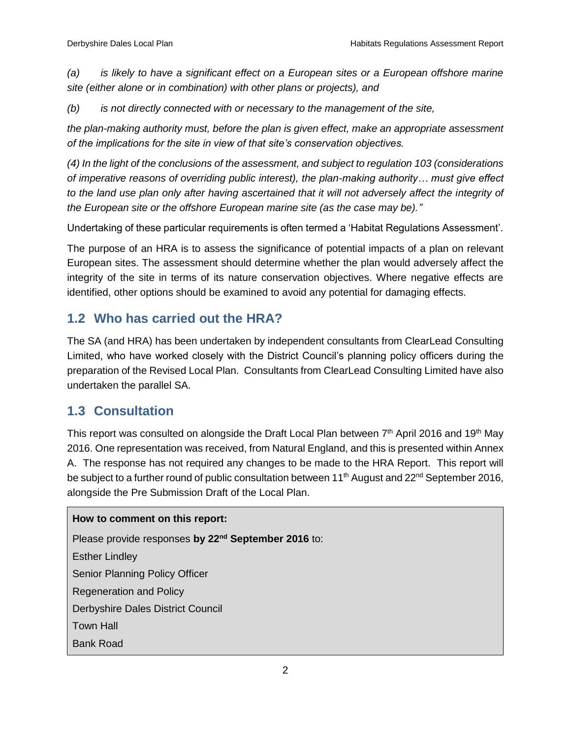*(a) is likely to have a significant effect on a European sites or a European offshore marine site (either alone or in combination) with other plans or projects), and*

*(b) is not directly connected with or necessary to the management of the site,*

*the plan-making authority must, before the plan is given effect, make an appropriate assessment of the implications for the site in view of that site's conservation objectives.*

*(4) In the light of the conclusions of the assessment, and subject to regulation 103 (considerations of imperative reasons of overriding public interest), the plan-making authority… must give effect*  to the land use plan only after having ascertained that it will not adversely affect the integrity of *the European site or the offshore European marine site (as the case may be)."*

Undertaking of these particular requirements is often termed a 'Habitat Regulations Assessment'.

The purpose of an HRA is to assess the significance of potential impacts of a plan on relevant European sites. The assessment should determine whether the plan would adversely affect the integrity of the site in terms of its nature conservation objectives. Where negative effects are identified, other options should be examined to avoid any potential for damaging effects.

## <span id="page-9-0"></span>**1.2 Who has carried out the HRA?**

The SA (and HRA) has been undertaken by independent consultants from ClearLead Consulting Limited, who have worked closely with the District Council's planning policy officers during the preparation of the Revised Local Plan. Consultants from ClearLead Consulting Limited have also undertaken the parallel SA.

## <span id="page-9-1"></span>**1.3 Consultation**

This report was consulted on alongside the Draft Local Plan between 7<sup>th</sup> April 2016 and 19<sup>th</sup> May 2016. One representation was received, from Natural England, and this is presented within Annex A. The response has not required any changes to be made to the HRA Report. This report will be subject to a further round of public consultation between 11<sup>th</sup> August and 22<sup>nd</sup> September 2016, alongside the Pre Submission Draft of the Local Plan.

#### **How to comment on this report:**

Please provide responses by 22<sup>nd</sup> September 2016 to: Esther Lindley Senior Planning Policy Officer Regeneration and Policy Derbyshire Dales District Council Town Hall Bank Road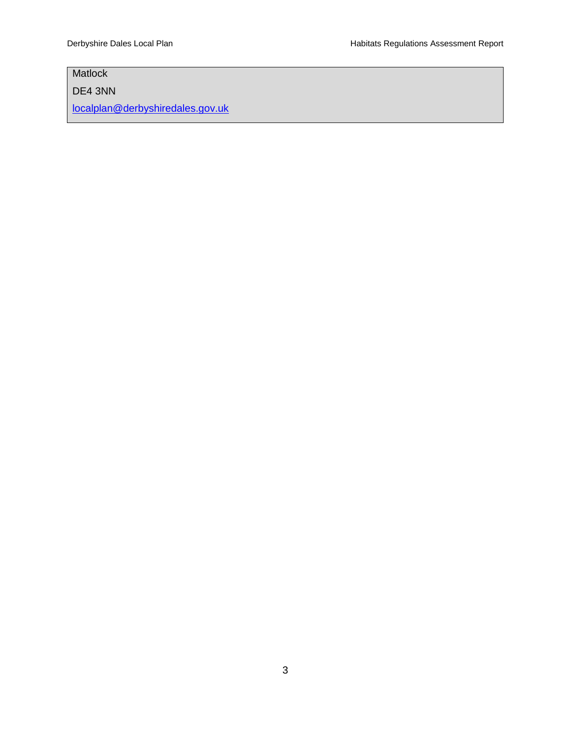# **Matlock**

DE4 3NN

[localplan@derbyshiredales.gov.uk](mailto:localplan@derbyshiredales.gov.uk)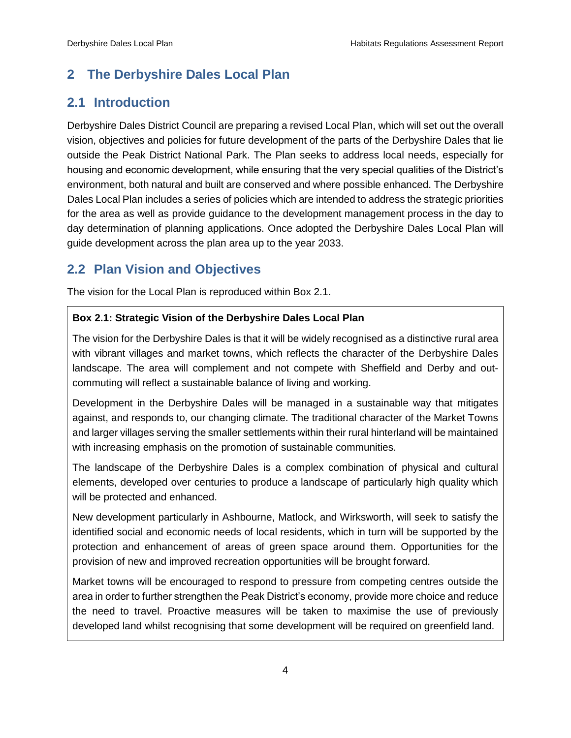## <span id="page-11-0"></span>**2 The Derbyshire Dales Local Plan**

## <span id="page-11-1"></span>**2.1 Introduction**

Derbyshire Dales District Council are preparing a revised Local Plan, which will set out the overall vision, objectives and policies for future development of the parts of the Derbyshire Dales that lie outside the Peak District National Park. The Plan seeks to address local needs, especially for housing and economic development, while ensuring that the very special qualities of the District's environment, both natural and built are conserved and where possible enhanced. The Derbyshire Dales Local Plan includes a series of policies which are intended to address the strategic priorities for the area as well as provide guidance to the development management process in the day to day determination of planning applications. Once adopted the Derbyshire Dales Local Plan will guide development across the plan area up to the year 2033.

## <span id="page-11-2"></span>**2.2 Plan Vision and Objectives**

The vision for the Local Plan is reproduced within Box 2.1.

#### **Box 2.1: Strategic Vision of the Derbyshire Dales Local Plan**

The vision for the Derbyshire Dales is that it will be widely recognised as a distinctive rural area with vibrant villages and market towns, which reflects the character of the Derbyshire Dales landscape. The area will complement and not compete with Sheffield and Derby and outcommuting will reflect a sustainable balance of living and working.

Development in the Derbyshire Dales will be managed in a sustainable way that mitigates against, and responds to, our changing climate. The traditional character of the Market Towns and larger villages serving the smaller settlements within their rural hinterland will be maintained with increasing emphasis on the promotion of sustainable communities.

The landscape of the Derbyshire Dales is a complex combination of physical and cultural elements, developed over centuries to produce a landscape of particularly high quality which will be protected and enhanced.

New development particularly in Ashbourne, Matlock, and Wirksworth, will seek to satisfy the identified social and economic needs of local residents, which in turn will be supported by the protection and enhancement of areas of green space around them. Opportunities for the provision of new and improved recreation opportunities will be brought forward.

Market towns will be encouraged to respond to pressure from competing centres outside the area in order to further strengthen the Peak District's economy, provide more choice and reduce the need to travel. Proactive measures will be taken to maximise the use of previously developed land whilst recognising that some development will be required on greenfield land.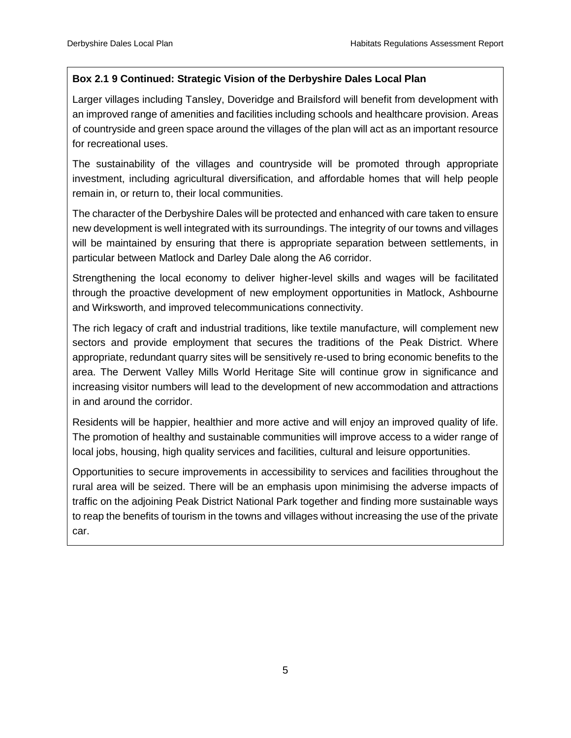## **Box 2.1 9 Continued: Strategic Vision of the Derbyshire Dales Local Plan**

Larger villages including Tansley, Doveridge and Brailsford will benefit from development with an improved range of amenities and facilities including schools and healthcare provision. Areas of countryside and green space around the villages of the plan will act as an important resource for recreational uses.

The sustainability of the villages and countryside will be promoted through appropriate investment, including agricultural diversification, and affordable homes that will help people remain in, or return to, their local communities.

The character of the Derbyshire Dales will be protected and enhanced with care taken to ensure new development is well integrated with its surroundings. The integrity of our towns and villages will be maintained by ensuring that there is appropriate separation between settlements, in particular between Matlock and Darley Dale along the A6 corridor.

Strengthening the local economy to deliver higher-level skills and wages will be facilitated through the proactive development of new employment opportunities in Matlock, Ashbourne and Wirksworth, and improved telecommunications connectivity.

The rich legacy of craft and industrial traditions, like textile manufacture, will complement new sectors and provide employment that secures the traditions of the Peak District. Where appropriate, redundant quarry sites will be sensitively re-used to bring economic benefits to the area. The Derwent Valley Mills World Heritage Site will continue grow in significance and increasing visitor numbers will lead to the development of new accommodation and attractions in and around the corridor.

Residents will be happier, healthier and more active and will enjoy an improved quality of life. The promotion of healthy and sustainable communities will improve access to a wider range of local jobs, housing, high quality services and facilities, cultural and leisure opportunities.

Opportunities to secure improvements in accessibility to services and facilities throughout the rural area will be seized. There will be an emphasis upon minimising the adverse impacts of traffic on the adjoining Peak District National Park together and finding more sustainable ways to reap the benefits of tourism in the towns and villages without increasing the use of the private car.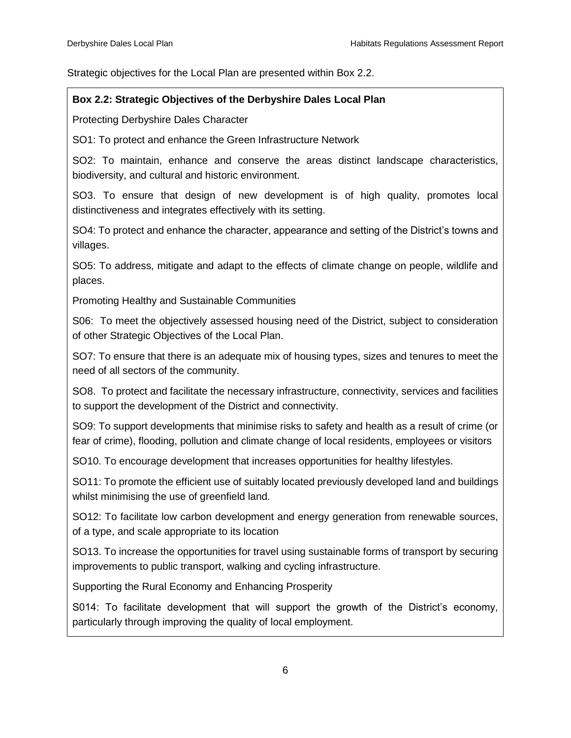Strategic objectives for the Local Plan are presented within Box 2.2.

### **Box 2.2: Strategic Objectives of the Derbyshire Dales Local Plan**

Protecting Derbyshire Dales Character

SO1: To protect and enhance the Green Infrastructure Network

SO2: To maintain, enhance and conserve the areas distinct landscape characteristics, biodiversity, and cultural and historic environment.

SO3. To ensure that design of new development is of high quality, promotes local distinctiveness and integrates effectively with its setting.

SO4: To protect and enhance the character, appearance and setting of the District's towns and villages.

SO5: To address, mitigate and adapt to the effects of climate change on people, wildlife and places.

Promoting Healthy and Sustainable Communities

S06: To meet the objectively assessed housing need of the District, subject to consideration of other Strategic Objectives of the Local Plan.

SO7: To ensure that there is an adequate mix of housing types, sizes and tenures to meet the need of all sectors of the community.

SO8. To protect and facilitate the necessary infrastructure, connectivity, services and facilities to support the development of the District and connectivity.

SO9: To support developments that minimise risks to safety and health as a result of crime (or fear of crime), flooding, pollution and climate change of local residents, employees or visitors

SO10. To encourage development that increases opportunities for healthy lifestyles.

SO11: To promote the efficient use of suitably located previously developed land and buildings whilst minimising the use of greenfield land.

SO12: To facilitate low carbon development and energy generation from renewable sources, of a type, and scale appropriate to its location

SO13. To increase the opportunities for travel using sustainable forms of transport by securing improvements to public transport, walking and cycling infrastructure.

Supporting the Rural Economy and Enhancing Prosperity

S014: To facilitate development that will support the growth of the District's economy, particularly through improving the quality of local employment.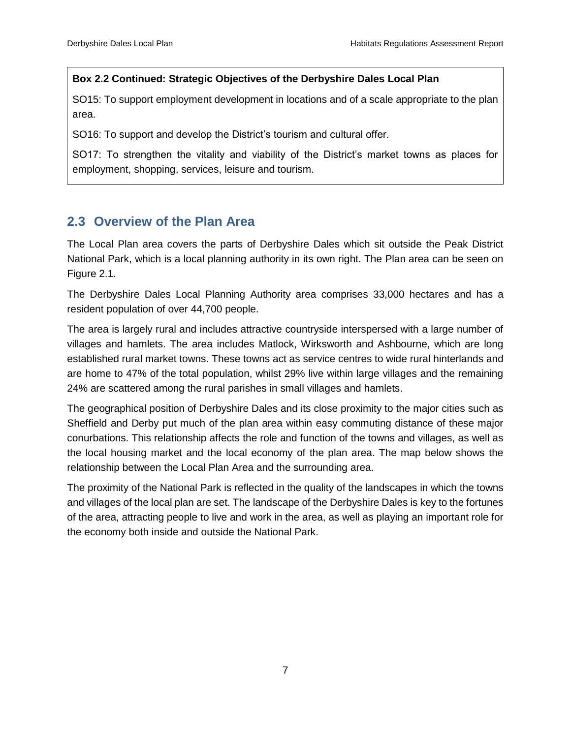#### **Box 2.2 Continued: Strategic Objectives of the Derbyshire Dales Local Plan**

SO15: To support employment development in locations and of a scale appropriate to the plan area.

SO16: To support and develop the District's tourism and cultural offer.

SO17: To strengthen the vitality and viability of the District's market towns as places for employment, shopping, services, leisure and tourism.

## <span id="page-14-0"></span>**2.3 Overview of the Plan Area**

The Local Plan area covers the parts of Derbyshire Dales which sit outside the Peak District National Park, which is a local planning authority in its own right. The Plan area can be seen on Figure 2.1.

The Derbyshire Dales Local Planning Authority area comprises 33,000 hectares and has a resident population of over 44,700 people.

The area is largely rural and includes attractive countryside interspersed with a large number of villages and hamlets. The area includes Matlock, Wirksworth and Ashbourne, which are long established rural market towns. These towns act as service centres to wide rural hinterlands and are home to 47% of the total population, whilst 29% live within large villages and the remaining 24% are scattered among the rural parishes in small villages and hamlets.

The geographical position of Derbyshire Dales and its close proximity to the major cities such as Sheffield and Derby put much of the plan area within easy commuting distance of these major conurbations. This relationship affects the role and function of the towns and villages, as well as the local housing market and the local economy of the plan area. The map below shows the relationship between the Local Plan Area and the surrounding area.

The proximity of the National Park is reflected in the quality of the landscapes in which the towns and villages of the local plan are set. The landscape of the Derbyshire Dales is key to the fortunes of the area, attracting people to live and work in the area, as well as playing an important role for the economy both inside and outside the National Park.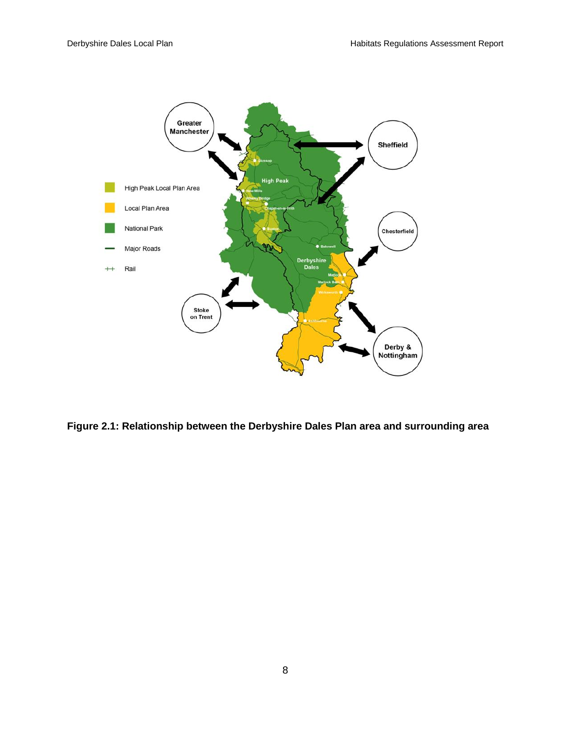

**Figure 2.1: Relationship between the Derbyshire Dales Plan area and surrounding area**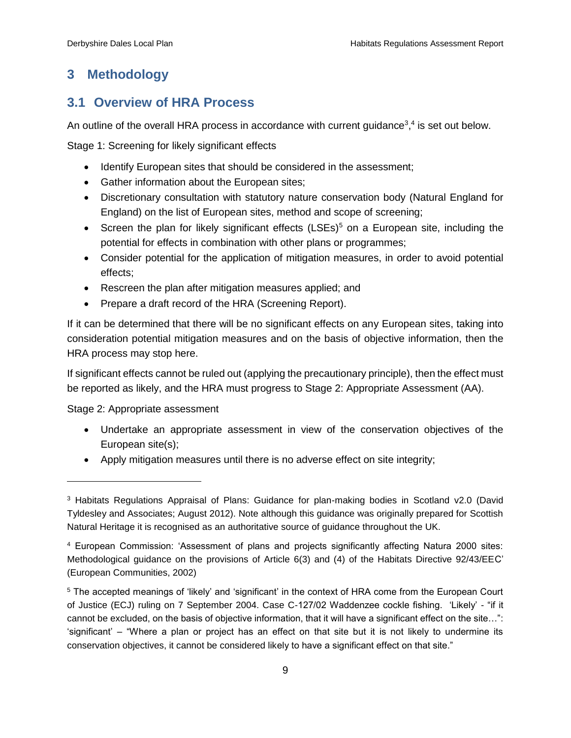# <span id="page-16-0"></span>**3 Methodology**

## <span id="page-16-1"></span>**3.1 Overview of HRA Process**

An outline of the overall HRA process in accordance with current guidance<sup>3</sup>,<sup>4</sup> is set out below.

Stage 1: Screening for likely significant effects

- Identify European sites that should be considered in the assessment;
- Gather information about the European sites;
- Discretionary consultation with statutory nature conservation body (Natural England for England) on the list of European sites, method and scope of screening;
- Screen the plan for likely significant effects (LSEs)<sup>5</sup> on a European site, including the potential for effects in combination with other plans or programmes;
- Consider potential for the application of mitigation measures, in order to avoid potential effects;
- Rescreen the plan after mitigation measures applied; and
- Prepare a draft record of the HRA (Screening Report).

If it can be determined that there will be no significant effects on any European sites, taking into consideration potential mitigation measures and on the basis of objective information, then the HRA process may stop here.

If significant effects cannot be ruled out (applying the precautionary principle), then the effect must be reported as likely, and the HRA must progress to Stage 2: Appropriate Assessment (AA).

Stage 2: Appropriate assessment

 $\overline{a}$ 

- Undertake an appropriate assessment in view of the conservation objectives of the European site(s);
- Apply mitigation measures until there is no adverse effect on site integrity;

<sup>3</sup> Habitats Regulations Appraisal of Plans: Guidance for plan-making bodies in Scotland v2.0 (David Tyldesley and Associates; August 2012). Note although this guidance was originally prepared for Scottish Natural Heritage it is recognised as an authoritative source of guidance throughout the UK.

<sup>4</sup> European Commission: 'Assessment of plans and projects significantly affecting Natura 2000 sites: Methodological guidance on the provisions of Article 6(3) and (4) of the Habitats Directive 92/43/EEC' (European Communities, 2002)

<sup>5</sup> The accepted meanings of 'likely' and 'significant' in the context of HRA come from the European Court of Justice (ECJ) ruling on 7 September 2004. Case C-127/02 Waddenzee cockle fishing. 'Likely' - "if it cannot be excluded, on the basis of objective information, that it will have a significant effect on the site…": 'significant' – "Where a plan or project has an effect on that site but it is not likely to undermine its conservation objectives, it cannot be considered likely to have a significant effect on that site."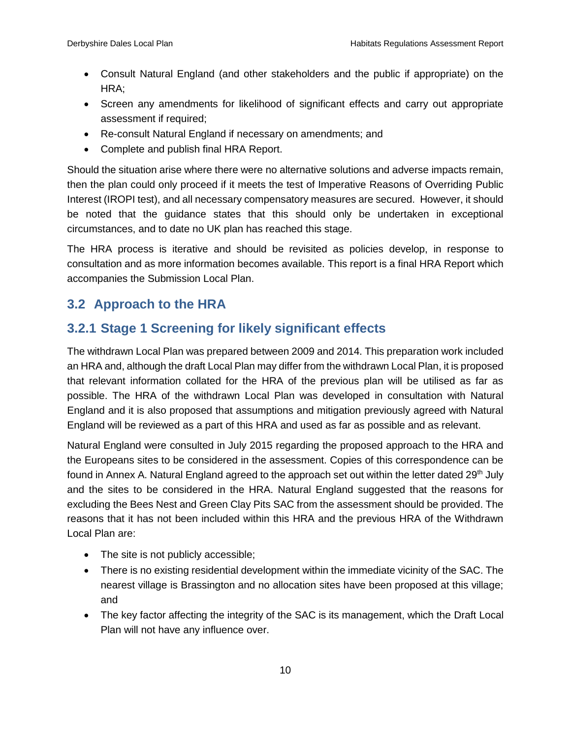- Consult Natural England (and other stakeholders and the public if appropriate) on the HRA;
- Screen any amendments for likelihood of significant effects and carry out appropriate assessment if required;
- Re-consult Natural England if necessary on amendments; and
- Complete and publish final HRA Report.

Should the situation arise where there were no alternative solutions and adverse impacts remain, then the plan could only proceed if it meets the test of Imperative Reasons of Overriding Public Interest (IROPI test), and all necessary compensatory measures are secured. However, it should be noted that the guidance states that this should only be undertaken in exceptional circumstances, and to date no UK plan has reached this stage.

The HRA process is iterative and should be revisited as policies develop, in response to consultation and as more information becomes available. This report is a final HRA Report which accompanies the Submission Local Plan.

## <span id="page-17-0"></span>**3.2 Approach to the HRA**

## <span id="page-17-1"></span>**3.2.1 Stage 1 Screening for likely significant effects**

The withdrawn Local Plan was prepared between 2009 and 2014. This preparation work included an HRA and, although the draft Local Plan may differ from the withdrawn Local Plan, it is proposed that relevant information collated for the HRA of the previous plan will be utilised as far as possible. The HRA of the withdrawn Local Plan was developed in consultation with Natural England and it is also proposed that assumptions and mitigation previously agreed with Natural England will be reviewed as a part of this HRA and used as far as possible and as relevant.

Natural England were consulted in July 2015 regarding the proposed approach to the HRA and the Europeans sites to be considered in the assessment. Copies of this correspondence can be found in Annex A. Natural England agreed to the approach set out within the letter dated 29<sup>th</sup> July and the sites to be considered in the HRA. Natural England suggested that the reasons for excluding the Bees Nest and Green Clay Pits SAC from the assessment should be provided. The reasons that it has not been included within this HRA and the previous HRA of the Withdrawn Local Plan are:

- The site is not publicly accessible;
- There is no existing residential development within the immediate vicinity of the SAC. The nearest village is Brassington and no allocation sites have been proposed at this village; and
- The key factor affecting the integrity of the SAC is its management, which the Draft Local Plan will not have any influence over.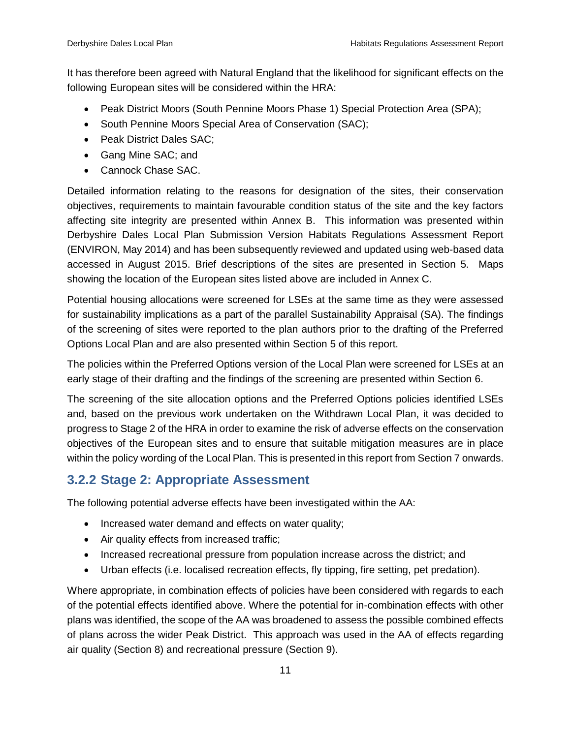It has therefore been agreed with Natural England that the likelihood for significant effects on the following European sites will be considered within the HRA:

- Peak District Moors (South Pennine Moors Phase 1) Special Protection Area (SPA);
- South Pennine Moors Special Area of Conservation (SAC);
- Peak District Dales SAC:
- Gang Mine SAC: and
- Cannock Chase SAC.

Detailed information relating to the reasons for designation of the sites, their conservation objectives, requirements to maintain favourable condition status of the site and the key factors affecting site integrity are presented within Annex B. This information was presented within Derbyshire Dales Local Plan Submission Version Habitats Regulations Assessment Report (ENVIRON, May 2014) and has been subsequently reviewed and updated using web-based data accessed in August 2015. Brief descriptions of the sites are presented in Section 5. Maps showing the location of the European sites listed above are included in Annex C.

Potential housing allocations were screened for LSEs at the same time as they were assessed for sustainability implications as a part of the parallel Sustainability Appraisal (SA). The findings of the screening of sites were reported to the plan authors prior to the drafting of the Preferred Options Local Plan and are also presented within Section 5 of this report.

The policies within the Preferred Options version of the Local Plan were screened for LSEs at an early stage of their drafting and the findings of the screening are presented within Section 6.

The screening of the site allocation options and the Preferred Options policies identified LSEs and, based on the previous work undertaken on the Withdrawn Local Plan, it was decided to progress to Stage 2 of the HRA in order to examine the risk of adverse effects on the conservation objectives of the European sites and to ensure that suitable mitigation measures are in place within the policy wording of the Local Plan. This is presented in this report from Section 7 onwards.

# <span id="page-18-0"></span>**3.2.2 Stage 2: Appropriate Assessment**

The following potential adverse effects have been investigated within the AA:

- Increased water demand and effects on water quality;
- Air quality effects from increased traffic;
- Increased recreational pressure from population increase across the district; and
- Urban effects (i.e. localised recreation effects, fly tipping, fire setting, pet predation).

Where appropriate, in combination effects of policies have been considered with regards to each of the potential effects identified above. Where the potential for in-combination effects with other plans was identified, the scope of the AA was broadened to assess the possible combined effects of plans across the wider Peak District. This approach was used in the AA of effects regarding air quality (Section 8) and recreational pressure (Section 9).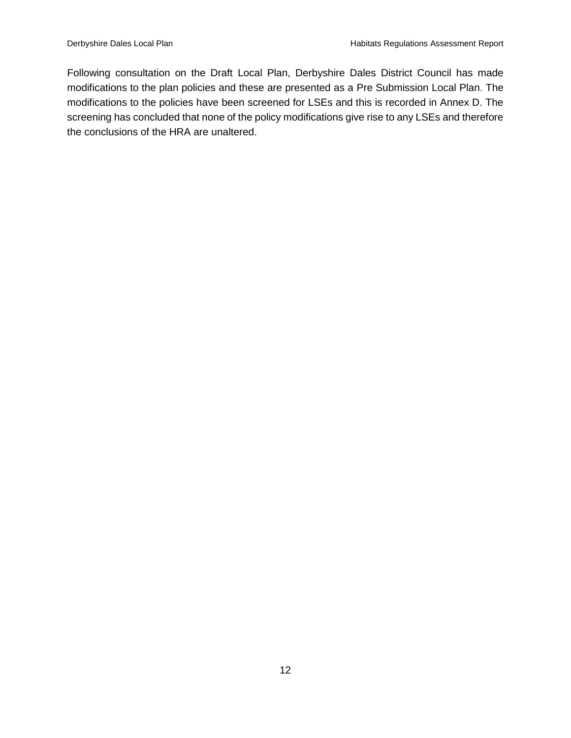Following consultation on the Draft Local Plan, Derbyshire Dales District Council has made modifications to the plan policies and these are presented as a Pre Submission Local Plan. The modifications to the policies have been screened for LSEs and this is recorded in Annex D. The screening has concluded that none of the policy modifications give rise to any LSEs and therefore the conclusions of the HRA are unaltered.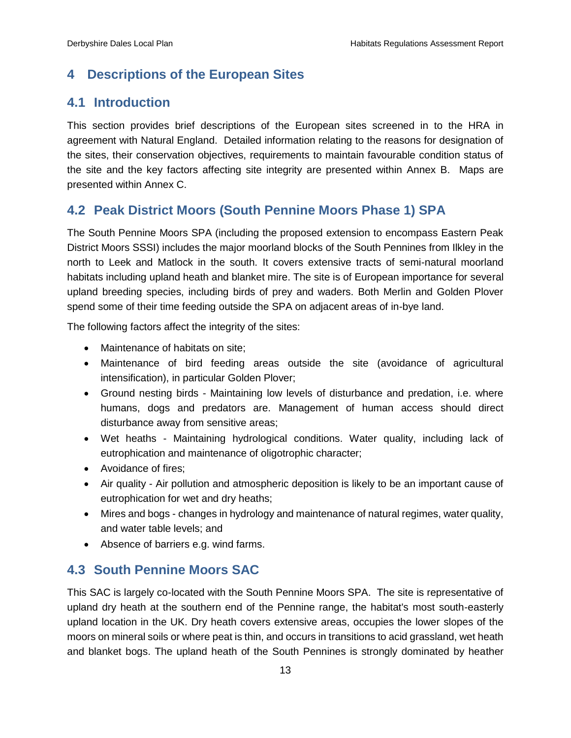## <span id="page-20-0"></span>**4 Descriptions of the European Sites**

## <span id="page-20-1"></span>**4.1 Introduction**

This section provides brief descriptions of the European sites screened in to the HRA in agreement with Natural England. Detailed information relating to the reasons for designation of the sites, their conservation objectives, requirements to maintain favourable condition status of the site and the key factors affecting site integrity are presented within Annex B. Maps are presented within Annex C.

## <span id="page-20-2"></span>**4.2 Peak District Moors (South Pennine Moors Phase 1) SPA**

The South Pennine Moors SPA (including the proposed extension to encompass Eastern Peak District Moors SSSI) includes the major moorland blocks of the South Pennines from Ilkley in the north to Leek and Matlock in the south. It covers extensive tracts of semi-natural moorland habitats including upland heath and blanket mire. The site is of European importance for several upland breeding species, including birds of prey and waders. Both Merlin and Golden Plover spend some of their time feeding outside the SPA on adjacent areas of in-bye land.

The following factors affect the integrity of the sites:

- Maintenance of habitats on site;
- Maintenance of bird feeding areas outside the site (avoidance of agricultural intensification), in particular Golden Plover;
- Ground nesting birds Maintaining low levels of disturbance and predation, i.e. where humans, dogs and predators are. Management of human access should direct disturbance away from sensitive areas;
- Wet heaths Maintaining hydrological conditions. Water quality, including lack of eutrophication and maintenance of oligotrophic character;
- Avoidance of fires:
- Air quality Air pollution and atmospheric deposition is likely to be an important cause of eutrophication for wet and dry heaths;
- Mires and bogs changes in hydrology and maintenance of natural regimes, water quality, and water table levels; and
- Absence of barriers e.g. wind farms.

## <span id="page-20-3"></span>**4.3 South Pennine Moors SAC**

This SAC is largely co-located with the South Pennine Moors SPA. The site is representative of upland dry heath at the southern end of the Pennine range, the habitat's most south-easterly upland location in the UK. Dry heath covers extensive areas, occupies the lower slopes of the moors on mineral soils or where peat is thin, and occurs in transitions to acid grassland, wet heath and blanket bogs. The upland heath of the South Pennines is strongly dominated by heather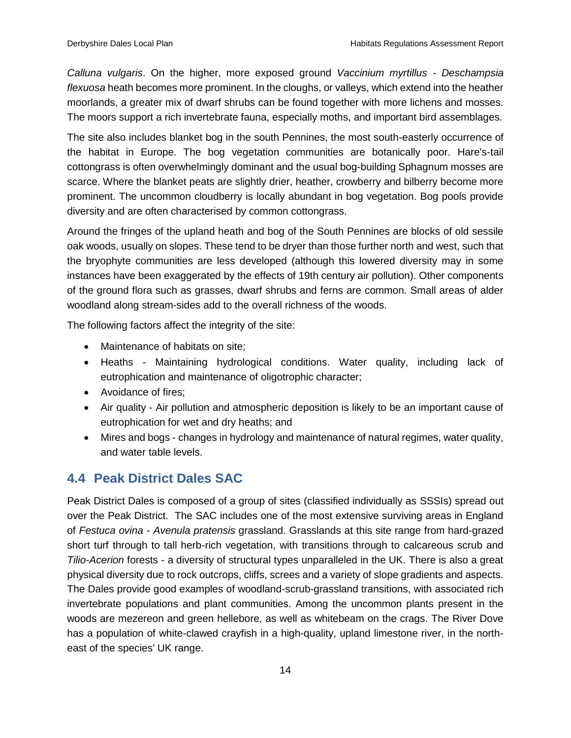*Calluna vulgaris*. On the higher, more exposed ground *Vaccinium myrtillus - Deschampsia flexuosa* heath becomes more prominent. In the cloughs, or valleys, which extend into the heather moorlands, a greater mix of dwarf shrubs can be found together with more lichens and mosses. The moors support a rich invertebrate fauna, especially moths, and important bird assemblages.

The site also includes blanket bog in the south Pennines, the most south-easterly occurrence of the habitat in Europe. The bog vegetation communities are botanically poor. Hare's-tail cottongrass is often overwhelmingly dominant and the usual bog-building Sphagnum mosses are scarce. Where the blanket peats are slightly drier, heather, crowberry and bilberry become more prominent. The uncommon cloudberry is locally abundant in bog vegetation. Bog pools provide diversity and are often characterised by common cottongrass.

Around the fringes of the upland heath and bog of the South Pennines are blocks of old sessile oak woods, usually on slopes. These tend to be dryer than those further north and west, such that the bryophyte communities are less developed (although this lowered diversity may in some instances have been exaggerated by the effects of 19th century air pollution). Other components of the ground flora such as grasses, dwarf shrubs and ferns are common. Small areas of alder woodland along stream-sides add to the overall richness of the woods.

The following factors affect the integrity of the site:

- Maintenance of habitats on site;
- Heaths Maintaining hydrological conditions. Water quality, including lack of eutrophication and maintenance of oligotrophic character;
- Avoidance of fires:
- Air quality Air pollution and atmospheric deposition is likely to be an important cause of eutrophication for wet and dry heaths; and
- Mires and bogs changes in hydrology and maintenance of natural regimes, water quality, and water table levels.

## <span id="page-21-0"></span>**4.4 Peak District Dales SAC**

Peak District Dales is composed of a group of sites (classified individually as SSSIs) spread out over the Peak District. The SAC includes one of the most extensive surviving areas in England of *Festuca ovina - Avenula pratensis* grassland. Grasslands at this site range from hard-grazed short turf through to tall herb-rich vegetation, with transitions through to calcareous scrub and *Tilio-Acerion* forests - a diversity of structural types unparalleled in the UK. There is also a great physical diversity due to rock outcrops, cliffs, screes and a variety of slope gradients and aspects. The Dales provide good examples of woodland-scrub-grassland transitions, with associated rich invertebrate populations and plant communities. Among the uncommon plants present in the woods are mezereon and green hellebore, as well as whitebeam on the crags. The River Dove has a population of white-clawed crayfish in a high-quality, upland limestone river, in the northeast of the species' UK range.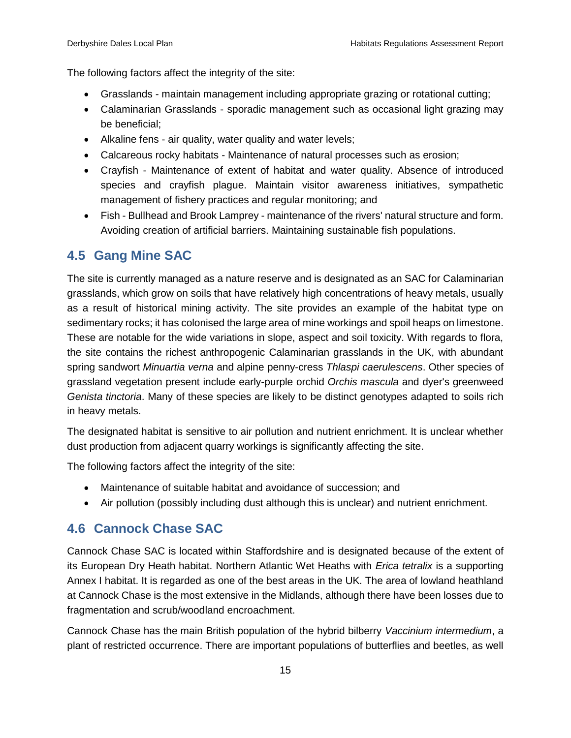The following factors affect the integrity of the site:

- Grasslands maintain management including appropriate grazing or rotational cutting;
- Calaminarian Grasslands sporadic management such as occasional light grazing may be beneficial;
- Alkaline fens air quality, water quality and water levels;
- Calcareous rocky habitats Maintenance of natural processes such as erosion;
- Crayfish Maintenance of extent of habitat and water quality. Absence of introduced species and crayfish plague. Maintain visitor awareness initiatives, sympathetic management of fishery practices and regular monitoring; and
- Fish Bullhead and Brook Lamprey maintenance of the rivers' natural structure and form. Avoiding creation of artificial barriers. Maintaining sustainable fish populations.

## <span id="page-22-0"></span>**4.5 Gang Mine SAC**

The site is currently managed as a nature reserve and is designated as an SAC for Calaminarian grasslands, which grow on soils that have relatively high concentrations of heavy metals, usually as a result of historical mining activity. The site provides an example of the habitat type on sedimentary rocks; it has colonised the large area of mine workings and spoil heaps on limestone. These are notable for the wide variations in slope, aspect and soil toxicity. With regards to flora, the site contains the richest anthropogenic Calaminarian grasslands in the UK, with abundant spring sandwort *Minuartia verna* and alpine penny-cress *Thlaspi caerulescens*. Other species of grassland vegetation present include early-purple orchid *Orchis mascula* and dyer's greenweed *Genista tinctoria*. Many of these species are likely to be distinct genotypes adapted to soils rich in heavy metals.

The designated habitat is sensitive to air pollution and nutrient enrichment. It is unclear whether dust production from adjacent quarry workings is significantly affecting the site.

The following factors affect the integrity of the site:

- Maintenance of suitable habitat and avoidance of succession; and
- Air pollution (possibly including dust although this is unclear) and nutrient enrichment.

## <span id="page-22-1"></span>**4.6 Cannock Chase SAC**

Cannock Chase SAC is located within Staffordshire and is designated because of the extent of its European Dry Heath habitat. Northern Atlantic Wet Heaths with *Erica tetralix* is a supporting Annex I habitat. It is regarded as one of the best areas in the UK. The area of lowland heathland at Cannock Chase is the most extensive in the Midlands, although there have been losses due to fragmentation and scrub/woodland encroachment.

Cannock Chase has the main British population of the hybrid bilberry *Vaccinium intermedium*, a plant of restricted occurrence. There are important populations of butterflies and beetles, as well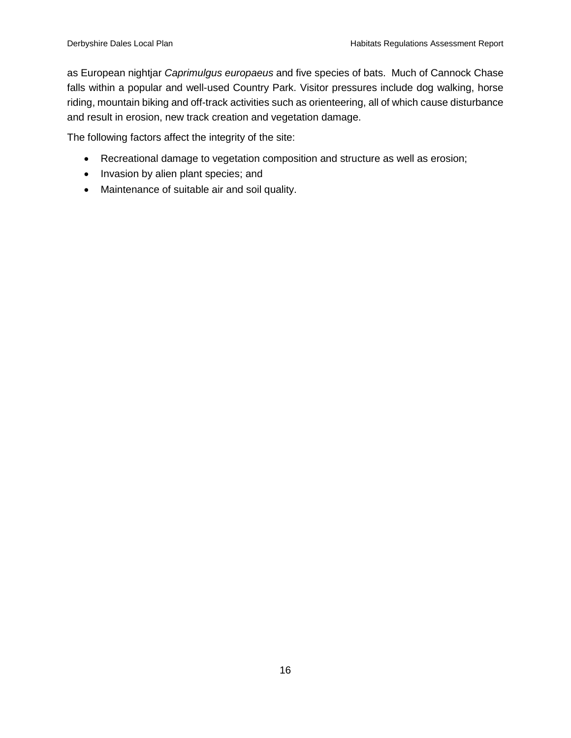as European nightjar *Caprimulgus europaeus* and five species of bats. Much of Cannock Chase falls within a popular and well-used Country Park. Visitor pressures include dog walking, horse riding, mountain biking and off-track activities such as orienteering, all of which cause disturbance and result in erosion, new track creation and vegetation damage.

The following factors affect the integrity of the site:

- Recreational damage to vegetation composition and structure as well as erosion;
- Invasion by alien plant species; and
- Maintenance of suitable air and soil quality.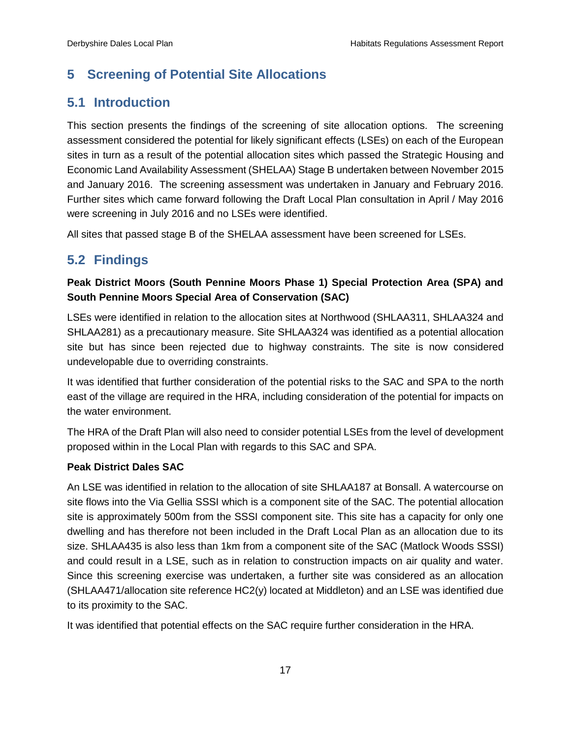## <span id="page-24-0"></span>**5 Screening of Potential Site Allocations**

## <span id="page-24-1"></span>**5.1 Introduction**

This section presents the findings of the screening of site allocation options. The screening assessment considered the potential for likely significant effects (LSEs) on each of the European sites in turn as a result of the potential allocation sites which passed the Strategic Housing and Economic Land Availability Assessment (SHELAA) Stage B undertaken between November 2015 and January 2016. The screening assessment was undertaken in January and February 2016. Further sites which came forward following the Draft Local Plan consultation in April / May 2016 were screening in July 2016 and no LSEs were identified.

All sites that passed stage B of the SHELAA assessment have been screened for LSEs.

## <span id="page-24-2"></span>**5.2 Findings**

## **Peak District Moors (South Pennine Moors Phase 1) Special Protection Area (SPA) and South Pennine Moors Special Area of Conservation (SAC)**

LSEs were identified in relation to the allocation sites at Northwood (SHLAA311, SHLAA324 and SHLAA281) as a precautionary measure. Site SHLAA324 was identified as a potential allocation site but has since been rejected due to highway constraints. The site is now considered undevelopable due to overriding constraints.

It was identified that further consideration of the potential risks to the SAC and SPA to the north east of the village are required in the HRA, including consideration of the potential for impacts on the water environment.

The HRA of the Draft Plan will also need to consider potential LSEs from the level of development proposed within in the Local Plan with regards to this SAC and SPA.

#### **Peak District Dales SAC**

An LSE was identified in relation to the allocation of site SHLAA187 at Bonsall. A watercourse on site flows into the Via Gellia SSSI which is a component site of the SAC. The potential allocation site is approximately 500m from the SSSI component site. This site has a capacity for only one dwelling and has therefore not been included in the Draft Local Plan as an allocation due to its size. SHLAA435 is also less than 1km from a component site of the SAC (Matlock Woods SSSI) and could result in a LSE, such as in relation to construction impacts on air quality and water. Since this screening exercise was undertaken, a further site was considered as an allocation (SHLAA471/allocation site reference HC2(y) located at Middleton) and an LSE was identified due to its proximity to the SAC.

It was identified that potential effects on the SAC require further consideration in the HRA.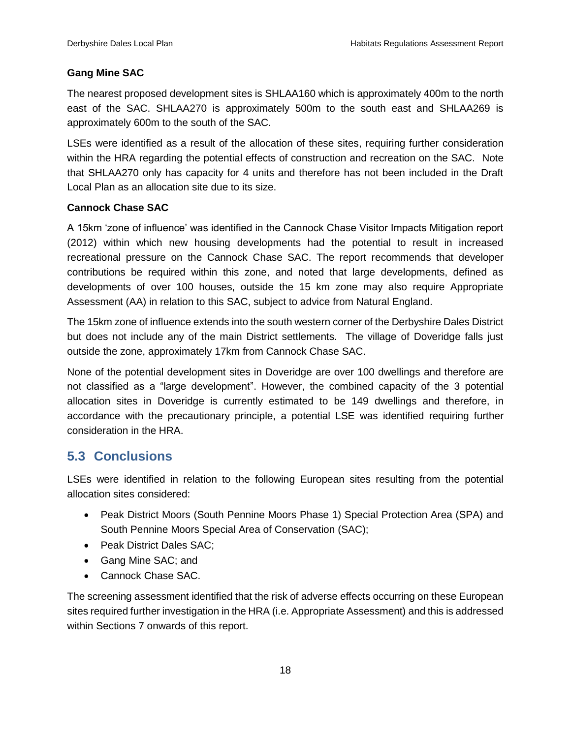## **Gang Mine SAC**

The nearest proposed development sites is SHLAA160 which is approximately 400m to the north east of the SAC. SHLAA270 is approximately 500m to the south east and SHLAA269 is approximately 600m to the south of the SAC.

LSEs were identified as a result of the allocation of these sites, requiring further consideration within the HRA regarding the potential effects of construction and recreation on the SAC. Note that SHLAA270 only has capacity for 4 units and therefore has not been included in the Draft Local Plan as an allocation site due to its size.

#### **Cannock Chase SAC**

A 15km 'zone of influence' was identified in the Cannock Chase Visitor Impacts Mitigation report (2012) within which new housing developments had the potential to result in increased recreational pressure on the Cannock Chase SAC. The report recommends that developer contributions be required within this zone, and noted that large developments, defined as developments of over 100 houses, outside the 15 km zone may also require Appropriate Assessment (AA) in relation to this SAC, subject to advice from Natural England.

The 15km zone of influence extends into the south western corner of the Derbyshire Dales District but does not include any of the main District settlements. The village of Doveridge falls just outside the zone, approximately 17km from Cannock Chase SAC.

None of the potential development sites in Doveridge are over 100 dwellings and therefore are not classified as a "large development". However, the combined capacity of the 3 potential allocation sites in Doveridge is currently estimated to be 149 dwellings and therefore, in accordance with the precautionary principle, a potential LSE was identified requiring further consideration in the HRA.

## <span id="page-25-0"></span>**5.3 Conclusions**

LSEs were identified in relation to the following European sites resulting from the potential allocation sites considered:

- Peak District Moors (South Pennine Moors Phase 1) Special Protection Area (SPA) and South Pennine Moors Special Area of Conservation (SAC);
- Peak District Dales SAC;
- Gang Mine SAC: and
- Cannock Chase SAC.

The screening assessment identified that the risk of adverse effects occurring on these European sites required further investigation in the HRA (i.e. Appropriate Assessment) and this is addressed within Sections 7 onwards of this report.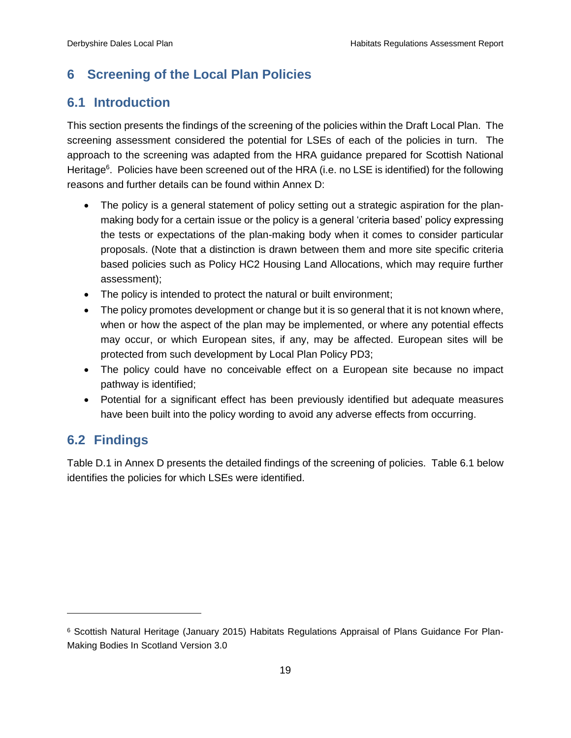## <span id="page-26-0"></span>**6 Screening of the Local Plan Policies**

## <span id="page-26-1"></span>**6.1 Introduction**

This section presents the findings of the screening of the policies within the Draft Local Plan. The screening assessment considered the potential for LSEs of each of the policies in turn. The approach to the screening was adapted from the HRA guidance prepared for Scottish National Heritage<sup>6</sup>. Policies have been screened out of the HRA (i.e. no LSE is identified) for the following reasons and further details can be found within Annex D:

- The policy is a general statement of policy setting out a strategic aspiration for the planmaking body for a certain issue or the policy is a general 'criteria based' policy expressing the tests or expectations of the plan-making body when it comes to consider particular proposals. (Note that a distinction is drawn between them and more site specific criteria based policies such as Policy HC2 Housing Land Allocations, which may require further assessment);
- The policy is intended to protect the natural or built environment;
- The policy promotes development or change but it is so general that it is not known where, when or how the aspect of the plan may be implemented, or where any potential effects may occur, or which European sites, if any, may be affected. European sites will be protected from such development by Local Plan Policy PD3;
- The policy could have no conceivable effect on a European site because no impact pathway is identified;
- Potential for a significant effect has been previously identified but adequate measures have been built into the policy wording to avoid any adverse effects from occurring.

## <span id="page-26-2"></span>**6.2 Findings**

 $\overline{a}$ 

Table D.1 in Annex D presents the detailed findings of the screening of policies. Table 6.1 below identifies the policies for which LSEs were identified.

<sup>6</sup> Scottish Natural Heritage (January 2015) Habitats Regulations Appraisal of Plans Guidance For Plan-Making Bodies In Scotland Version 3.0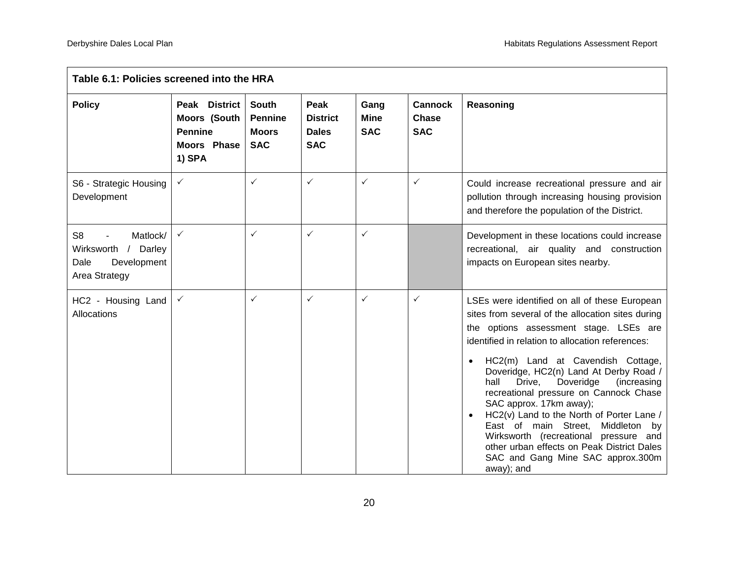| Table 6.1: Policies screened into the HRA                                                 |                                                                                        |                                                              |                                                       |                                   |                                       |                                                                                                                                                                                                                                                                                                                                                                                                                                                                                                                                                                                                                                      |  |  |
|-------------------------------------------------------------------------------------------|----------------------------------------------------------------------------------------|--------------------------------------------------------------|-------------------------------------------------------|-----------------------------------|---------------------------------------|--------------------------------------------------------------------------------------------------------------------------------------------------------------------------------------------------------------------------------------------------------------------------------------------------------------------------------------------------------------------------------------------------------------------------------------------------------------------------------------------------------------------------------------------------------------------------------------------------------------------------------------|--|--|
| <b>Policy</b>                                                                             | Peak District<br><b>Moors (South</b><br><b>Pennine</b><br><b>Moors Phase</b><br>1) SPA | <b>South</b><br><b>Pennine</b><br><b>Moors</b><br><b>SAC</b> | Peak<br><b>District</b><br><b>Dales</b><br><b>SAC</b> | Gang<br><b>Mine</b><br><b>SAC</b> | <b>Cannock</b><br>Chase<br><b>SAC</b> | Reasoning                                                                                                                                                                                                                                                                                                                                                                                                                                                                                                                                                                                                                            |  |  |
| S6 - Strategic Housing<br>Development                                                     | $\checkmark$                                                                           | $\checkmark$                                                 | $\checkmark$                                          | $\checkmark$                      | $\checkmark$                          | Could increase recreational pressure and air<br>pollution through increasing housing provision<br>and therefore the population of the District.                                                                                                                                                                                                                                                                                                                                                                                                                                                                                      |  |  |
| S <sub>8</sub><br>Matlock/<br>Wirksworth / Darley<br>Development<br>Dale<br>Area Strategy | $\checkmark$                                                                           | $\checkmark$                                                 | $\checkmark$                                          | $\checkmark$                      |                                       | Development in these locations could increase<br>recreational, air quality and construction<br>impacts on European sites nearby.                                                                                                                                                                                                                                                                                                                                                                                                                                                                                                     |  |  |
| HC2 - Housing Land<br>Allocations                                                         | $\checkmark$                                                                           | $\checkmark$                                                 | ✓                                                     | $\checkmark$                      | $\checkmark$                          | LSEs were identified on all of these European<br>sites from several of the allocation sites during<br>the options assessment stage. LSEs are<br>identified in relation to allocation references:<br>HC2(m) Land at Cavendish Cottage,<br>Doveridge, HC2(n) Land At Derby Road /<br>Doveridge<br>hall<br>Drive,<br>(increasing<br>recreational pressure on Cannock Chase<br>SAC approx. 17km away);<br>HC2(v) Land to the North of Porter Lane /<br>East of main Street,<br>Middleton<br>by<br>Wirksworth (recreational pressure and<br>other urban effects on Peak District Dales<br>SAC and Gang Mine SAC approx.300m<br>away); and |  |  |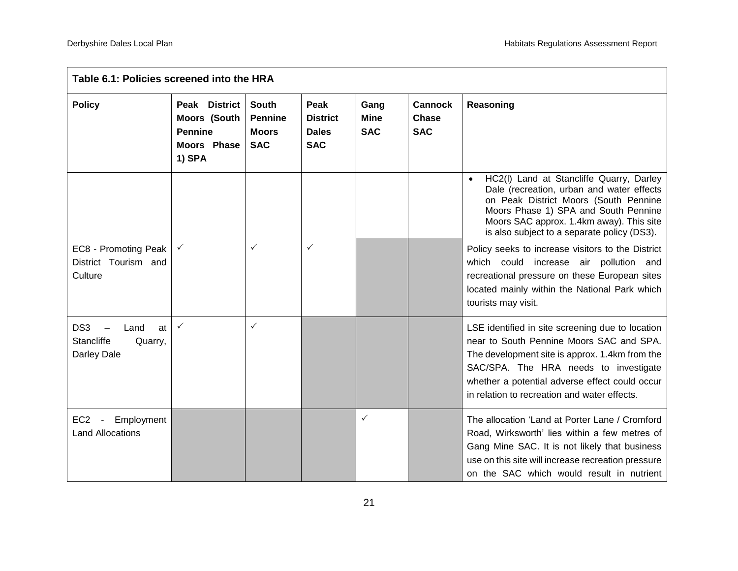| Table 6.1: Policies screened into the HRA                        |                                                                                 |                                                              |                                                       |                                   |                                              |                                                                                                                                                                                                                                                                                           |  |  |
|------------------------------------------------------------------|---------------------------------------------------------------------------------|--------------------------------------------------------------|-------------------------------------------------------|-----------------------------------|----------------------------------------------|-------------------------------------------------------------------------------------------------------------------------------------------------------------------------------------------------------------------------------------------------------------------------------------------|--|--|
| <b>Policy</b>                                                    | Peak District<br>Moors (South<br><b>Pennine</b><br><b>Moors Phase</b><br>1) SPA | <b>South</b><br><b>Pennine</b><br><b>Moors</b><br><b>SAC</b> | Peak<br><b>District</b><br><b>Dales</b><br><b>SAC</b> | Gang<br><b>Mine</b><br><b>SAC</b> | <b>Cannock</b><br><b>Chase</b><br><b>SAC</b> | Reasoning                                                                                                                                                                                                                                                                                 |  |  |
|                                                                  |                                                                                 |                                                              |                                                       |                                   |                                              | HC2(I) Land at Stancliffe Quarry, Darley<br>$\bullet$<br>Dale (recreation, urban and water effects<br>on Peak District Moors (South Pennine<br>Moors Phase 1) SPA and South Pennine<br>Moors SAC approx. 1.4km away). This site<br>is also subject to a separate policy (DS3).            |  |  |
| EC8 - Promoting Peak<br>District Tourism and<br>Culture          | $\checkmark$                                                                    | $\checkmark$                                                 | $\checkmark$                                          |                                   |                                              | Policy seeks to increase visitors to the District<br>which could increase air pollution and<br>recreational pressure on these European sites<br>located mainly within the National Park which<br>tourists may visit.                                                                      |  |  |
| DS3<br>Land<br>at<br><b>Stancliffe</b><br>Quarry,<br>Darley Dale | $\checkmark$                                                                    | $\checkmark$                                                 |                                                       |                                   |                                              | LSE identified in site screening due to location<br>near to South Pennine Moors SAC and SPA.<br>The development site is approx. 1.4km from the<br>SAC/SPA. The HRA needs to investigate<br>whether a potential adverse effect could occur<br>in relation to recreation and water effects. |  |  |
| EC <sub>2</sub> -<br>Employment<br><b>Land Allocations</b>       |                                                                                 |                                                              |                                                       | $\checkmark$                      |                                              | The allocation 'Land at Porter Lane / Cromford<br>Road, Wirksworth' lies within a few metres of<br>Gang Mine SAC. It is not likely that business<br>use on this site will increase recreation pressure<br>on the SAC which would result in nutrient                                       |  |  |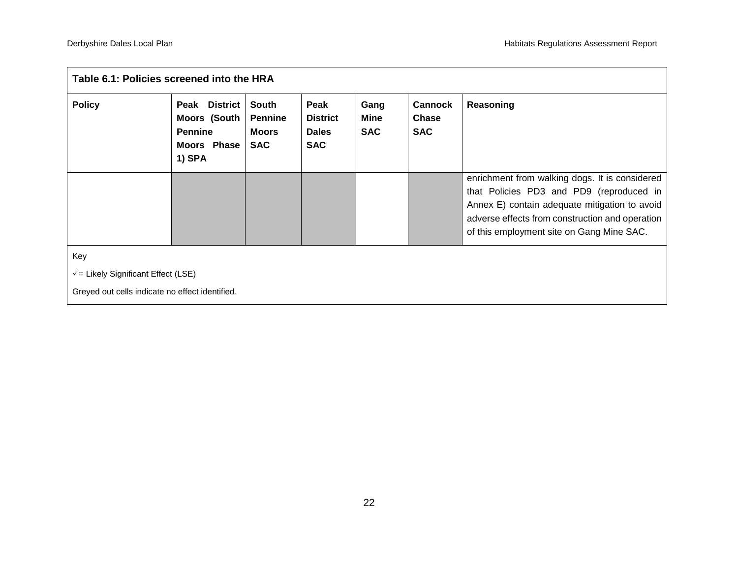| Table 6.1: Policies screened into the HRA                                                            |                                                                                 |                                                       |                                                       |                            |                                              |                                                                                                                                                                                                                                             |  |  |  |
|------------------------------------------------------------------------------------------------------|---------------------------------------------------------------------------------|-------------------------------------------------------|-------------------------------------------------------|----------------------------|----------------------------------------------|---------------------------------------------------------------------------------------------------------------------------------------------------------------------------------------------------------------------------------------------|--|--|--|
| <b>Policy</b>                                                                                        | Peak District<br><b>Moors (South</b><br><b>Pennine</b><br>Moors Phase<br>1) SPA | South<br><b>Pennine</b><br><b>Moors</b><br><b>SAC</b> | Peak<br><b>District</b><br><b>Dales</b><br><b>SAC</b> | Gang<br>Mine<br><b>SAC</b> | <b>Cannock</b><br><b>Chase</b><br><b>SAC</b> | Reasoning                                                                                                                                                                                                                                   |  |  |  |
|                                                                                                      |                                                                                 |                                                       |                                                       |                            |                                              | enrichment from walking dogs. It is considered<br>that Policies PD3 and PD9 (reproduced in<br>Annex E) contain adequate mitigation to avoid<br>adverse effects from construction and operation<br>of this employment site on Gang Mine SAC. |  |  |  |
| Key<br>$\sqrt{ }$ Likely Significant Effect (LSE)<br>Greyed out cells indicate no effect identified. |                                                                                 |                                                       |                                                       |                            |                                              |                                                                                                                                                                                                                                             |  |  |  |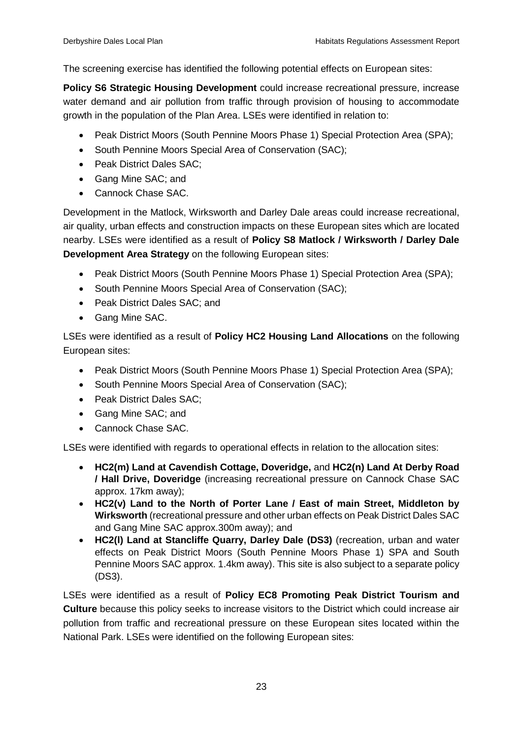The screening exercise has identified the following potential effects on European sites:

**Policy S6 Strategic Housing Development** could increase recreational pressure, increase water demand and air pollution from traffic through provision of housing to accommodate growth in the population of the Plan Area. LSEs were identified in relation to:

- Peak District Moors (South Pennine Moors Phase 1) Special Protection Area (SPA);
- South Pennine Moors Special Area of Conservation (SAC);
- Peak District Dales SAC;
- Gang Mine SAC; and
- Cannock Chase SAC.

Development in the Matlock, Wirksworth and Darley Dale areas could increase recreational, air quality, urban effects and construction impacts on these European sites which are located nearby. LSEs were identified as a result of **Policy S8 Matlock / Wirksworth / Darley Dale Development Area Strategy** on the following European sites:

- Peak District Moors (South Pennine Moors Phase 1) Special Protection Area (SPA);
- South Pennine Moors Special Area of Conservation (SAC);
- Peak District Dales SAC: and
- Gang Mine SAC.

LSEs were identified as a result of **Policy HC2 Housing Land Allocations** on the following European sites:

- Peak District Moors (South Pennine Moors Phase 1) Special Protection Area (SPA);
- South Pennine Moors Special Area of Conservation (SAC);
- Peak District Dales SAC;
- Gang Mine SAC; and
- Cannock Chase SAC.

LSEs were identified with regards to operational effects in relation to the allocation sites:

- **HC2(m) Land at Cavendish Cottage, Doveridge,** and **HC2(n) Land At Derby Road / Hall Drive, Doveridge** (increasing recreational pressure on Cannock Chase SAC approx. 17km away);
- **HC2(v) Land to the North of Porter Lane / East of main Street, Middleton by Wirksworth** (recreational pressure and other urban effects on Peak District Dales SAC and Gang Mine SAC approx.300m away); and
- **HC2(l) Land at Stancliffe Quarry, Darley Dale (DS3)** (recreation, urban and water effects on Peak District Moors (South Pennine Moors Phase 1) SPA and South Pennine Moors SAC approx. 1.4km away). This site is also subject to a separate policy (DS3).

LSEs were identified as a result of **Policy EC8 Promoting Peak District Tourism and Culture** because this policy seeks to increase visitors to the District which could increase air pollution from traffic and recreational pressure on these European sites located within the National Park. LSEs were identified on the following European sites: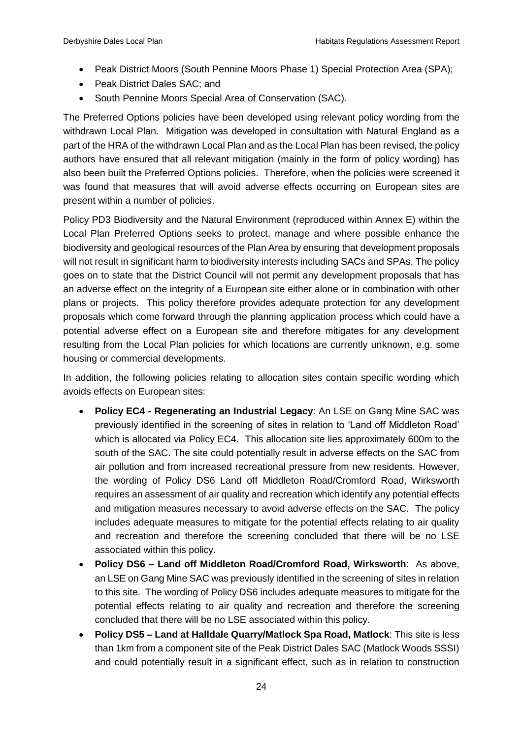- Peak District Moors (South Pennine Moors Phase 1) Special Protection Area (SPA);
- Peak District Dales SAC: and
- South Pennine Moors Special Area of Conservation (SAC).

The Preferred Options policies have been developed using relevant policy wording from the withdrawn Local Plan. Mitigation was developed in consultation with Natural England as a part of the HRA of the withdrawn Local Plan and as the Local Plan has been revised, the policy authors have ensured that all relevant mitigation (mainly in the form of policy wording) has also been built the Preferred Options policies. Therefore, when the policies were screened it was found that measures that will avoid adverse effects occurring on European sites are present within a number of policies.

Policy PD3 Biodiversity and the Natural Environment (reproduced within Annex E) within the Local Plan Preferred Options seeks to protect, manage and where possible enhance the biodiversity and geological resources of the Plan Area by ensuring that development proposals will not result in significant harm to biodiversity interests including SACs and SPAs. The policy goes on to state that the District Council will not permit any development proposals that has an adverse effect on the integrity of a European site either alone or in combination with other plans or projects. This policy therefore provides adequate protection for any development proposals which come forward through the planning application process which could have a potential adverse effect on a European site and therefore mitigates for any development resulting from the Local Plan policies for which locations are currently unknown, e.g. some housing or commercial developments.

In addition, the following policies relating to allocation sites contain specific wording which avoids effects on European sites:

- **Policy EC4 - Regenerating an Industrial Legacy**: An LSE on Gang Mine SAC was previously identified in the screening of sites in relation to 'Land off Middleton Road' which is allocated via Policy EC4. This allocation site lies approximately 600m to the south of the SAC. The site could potentially result in adverse effects on the SAC from air pollution and from increased recreational pressure from new residents. However, the wording of Policy DS6 Land off Middleton Road/Cromford Road, Wirksworth requires an assessment of air quality and recreation which identify any potential effects and mitigation measures necessary to avoid adverse effects on the SAC. The policy includes adequate measures to mitigate for the potential effects relating to air quality and recreation and therefore the screening concluded that there will be no LSE associated within this policy.
- **Policy DS6 – Land off Middleton Road/Cromford Road, Wirksworth**: As above, an LSE on Gang Mine SAC was previously identified in the screening of sites in relation to this site. The wording of Policy DS6 includes adequate measures to mitigate for the potential effects relating to air quality and recreation and therefore the screening concluded that there will be no LSE associated within this policy.
- **Policy DS5 – Land at Halldale Quarry/Matlock Spa Road, Matlock**: This site is less than 1km from a component site of the Peak District Dales SAC (Matlock Woods SSSI) and could potentially result in a significant effect, such as in relation to construction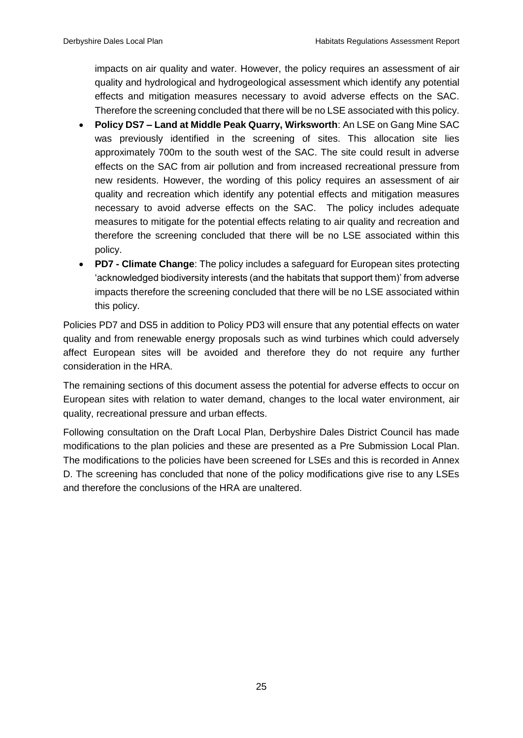impacts on air quality and water. However, the policy requires an assessment of air quality and hydrological and hydrogeological assessment which identify any potential effects and mitigation measures necessary to avoid adverse effects on the SAC. Therefore the screening concluded that there will be no LSE associated with this policy.

- **Policy DS7 – Land at Middle Peak Quarry, Wirksworth**: An LSE on Gang Mine SAC was previously identified in the screening of sites. This allocation site lies approximately 700m to the south west of the SAC. The site could result in adverse effects on the SAC from air pollution and from increased recreational pressure from new residents. However, the wording of this policy requires an assessment of air quality and recreation which identify any potential effects and mitigation measures necessary to avoid adverse effects on the SAC. The policy includes adequate measures to mitigate for the potential effects relating to air quality and recreation and therefore the screening concluded that there will be no LSE associated within this policy.
- **PD7 - Climate Change**: The policy includes a safeguard for European sites protecting 'acknowledged biodiversity interests (and the habitats that support them)' from adverse impacts therefore the screening concluded that there will be no LSE associated within this policy.

Policies PD7 and DS5 in addition to Policy PD3 will ensure that any potential effects on water quality and from renewable energy proposals such as wind turbines which could adversely affect European sites will be avoided and therefore they do not require any further consideration in the HRA.

The remaining sections of this document assess the potential for adverse effects to occur on European sites with relation to water demand, changes to the local water environment, air quality, recreational pressure and urban effects.

Following consultation on the Draft Local Plan, Derbyshire Dales District Council has made modifications to the plan policies and these are presented as a Pre Submission Local Plan. The modifications to the policies have been screened for LSEs and this is recorded in Annex D. The screening has concluded that none of the policy modifications give rise to any LSEs and therefore the conclusions of the HRA are unaltered.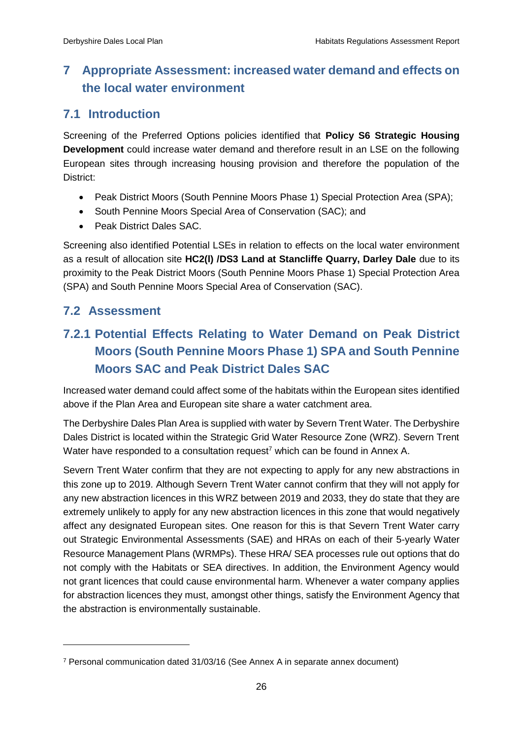# <span id="page-33-1"></span><span id="page-33-0"></span>**7 Appropriate Assessment: increased water demand and effects on the local water environment**

# **7.1 Introduction**

Screening of the Preferred Options policies identified that **Policy S6 Strategic Housing Development** could increase water demand and therefore result in an LSE on the following European sites through increasing housing provision and therefore the population of the District:

- Peak District Moors (South Pennine Moors Phase 1) Special Protection Area (SPA);
- South Pennine Moors Special Area of Conservation (SAC); and
- Peak District Dales SAC.

<span id="page-33-2"></span>Screening also identified Potential LSEs in relation to effects on the local water environment as a result of allocation site **HC2(l) /DS3 Land at Stancliffe Quarry, Darley Dale** due to its proximity to the Peak District Moors (South Pennine Moors Phase 1) Special Protection Area (SPA) and South Pennine Moors Special Area of Conservation (SAC).

## <span id="page-33-3"></span>**7.2 Assessment**

-

# **7.2.1 Potential Effects Relating to Water Demand on Peak District Moors (South Pennine Moors Phase 1) SPA and South Pennine Moors SAC and Peak District Dales SAC**

Increased water demand could affect some of the habitats within the European sites identified above if the Plan Area and European site share a water catchment area.

The Derbyshire Dales Plan Area is supplied with water by Severn Trent Water. The Derbyshire Dales District is located within the Strategic Grid Water Resource Zone (WRZ). Severn Trent Water have responded to a consultation request<sup>7</sup> which can be found in Annex A.

Severn Trent Water confirm that they are not expecting to apply for any new abstractions in this zone up to 2019. Although Severn Trent Water cannot confirm that they will not apply for any new abstraction licences in this WRZ between 2019 and 2033, they do state that they are extremely unlikely to apply for any new abstraction licences in this zone that would negatively affect any designated European sites. One reason for this is that Severn Trent Water carry out Strategic Environmental Assessments (SAE) and HRAs on each of their 5-yearly Water Resource Management Plans (WRMPs). These HRA/ SEA processes rule out options that do not comply with the Habitats or SEA directives. In addition, the Environment Agency would not grant licences that could cause environmental harm. Whenever a water company applies for abstraction licences they must, amongst other things, satisfy the Environment Agency that the abstraction is environmentally sustainable.

<sup>7</sup> Personal communication dated 31/03/16 (See Annex A in separate annex document)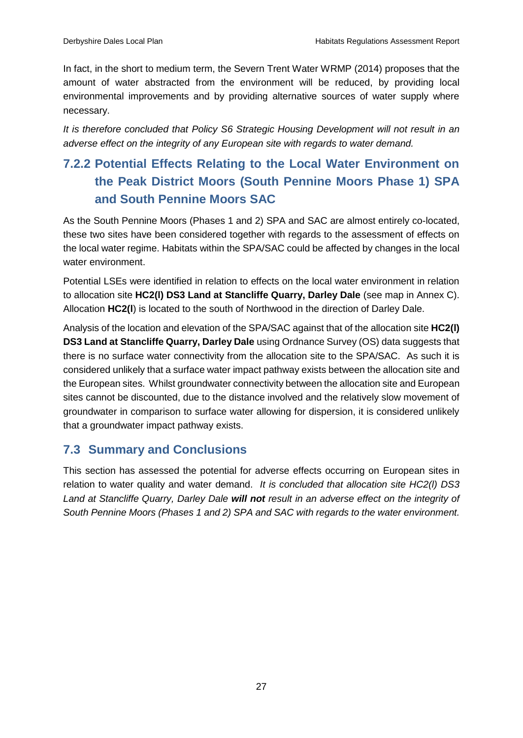In fact, in the short to medium term, the Severn Trent Water WRMP (2014) proposes that the amount of water abstracted from the environment will be reduced, by providing local environmental improvements and by providing alternative sources of water supply where necessary.

<span id="page-34-0"></span>*It is therefore concluded that Policy S6 Strategic Housing Development will not result in an adverse effect on the integrity of any European site with regards to water demand.* 

# **7.2.2 Potential Effects Relating to the Local Water Environment on the Peak District Moors (South Pennine Moors Phase 1) SPA and South Pennine Moors SAC**

As the South Pennine Moors (Phases 1 and 2) SPA and SAC are almost entirely co-located, these two sites have been considered together with regards to the assessment of effects on the local water regime. Habitats within the SPA/SAC could be affected by changes in the local water environment.

Potential LSEs were identified in relation to effects on the local water environment in relation to allocation site **HC2(l) DS3 Land at Stancliffe Quarry, Darley Dale** (see map in Annex C). Allocation **HC2(l**) is located to the south of Northwood in the direction of Darley Dale.

Analysis of the location and elevation of the SPA/SAC against that of the allocation site **HC2(l) DS3 Land at Stancliffe Quarry, Darley Dale** using Ordnance Survey (OS) data suggests that there is no surface water connectivity from the allocation site to the SPA/SAC. As such it is considered unlikely that a surface water impact pathway exists between the allocation site and the European sites. Whilst groundwater connectivity between the allocation site and European sites cannot be discounted, due to the distance involved and the relatively slow movement of groundwater in comparison to surface water allowing for dispersion, it is considered unlikely that a groundwater impact pathway exists.

# <span id="page-34-1"></span>**7.3 Summary and Conclusions**

This section has assessed the potential for adverse effects occurring on European sites in relation to water quality and water demand. *It is concluded that allocation site HC2(l) DS3 Land at Stancliffe Quarry, Darley Dale will not result in an adverse effect on the integrity of South Pennine Moors (Phases 1 and 2) SPA and SAC with regards to the water environment.*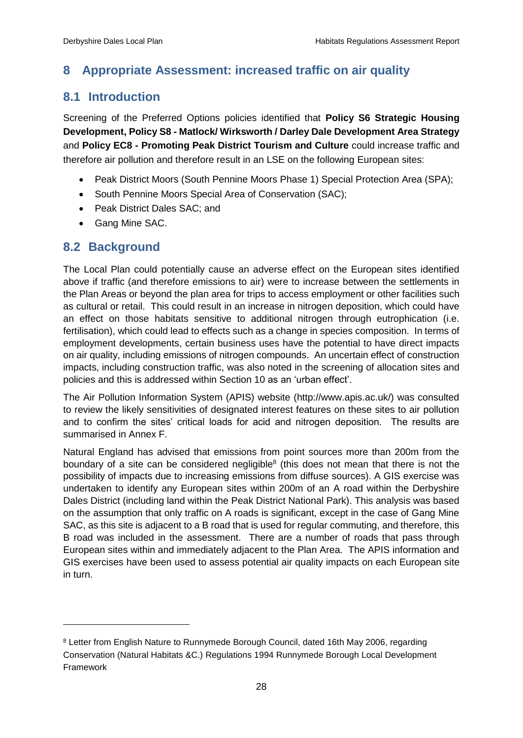# <span id="page-35-1"></span><span id="page-35-0"></span>**8 Appropriate Assessment: increased traffic on air quality**

# **8.1 Introduction**

Screening of the Preferred Options policies identified that **Policy S6 Strategic Housing Development, Policy S8 - Matlock/ Wirksworth / Darley Dale Development Area Strategy** and **Policy EC8 - Promoting Peak District Tourism and Culture** could increase traffic and therefore air pollution and therefore result in an LSE on the following European sites:

- Peak District Moors (South Pennine Moors Phase 1) Special Protection Area (SPA);
- <span id="page-35-2"></span>• South Pennine Moors Special Area of Conservation (SAC);
- Peak District Dales SAC; and
- Gang Mine SAC.

## **8.2 Background**

-

The Local Plan could potentially cause an adverse effect on the European sites identified above if traffic (and therefore emissions to air) were to increase between the settlements in the Plan Areas or beyond the plan area for trips to access employment or other facilities such as cultural or retail. This could result in an increase in nitrogen deposition, which could have an effect on those habitats sensitive to additional nitrogen through eutrophication (i.e. fertilisation), which could lead to effects such as a change in species composition. In terms of employment developments, certain business uses have the potential to have direct impacts on air quality, including emissions of nitrogen compounds. An uncertain effect of construction impacts, including construction traffic, was also noted in the screening of allocation sites and policies and this is addressed within Section 10 as an 'urban effect'.

The Air Pollution Information System (APIS) website (http://www.apis.ac.uk/) was consulted to review the likely sensitivities of designated interest features on these sites to air pollution and to confirm the sites' critical loads for acid and nitrogen deposition. The results are summarised in Annex F.

Natural England has advised that emissions from point sources more than 200m from the boundary of a site can be considered negligible<sup>8</sup> (this does not mean that there is not the possibility of impacts due to increasing emissions from diffuse sources). A GIS exercise was undertaken to identify any European sites within 200m of an A road within the Derbyshire Dales District (including land within the Peak District National Park). This analysis was based on the assumption that only traffic on A roads is significant, except in the case of Gang Mine SAC, as this site is adjacent to a B road that is used for regular commuting, and therefore, this B road was included in the assessment. There are a number of roads that pass through European sites within and immediately adjacent to the Plan Area. The APIS information and GIS exercises have been used to assess potential air quality impacts on each European site in turn.

<sup>&</sup>lt;sup>8</sup> Letter from English Nature to Runnymede Borough Council, dated 16th May 2006, regarding Conservation (Natural Habitats &C.) Regulations 1994 Runnymede Borough Local Development Framework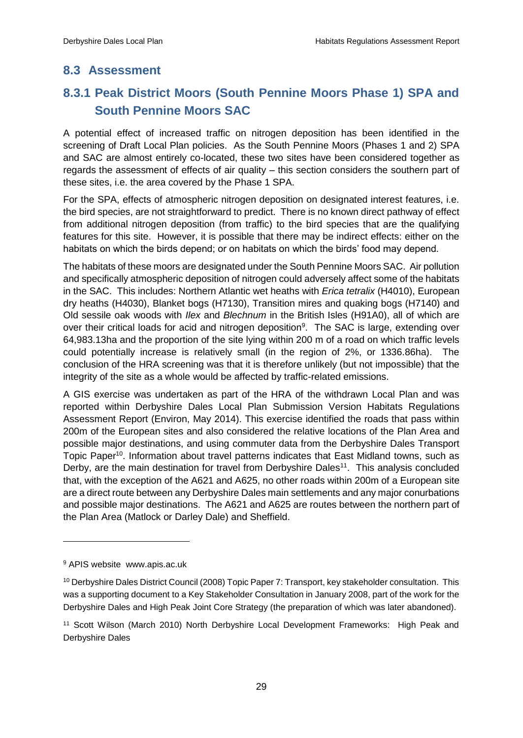# <span id="page-36-1"></span><span id="page-36-0"></span>**8.3 Assessment**

# **8.3.1 Peak District Moors (South Pennine Moors Phase 1) SPA and South Pennine Moors SAC**

A potential effect of increased traffic on nitrogen deposition has been identified in the screening of Draft Local Plan policies. As the South Pennine Moors (Phases 1 and 2) SPA and SAC are almost entirely co-located, these two sites have been considered together as regards the assessment of effects of air quality – this section considers the southern part of these sites, i.e. the area covered by the Phase 1 SPA.

For the SPA, effects of atmospheric nitrogen deposition on designated interest features, i.e. the bird species, are not straightforward to predict. There is no known direct pathway of effect from additional nitrogen deposition (from traffic) to the bird species that are the qualifying features for this site. However, it is possible that there may be indirect effects: either on the habitats on which the birds depend; or on habitats on which the birds' food may depend.

The habitats of these moors are designated under the South Pennine Moors SAC. Air pollution and specifically atmospheric deposition of nitrogen could adversely affect some of the habitats in the SAC. This includes: Northern Atlantic wet heaths with *Erica tetralix* (H4010), European dry heaths (H4030), Blanket bogs (H7130), Transition mires and quaking bogs (H7140) and Old sessile oak woods with *Ilex* and *Blechnum* in the British Isles (H91A0), all of which are over their critical loads for acid and nitrogen deposition<sup>9</sup>. The SAC is large, extending over 64,983.13ha and the proportion of the site lying within 200 m of a road on which traffic levels could potentially increase is relatively small (in the region of 2%, or 1336.86ha). The conclusion of the HRA screening was that it is therefore unlikely (but not impossible) that the integrity of the site as a whole would be affected by traffic-related emissions.

A GIS exercise was undertaken as part of the HRA of the withdrawn Local Plan and was reported within Derbyshire Dales Local Plan Submission Version Habitats Regulations Assessment Report (Environ, May 2014). This exercise identified the roads that pass within 200m of the European sites and also considered the relative locations of the Plan Area and possible major destinations, and using commuter data from the Derbyshire Dales Transport Topic Paper<sup>10</sup>. Information about travel patterns indicates that East Midland towns, such as Derby, are the main destination for travel from Derbyshire Dales<sup>11</sup>. This analysis concluded that, with the exception of the A621 and A625, no other roads within 200m of a European site are a direct route between any Derbyshire Dales main settlements and any major conurbations and possible major destinations. The A621 and A625 are routes between the northern part of the Plan Area (Matlock or Darley Dale) and Sheffield.

-

<sup>9</sup> APIS website www.apis.ac.uk

<sup>10</sup> Derbyshire Dales District Council (2008) Topic Paper 7: Transport, key stakeholder consultation. This was a supporting document to a Key Stakeholder Consultation in January 2008, part of the work for the Derbyshire Dales and High Peak Joint Core Strategy (the preparation of which was later abandoned).

<sup>11</sup> Scott Wilson (March 2010) North Derbyshire Local Development Frameworks: High Peak and Derbyshire Dales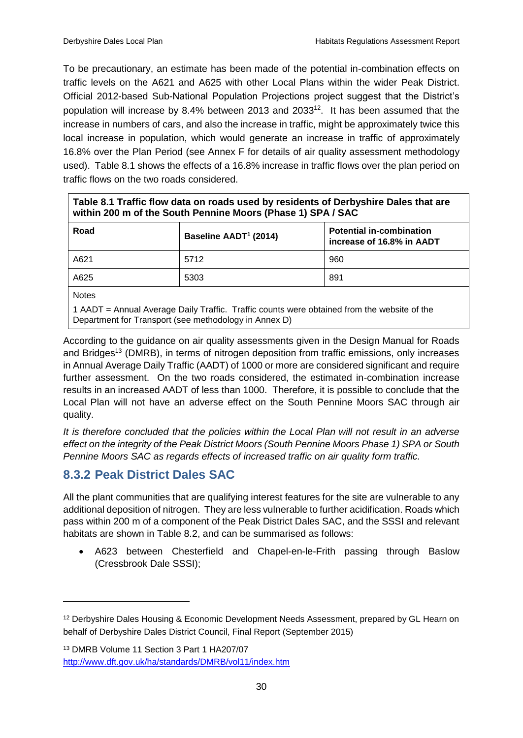To be precautionary, an estimate has been made of the potential in-combination effects on traffic levels on the A621 and A625 with other Local Plans within the wider Peak District. Official 2012-based Sub-National Population Projections project suggest that the District's population will increase by 8.4% between 2013 and  $2033^{12}$ . It has been assumed that the increase in numbers of cars, and also the increase in traffic, might be approximately twice this local increase in population, which would generate an increase in traffic of approximately 16.8% over the Plan Period (see Annex F for details of air quality assessment methodology used). Table 8.1 shows the effects of a 16.8% increase in traffic flows over the plan period on traffic flows on the two roads considered.

| Table 8.1 Traffic flow data on roads used by residents of Derbyshire Dales that are<br>within 200 m of the South Pennine Moors (Phase 1) SPA / SAC |      |     |  |  |  |  |  |  |
|----------------------------------------------------------------------------------------------------------------------------------------------------|------|-----|--|--|--|--|--|--|
| Road<br><b>Potential in-combination</b><br>Baseline AADT <sup>1</sup> (2014)<br>increase of 16.8% in AADT                                          |      |     |  |  |  |  |  |  |
| A621                                                                                                                                               | 5712 | 960 |  |  |  |  |  |  |
| A625<br>891<br>5303                                                                                                                                |      |     |  |  |  |  |  |  |
|                                                                                                                                                    |      |     |  |  |  |  |  |  |

**Notes** 

-

1 AADT = Annual Average Daily Traffic. Traffic counts were obtained from the website of the Department for Transport (see methodology in Annex D)

According to the guidance on air quality assessments given in the Design Manual for Roads and Bridges<sup>13</sup> (DMRB), in terms of nitrogen deposition from traffic emissions, only increases in Annual Average Daily Traffic (AADT) of 1000 or more are considered significant and require further assessment. On the two roads considered, the estimated in-combination increase results in an increased AADT of less than 1000. Therefore, it is possible to conclude that the Local Plan will not have an adverse effect on the South Pennine Moors SAC through air quality.

<span id="page-37-0"></span>*It is therefore concluded that the policies within the Local Plan will not result in an adverse effect on the integrity of the Peak District Moors (South Pennine Moors Phase 1) SPA or South Pennine Moors SAC as regards effects of increased traffic on air quality form traffic.* 

# **8.3.2 Peak District Dales SAC**

All the plant communities that are qualifying interest features for the site are vulnerable to any additional deposition of nitrogen. They are less vulnerable to further acidification. Roads which pass within 200 m of a component of the Peak District Dales SAC, and the SSSI and relevant habitats are shown in Table 8.2, and can be summarised as follows:

 A623 between Chesterfield and Chapel-en-le-Frith passing through Baslow (Cressbrook Dale SSSI);

<sup>&</sup>lt;sup>12</sup> Derbyshire Dales Housing & Economic Development Needs Assessment, prepared by GL Hearn on behalf of Derbyshire Dales District Council, Final Report (September 2015)

<sup>13</sup> DMRB Volume 11 Section 3 Part 1 HA207/07 <http://www.dft.gov.uk/ha/standards/DMRB/vol11/index.htm>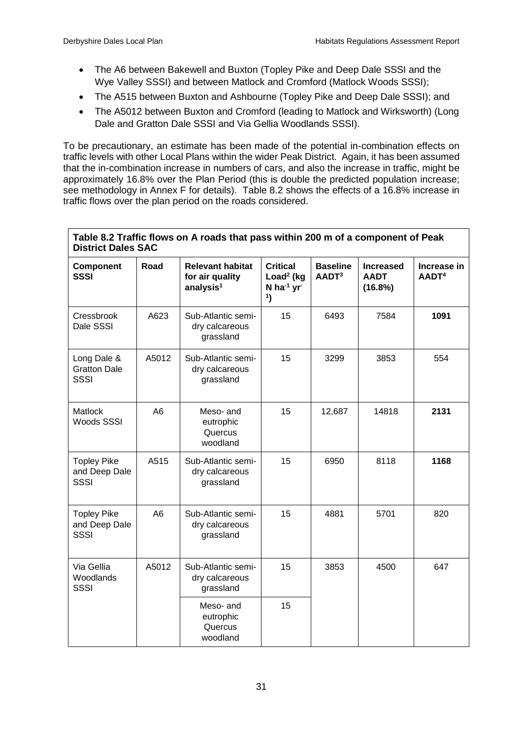$\mathbf{r}$ 

- The A6 between Bakewell and Buxton (Topley Pike and Deep Dale SSSI and the Wye Valley SSSI) and between Matlock and Cromford (Matlock Woods SSSI);
- The A515 between Buxton and Ashbourne (Topley Pike and Deep Dale SSSI); and
- The A5012 between Buxton and Cromford (leading to Matlock and Wirksworth) (Long Dale and Gratton Dale SSSI and Via Gellia Woodlands SSSI).

To be precautionary, an estimate has been made of the potential in-combination effects on traffic levels with other Local Plans within the wider Peak District. Again, it has been assumed that the in-combination increase in numbers of cars, and also the increase in traffic, might be approximately 16.8% over the Plan Period (this is double the predicted population increase; see methodology in Annex F for details). Table 8.2 shows the effects of a 16.8% increase in traffic flows over the plan period on the roads considered.

| Table 8.2 Traffic flows on A roads that pass within 200 m of a component of Peak<br><b>District Dales SAC</b> |                                                           |                                                                     |                                                                                                   |                                      |                                            |                                  |  |  |  |
|---------------------------------------------------------------------------------------------------------------|-----------------------------------------------------------|---------------------------------------------------------------------|---------------------------------------------------------------------------------------------------|--------------------------------------|--------------------------------------------|----------------------------------|--|--|--|
| Component<br><b>SSSI</b>                                                                                      | Road                                                      | <b>Relevant habitat</b><br>for air quality<br>analysis <sup>1</sup> | <b>Critical</b><br>Load <sup>2</sup> ( $kg$<br>N ha <sup>-1</sup> yr <sup>-</sup><br>$\mathbf{1}$ | <b>Baseline</b><br>AADT <sup>3</sup> | <b>Increased</b><br><b>AADT</b><br>(16.8%) | Increase in<br>AADT <sup>4</sup> |  |  |  |
| Cressbrook<br>Dale SSSI                                                                                       | A623                                                      | Sub-Atlantic semi-<br>dry calcareous<br>grassland                   | 15                                                                                                | 6493                                 | 7584                                       | 1091                             |  |  |  |
| Long Dale &<br><b>Gratton Dale</b><br><b>SSSI</b>                                                             | A5012                                                     | Sub-Atlantic semi-<br>dry calcareous<br>grassland                   | 15                                                                                                | 3299                                 | 3853                                       | 554                              |  |  |  |
| A <sub>6</sub><br><b>Matlock</b><br>Woods SSSI                                                                |                                                           | Meso- and<br>eutrophic<br>Quercus<br>woodland                       | 15                                                                                                | 12,687                               | 14818                                      | 2131                             |  |  |  |
| <b>Topley Pike</b><br>and Deep Dale<br>SSSI                                                                   | A515<br>Sub-Atlantic semi-<br>dry calcareous<br>grassland |                                                                     | 15                                                                                                | 6950                                 | 8118                                       | 1168                             |  |  |  |
| A <sub>6</sub><br><b>Topley Pike</b><br>and Deep Dale<br>SSSI                                                 |                                                           | Sub-Atlantic semi-<br>dry calcareous<br>grassland                   | 15                                                                                                | 4881                                 | 5701                                       | 820                              |  |  |  |
| Via Gellia<br>Woodlands<br>SSSI                                                                               | A5012                                                     | Sub-Atlantic semi-<br>dry calcareous<br>grassland                   | 15                                                                                                | 3853                                 | 4500                                       | 647                              |  |  |  |
|                                                                                                               |                                                           | Meso-and<br>eutrophic<br>Quercus<br>woodland                        | 15                                                                                                |                                      |                                            |                                  |  |  |  |

31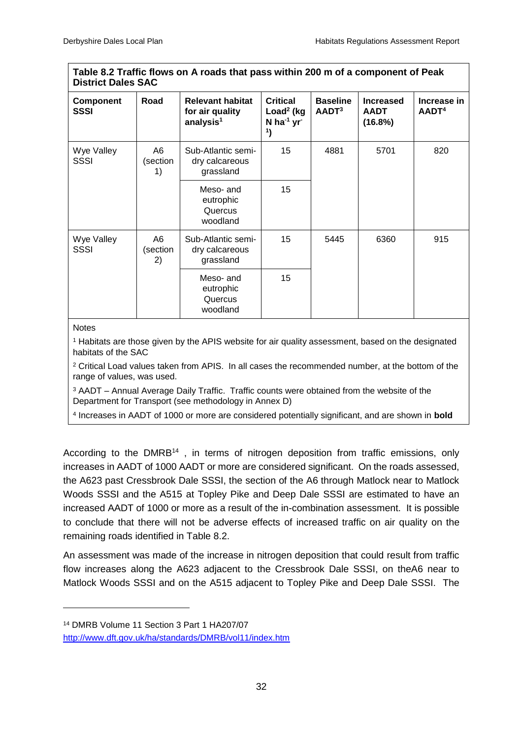| Table 8.2 Traffic flows on A roads that pass within 200 m of a component of Peak<br><b>District Dales SAC</b> |                      |                                                                     |                                                                                        |                                      |                                            |                                  |
|---------------------------------------------------------------------------------------------------------------|----------------------|---------------------------------------------------------------------|----------------------------------------------------------------------------------------|--------------------------------------|--------------------------------------------|----------------------------------|
| <b>Component</b><br>SSSI                                                                                      | Road                 | <b>Relevant habitat</b><br>for air quality<br>analysis <sup>1</sup> | <b>Critical</b><br>Load <sup>2</sup> ( $kg$<br>$N$ ha <sup>-1</sup> yr<br>$\mathbf{1}$ | <b>Baseline</b><br>AADT <sup>3</sup> | <b>Increased</b><br><b>AADT</b><br>(16.8%) | Increase in<br>AADT <sup>4</sup> |
| Wye Valley<br><b>SSSI</b>                                                                                     | A6<br>(section<br>1) | Sub-Atlantic semi-<br>dry calcareous<br>grassland                   | 15                                                                                     | 4881                                 | 5701                                       | 820                              |
|                                                                                                               |                      | Meso- and<br>eutrophic<br>Quercus<br>woodland                       | 15                                                                                     |                                      |                                            |                                  |
| Wye Valley<br><b>SSSI</b>                                                                                     | A6<br>(section<br>2) | Sub-Atlantic semi-<br>dry calcareous<br>grassland                   | 15                                                                                     | 5445                                 | 6360                                       | 915                              |
|                                                                                                               |                      | Meso- and<br>eutrophic<br>Quercus<br>woodland                       | 15                                                                                     |                                      |                                            |                                  |

#### Notes

-

<sup>1</sup> Habitats are those given by the APIS website for air quality assessment, based on the designated habitats of the SAC

<sup>2</sup> Critical Load values taken from APIS. In all cases the recommended number, at the bottom of the range of values, was used.

<sup>3</sup> AADT – Annual Average Daily Traffic. Traffic counts were obtained from the website of the Department for Transport (see methodology in Annex D)

4 Increases in AADT of 1000 or more are considered potentially significant, and are shown in **bold**

According to the DMRB<sup>14</sup>, in terms of nitrogen deposition from traffic emissions, only increases in AADT of 1000 AADT or more are considered significant. On the roads assessed, the A623 past Cressbrook Dale SSSI, the section of the A6 through Matlock near to Matlock Woods SSSI and the A515 at Topley Pike and Deep Dale SSSI are estimated to have an increased AADT of 1000 or more as a result of the in-combination assessment. It is possible to conclude that there will not be adverse effects of increased traffic on air quality on the remaining roads identified in Table 8.2.

An assessment was made of the increase in nitrogen deposition that could result from traffic flow increases along the A623 adjacent to the Cressbrook Dale SSSI, on theA6 near to Matlock Woods SSSI and on the A515 adjacent to Topley Pike and Deep Dale SSSI. The

<sup>14</sup> DMRB Volume 11 Section 3 Part 1 HA207/07

<http://www.dft.gov.uk/ha/standards/DMRB/vol11/index.htm>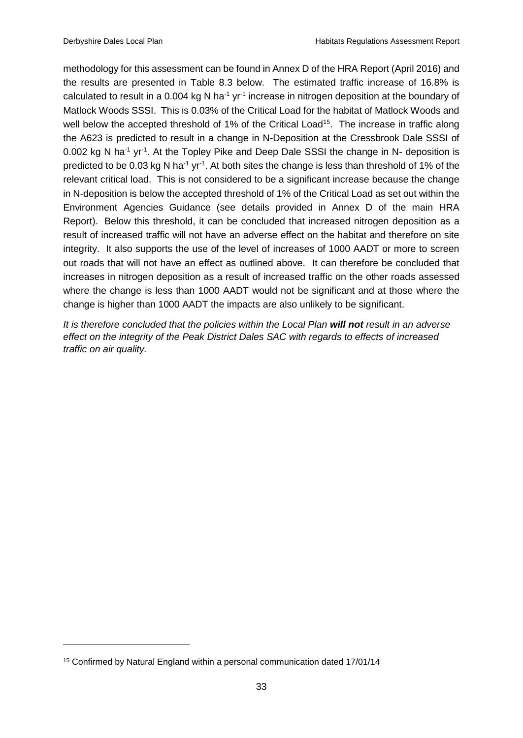methodology for this assessment can be found in Annex D of the HRA Report (April 2016) and the results are presented in Table 8.3 below. The estimated traffic increase of 16.8% is calculated to result in a 0.004 kg N ha<sup>-1</sup> yr<sup>-1</sup> increase in nitrogen deposition at the boundary of Matlock Woods SSSI. This is 0.03% of the Critical Load for the habitat of Matlock Woods and well below the accepted threshold of 1% of the Critical Load<sup>15</sup>. The increase in traffic along the A623 is predicted to result in a change in N-Deposition at the Cressbrook Dale SSSI of 0.002 kg N ha<sup>-1</sup> yr<sup>-1</sup>. At the Topley Pike and Deep Dale SSSI the change in N- deposition is predicted to be 0.03 kg N ha<sup>-1</sup> yr<sup>-1</sup>. At both sites the change is less than threshold of 1% of the relevant critical load. This is not considered to be a significant increase because the change in N-deposition is below the accepted threshold of 1% of the Critical Load as set out within the Environment Agencies Guidance (see details provided in Annex D of the main HRA Report). Below this threshold, it can be concluded that increased nitrogen deposition as a result of increased traffic will not have an adverse effect on the habitat and therefore on site integrity. It also supports the use of the level of increases of 1000 AADT or more to screen out roads that will not have an effect as outlined above. It can therefore be concluded that increases in nitrogen deposition as a result of increased traffic on the other roads assessed where the change is less than 1000 AADT would not be significant and at those where the change is higher than 1000 AADT the impacts are also unlikely to be significant.

*It is therefore concluded that the policies within the Local Plan will not result in an adverse effect on the integrity of the Peak District Dales SAC with regards to effects of increased traffic on air quality.* 

-

<sup>15</sup> Confirmed by Natural England within a personal communication dated 17/01/14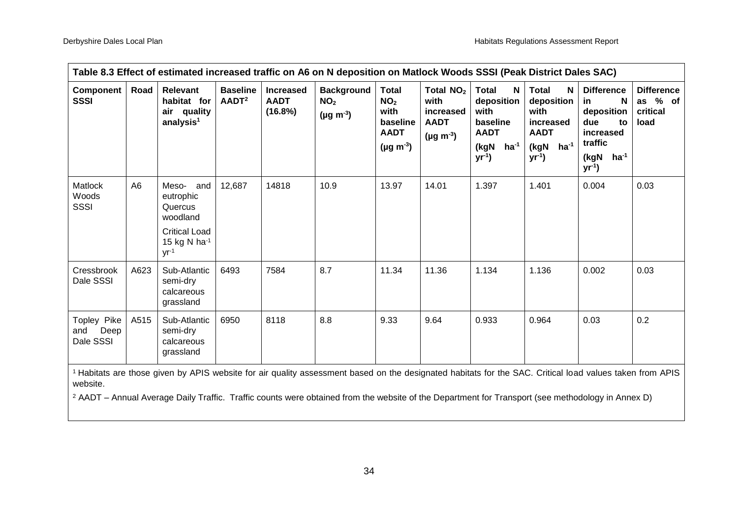| Table 8.3 Effect of estimated increased traffic on A6 on N deposition on Matlock Woods SSSI (Peak District Dales SAC)                                    |                |                                                                                                          |                                      |                                            |                                                             |                                                                                           |                                                                                  |                                                                                                               |                                                                                                   |                                                                                                                     |                                                       |
|----------------------------------------------------------------------------------------------------------------------------------------------------------|----------------|----------------------------------------------------------------------------------------------------------|--------------------------------------|--------------------------------------------|-------------------------------------------------------------|-------------------------------------------------------------------------------------------|----------------------------------------------------------------------------------|---------------------------------------------------------------------------------------------------------------|---------------------------------------------------------------------------------------------------|---------------------------------------------------------------------------------------------------------------------|-------------------------------------------------------|
| Component<br><b>SSSI</b>                                                                                                                                 | Road           | <b>Relevant</b><br>habitat for<br>air quality<br>analysis <sup>1</sup>                                   | <b>Baseline</b><br>AADT <sup>2</sup> | <b>Increased</b><br><b>AADT</b><br>(16.8%) | <b>Background</b><br>NO <sub>2</sub><br>$(\mu g \; m^{-3})$ | <b>Total</b><br>NO <sub>2</sub><br>with<br>baseline<br><b>AADT</b><br>$(\mu g \, m^{-3})$ | Total NO <sub>2</sub><br>with<br>increased<br><b>AADT</b><br>$(\mu g \, m^{-3})$ | <b>Total</b><br>N<br>deposition<br>with<br>baseline<br><b>AADT</b><br>ha <sup>-1</sup><br>(kgN<br>$yr^{-1}$ ) | <b>Total</b><br>N<br>deposition  <br>with<br>increased<br><b>AADT</b><br>(kgN ha-1<br>$yr^{-1}$ ) | <b>Difference</b><br>N<br>in<br>deposition<br>due<br>to<br>increased<br>traffic<br>$ha^{-1}$<br>(kgN<br>$yr^{-1}$ ) | <b>Difference</b><br>$%$ of<br>as<br>critical<br>load |
| Matlock<br>Woods<br>SSSI                                                                                                                                 | A <sub>6</sub> | Meso- and<br>eutrophic<br>Quercus<br>woodland<br><b>Critical Load</b><br>15 kg N ha $^{-1}$<br>$yr^{-1}$ | 12,687                               | 14818                                      | 10.9                                                        | 13.97                                                                                     | 14.01                                                                            | 1.397                                                                                                         | 1.401                                                                                             | 0.004                                                                                                               | 0.03                                                  |
| Cressbrook<br>Dale SSSI                                                                                                                                  | A623           | Sub-Atlantic<br>semi-dry<br>calcareous<br>grassland                                                      | 6493                                 | 7584                                       | 8.7                                                         | 11.34                                                                                     | 11.36                                                                            | 1.134                                                                                                         | 1.136                                                                                             | 0.002                                                                                                               | 0.03                                                  |
| Topley Pike<br>Deep<br>and<br>Dale SSSI                                                                                                                  | A515           | Sub-Atlantic<br>semi-dry<br>calcareous<br>grassland                                                      | 6950                                 | 8118                                       | 8.8                                                         | 9.33                                                                                      | 9.64                                                                             | 0.933                                                                                                         | 0.964                                                                                             | 0.03                                                                                                                | 0.2                                                   |
| 1 Habitate are those given by ADIS website for air quality assessment based on the decignated babitate for the SAC, Critical lead values taken from ADIS |                |                                                                                                          |                                      |                                            |                                                             |                                                                                           |                                                                                  |                                                                                                               |                                                                                                   |                                                                                                                     |                                                       |

<sup>1</sup>Habitats are those given by APIS website for air quality assessment based on the designated habitats for the SAC. Critical load values taken from APIS website.

<sup>2</sup> AADT – Annual Average Daily Traffic. Traffic counts were obtained from the website of the Department for Transport (see methodology in Annex D)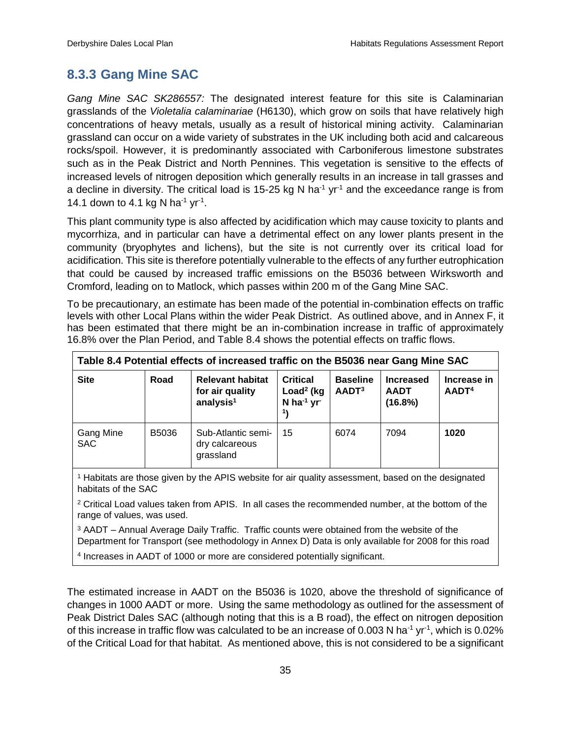## <span id="page-42-0"></span>**8.3.3 Gang Mine SAC**

*Gang Mine SAC SK286557:* The designated interest feature for this site is Calaminarian grasslands of the *Violetalia calaminariae* (H6130), which grow on soils that have relatively high concentrations of heavy metals, usually as a result of historical mining activity. Calaminarian grassland can occur on a wide variety of substrates in the UK including both acid and calcareous rocks/spoil. However, it is predominantly associated with Carboniferous limestone substrates such as in the Peak District and North Pennines. This vegetation is sensitive to the effects of increased levels of nitrogen deposition which generally results in an increase in tall grasses and a decline in diversity. The critical load is 15-25 kg N ha<sup>-1</sup> yr<sup>-1</sup> and the exceedance range is from 14.1 down to 4.1 kg N ha<sup>-1</sup> yr<sup>-1</sup>.

This plant community type is also affected by acidification which may cause toxicity to plants and mycorrhiza, and in particular can have a detrimental effect on any lower plants present in the community (bryophytes and lichens), but the site is not currently over its critical load for acidification. This site is therefore potentially vulnerable to the effects of any further eutrophication that could be caused by increased traffic emissions on the B5036 between Wirksworth and Cromford, leading on to Matlock, which passes within 200 m of the Gang Mine SAC.

To be precautionary, an estimate has been made of the potential in-combination effects on traffic levels with other Local Plans within the wider Peak District. As outlined above, and in Annex F, it has been estimated that there might be an in-combination increase in traffic of approximately 16.8% over the Plan Period, and Table 8.4 shows the potential effects on traffic flows.

| Table 8.4 Potential effects of increased traffic on the B5036 near Gang Mine SAC |       |                                                                     |                                                                              |                                      |                                            |                                  |  |
|----------------------------------------------------------------------------------|-------|---------------------------------------------------------------------|------------------------------------------------------------------------------|--------------------------------------|--------------------------------------------|----------------------------------|--|
| <b>Site</b>                                                                      | Road  | <b>Relevant habitat</b><br>for air quality<br>analysis <sup>1</sup> | Critical<br>Load <sup>2</sup> ( $kg$<br>$N$ ha <sup>-1</sup> yr <sup>-</sup> | <b>Baseline</b><br>AADT <sup>3</sup> | <b>Increased</b><br><b>AADT</b><br>(16.8%) | Increase in<br>AADT <sup>4</sup> |  |
| <b>Gang Mine</b><br><b>SAC</b>                                                   | B5036 | Sub-Atlantic semi-<br>dry calcareous<br>grassland                   | 15                                                                           | 6074                                 | 7094                                       | 1020                             |  |

<sup>1</sup> Habitats are those given by the APIS website for air quality assessment, based on the designated habitats of the SAC

<sup>2</sup> Critical Load values taken from APIS. In all cases the recommended number, at the bottom of the range of values, was used.

<sup>3</sup> AADT – Annual Average Daily Traffic. Traffic counts were obtained from the website of the Department for Transport (see methodology in Annex D) Data is only available for 2008 for this road

4 Increases in AADT of 1000 or more are considered potentially significant.

The estimated increase in AADT on the B5036 is 1020, above the threshold of significance of changes in 1000 AADT or more. Using the same methodology as outlined for the assessment of Peak District Dales SAC (although noting that this is a B road), the effect on nitrogen deposition of this increase in traffic flow was calculated to be an increase of 0.003 N ha<sup>-1</sup> yr<sup>-1</sup>, which is 0.02% of the Critical Load for that habitat. As mentioned above, this is not considered to be a significant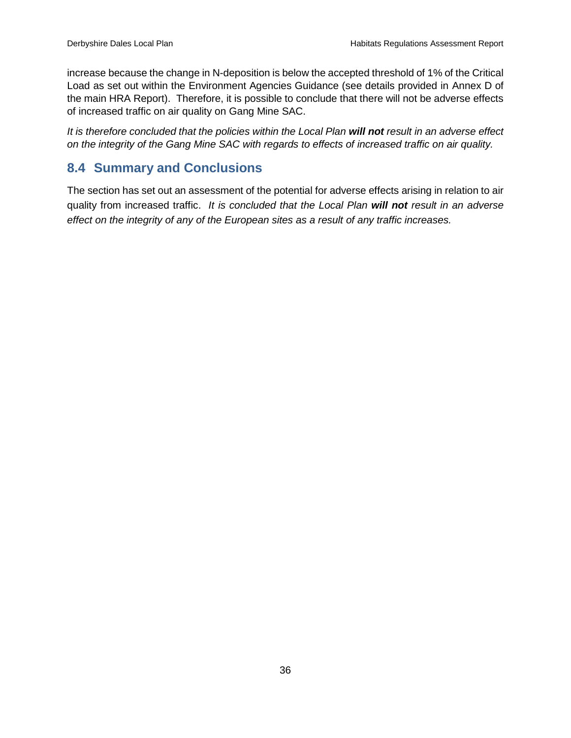increase because the change in N-deposition is below the accepted threshold of 1% of the Critical Load as set out within the Environment Agencies Guidance (see details provided in Annex D of the main HRA Report). Therefore, it is possible to conclude that there will not be adverse effects of increased traffic on air quality on Gang Mine SAC.

*It is therefore concluded that the policies within the Local Plan will not result in an adverse effect on the integrity of the Gang Mine SAC with regards to effects of increased traffic on air quality.* 

## <span id="page-43-0"></span>**8.4 Summary and Conclusions**

The section has set out an assessment of the potential for adverse effects arising in relation to air quality from increased traffic. *It is concluded that the Local Plan will not result in an adverse effect on the integrity of any of the European sites as a result of any traffic increases.*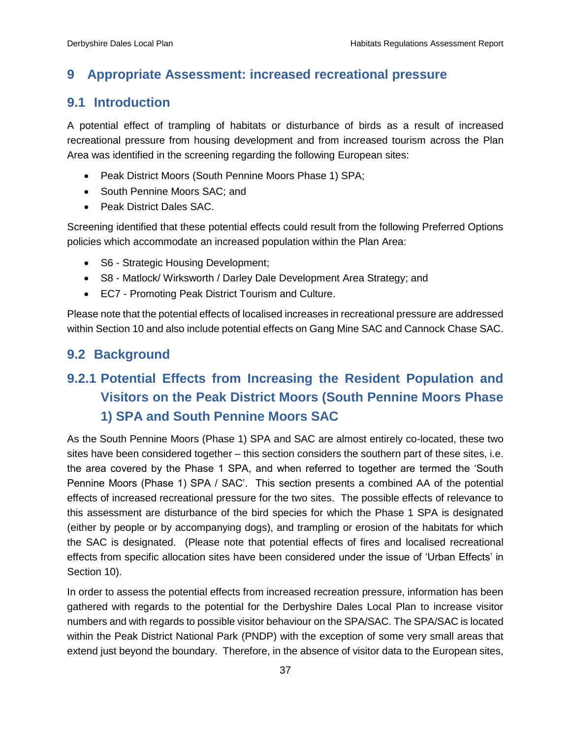## <span id="page-44-0"></span>**9 Appropriate Assessment: increased recreational pressure**

## <span id="page-44-1"></span>**9.1 Introduction**

A potential effect of trampling of habitats or disturbance of birds as a result of increased recreational pressure from housing development and from increased tourism across the Plan Area was identified in the screening regarding the following European sites:

- Peak District Moors (South Pennine Moors Phase 1) SPA;
- South Pennine Moors SAC: and
- Peak District Dales SAC.

Screening identified that these potential effects could result from the following Preferred Options policies which accommodate an increased population within the Plan Area:

- S6 Strategic Housing Development;
- S8 Matlock/ Wirksworth / Darley Dale Development Area Strategy; and
- EC7 Promoting Peak District Tourism and Culture.

Please note that the potential effects of localised increases in recreational pressure are addressed within Section 10 and also include potential effects on Gang Mine SAC and Cannock Chase SAC.

## <span id="page-44-2"></span>**9.2 Background**

# <span id="page-44-3"></span>**9.2.1 Potential Effects from Increasing the Resident Population and Visitors on the Peak District Moors (South Pennine Moors Phase 1) SPA and South Pennine Moors SAC**

As the South Pennine Moors (Phase 1) SPA and SAC are almost entirely co-located, these two sites have been considered together – this section considers the southern part of these sites, i.e. the area covered by the Phase 1 SPA, and when referred to together are termed the 'South Pennine Moors (Phase 1) SPA / SAC'. This section presents a combined AA of the potential effects of increased recreational pressure for the two sites. The possible effects of relevance to this assessment are disturbance of the bird species for which the Phase 1 SPA is designated (either by people or by accompanying dogs), and trampling or erosion of the habitats for which the SAC is designated. (Please note that potential effects of fires and localised recreational effects from specific allocation sites have been considered under the issue of 'Urban Effects' in Section 10).

In order to assess the potential effects from increased recreation pressure, information has been gathered with regards to the potential for the Derbyshire Dales Local Plan to increase visitor numbers and with regards to possible visitor behaviour on the SPA/SAC. The SPA/SAC is located within the Peak District National Park (PNDP) with the exception of some very small areas that extend just beyond the boundary. Therefore, in the absence of visitor data to the European sites,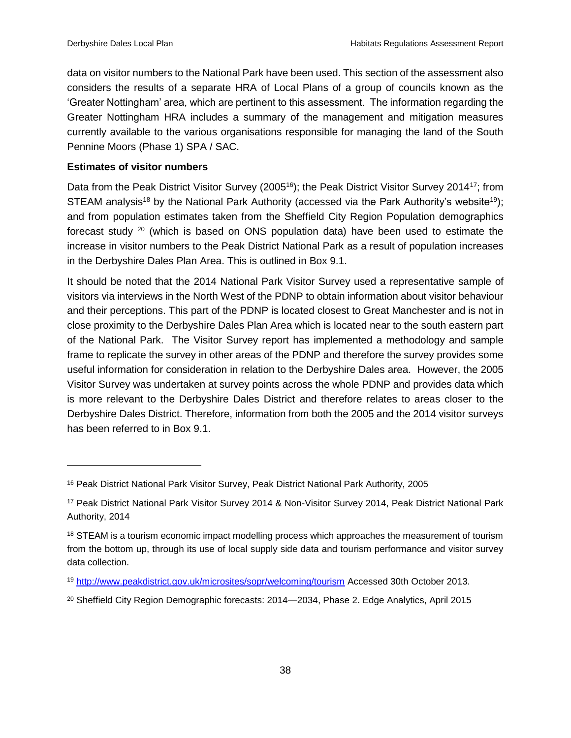data on visitor numbers to the National Park have been used. This section of the assessment also considers the results of a separate HRA of Local Plans of a group of councils known as the 'Greater Nottingham' area, which are pertinent to this assessment. The information regarding the Greater Nottingham HRA includes a summary of the management and mitigation measures currently available to the various organisations responsible for managing the land of the South Pennine Moors (Phase 1) SPA / SAC.

#### **Estimates of visitor numbers**

Data from the Peak District Visitor Survey (2005<sup>16</sup>); the Peak District Visitor Survey 2014<sup>17</sup>; from STEAM analysis<sup>18</sup> by the National Park Authority (accessed via the Park Authority's website<sup>19</sup>); and from population estimates taken from the Sheffield City Region Population demographics forecast study  $20$  (which is based on ONS population data) have been used to estimate the increase in visitor numbers to the Peak District National Park as a result of population increases in the Derbyshire Dales Plan Area. This is outlined in Box 9.1.

It should be noted that the 2014 National Park Visitor Survey used a representative sample of visitors via interviews in the North West of the PDNP to obtain information about visitor behaviour and their perceptions. This part of the PDNP is located closest to Great Manchester and is not in close proximity to the Derbyshire Dales Plan Area which is located near to the south eastern part of the National Park. The Visitor Survey report has implemented a methodology and sample frame to replicate the survey in other areas of the PDNP and therefore the survey provides some useful information for consideration in relation to the Derbyshire Dales area. However, the 2005 Visitor Survey was undertaken at survey points across the whole PDNP and provides data which is more relevant to the Derbyshire Dales District and therefore relates to areas closer to the Derbyshire Dales District. Therefore, information from both the 2005 and the 2014 visitor surveys has been referred to in Box 9.1.

<sup>16</sup> Peak District National Park Visitor Survey, Peak District National Park Authority, 2005

<sup>17</sup> Peak District National Park Visitor Survey 2014 & Non-Visitor Survey 2014, Peak District National Park Authority, 2014

<sup>&</sup>lt;sup>18</sup> STEAM is a tourism economic impact modelling process which approaches the measurement of tourism from the bottom up, through its use of local supply side data and tourism performance and visitor survey data collection.

<sup>19</sup> <http://www.peakdistrict.gov.uk/microsites/sopr/welcoming/tourism> Accessed 30th October 2013.

<sup>&</sup>lt;sup>20</sup> Sheffield City Region Demographic forecasts: 2014—2034, Phase 2. Edge Analytics, April 2015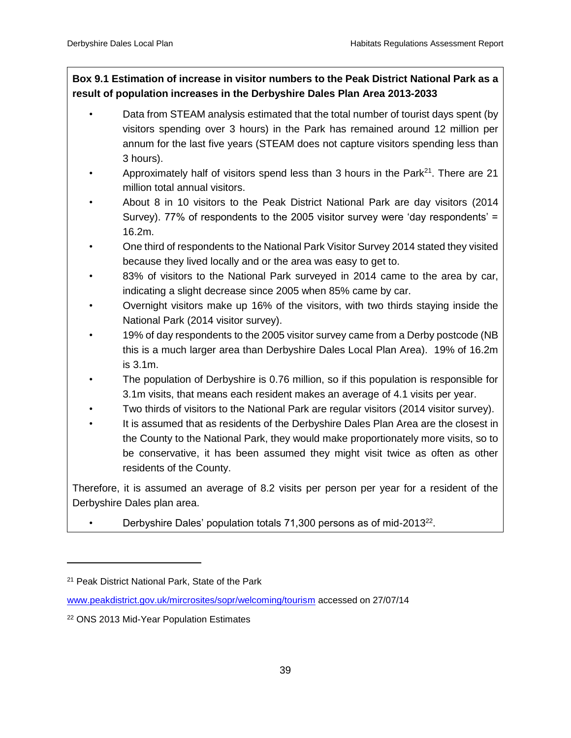## **Box 9.1 Estimation of increase in visitor numbers to the Peak District National Park as a result of population increases in the Derbyshire Dales Plan Area 2013-2033**

- Data from STEAM analysis estimated that the total number of tourist days spent (by visitors spending over 3 hours) in the Park has remained around 12 million per annum for the last five years (STEAM does not capture visitors spending less than 3 hours).
- Approximately half of visitors spend less than 3 hours in the Park<sup>21</sup>. There are 21 million total annual visitors.
- About 8 in 10 visitors to the Peak District National Park are day visitors (2014 Survey). 77% of respondents to the 2005 visitor survey were 'day respondents' = 16.2m.
- One third of respondents to the National Park Visitor Survey 2014 stated they visited because they lived locally and or the area was easy to get to.
- 83% of visitors to the National Park surveyed in 2014 came to the area by car, indicating a slight decrease since 2005 when 85% came by car.
- Overnight visitors make up 16% of the visitors, with two thirds staying inside the National Park (2014 visitor survey).
- 19% of day respondents to the 2005 visitor survey came from a Derby postcode (NB this is a much larger area than Derbyshire Dales Local Plan Area). 19% of 16.2m is 3.1m.
- The population of Derbyshire is 0.76 million, so if this population is responsible for 3.1m visits, that means each resident makes an average of 4.1 visits per year.
- Two thirds of visitors to the National Park are regular visitors (2014 visitor survey).
- It is assumed that as residents of the Derbyshire Dales Plan Area are the closest in the County to the National Park, they would make proportionately more visits, so to be conservative, it has been assumed they might visit twice as often as other residents of the County.

Therefore, it is assumed an average of 8.2 visits per person per year for a resident of the Derbyshire Dales plan area.

• Derbyshire Dales' population totals 71,300 persons as of mid-2013<sup>22</sup>.

 $\overline{a}$ 

<sup>21</sup> Peak District National Park, State of the Park

[www.peakdistrict.gov.uk/mircrosites/sopr/welcoming/tourism](http://www.peakdistrict.gov.uk/mircrosites/sopr/welcoming/tourism) accessed on 27/07/14

<sup>22</sup> ONS 2013 Mid-Year Population Estimates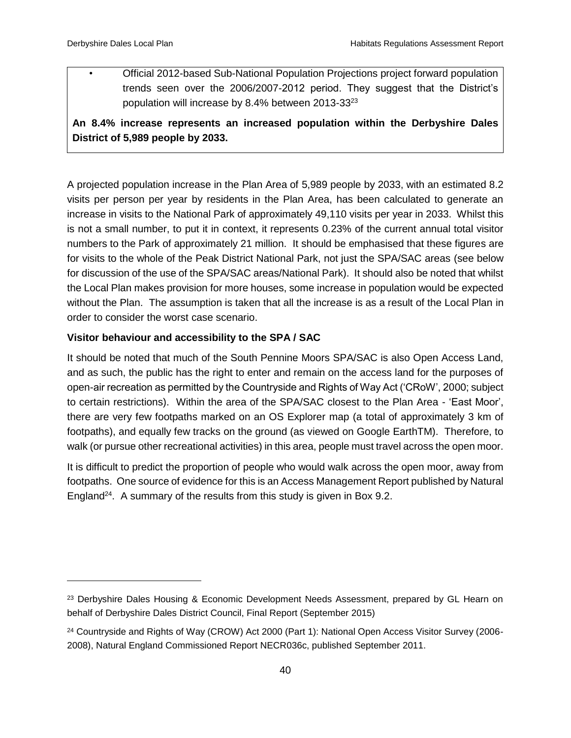• Official 2012-based Sub-National Population Projections project forward population trends seen over the 2006/2007-2012 period. They suggest that the District's population will increase by 8.4% between 2013-33<sup>23</sup>

**An 8.4% increase represents an increased population within the Derbyshire Dales District of 5,989 people by 2033.**

A projected population increase in the Plan Area of 5,989 people by 2033, with an estimated 8.2 visits per person per year by residents in the Plan Area, has been calculated to generate an increase in visits to the National Park of approximately 49,110 visits per year in 2033. Whilst this is not a small number, to put it in context, it represents 0.23% of the current annual total visitor numbers to the Park of approximately 21 million. It should be emphasised that these figures are for visits to the whole of the Peak District National Park, not just the SPA/SAC areas (see below for discussion of the use of the SPA/SAC areas/National Park). It should also be noted that whilst the Local Plan makes provision for more houses, some increase in population would be expected without the Plan. The assumption is taken that all the increase is as a result of the Local Plan in order to consider the worst case scenario.

## **Visitor behaviour and accessibility to the SPA / SAC**

It should be noted that much of the South Pennine Moors SPA/SAC is also Open Access Land, and as such, the public has the right to enter and remain on the access land for the purposes of open-air recreation as permitted by the Countryside and Rights of Way Act ('CRoW', 2000; subject to certain restrictions). Within the area of the SPA/SAC closest to the Plan Area - 'East Moor', there are very few footpaths marked on an OS Explorer map (a total of approximately 3 km of footpaths), and equally few tracks on the ground (as viewed on Google EarthTM). Therefore, to walk (or pursue other recreational activities) in this area, people must travel across the open moor.

It is difficult to predict the proportion of people who would walk across the open moor, away from footpaths. One source of evidence for this is an Access Management Report published by Natural England<sup>24</sup>. A summary of the results from this study is given in Box 9.2.

<sup>&</sup>lt;sup>23</sup> Derbyshire Dales Housing & Economic Development Needs Assessment, prepared by GL Hearn on behalf of Derbyshire Dales District Council, Final Report (September 2015)

<sup>&</sup>lt;sup>24</sup> Countryside and Rights of Way (CROW) Act 2000 (Part 1): National Open Access Visitor Survey (2006-2008), Natural England Commissioned Report NECR036c, published September 2011.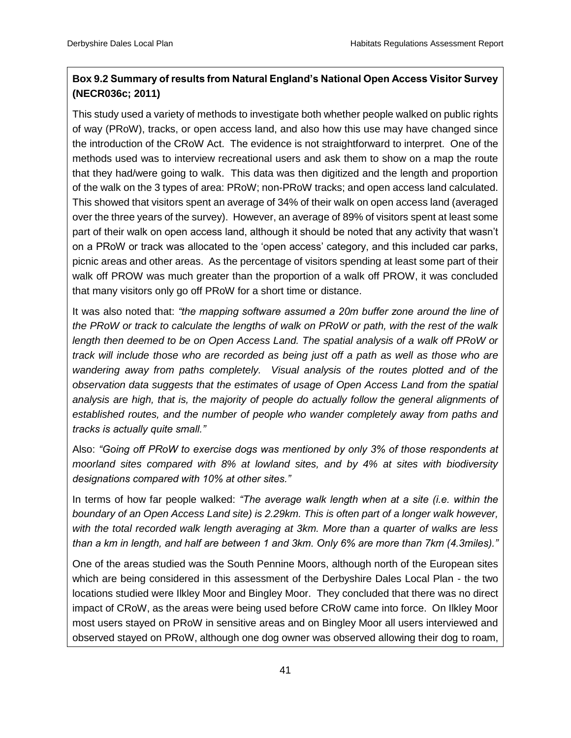## **Box 9.2 Summary of results from Natural England's National Open Access Visitor Survey (NECR036c; 2011)**

This study used a variety of methods to investigate both whether people walked on public rights of way (PRoW), tracks, or open access land, and also how this use may have changed since the introduction of the CRoW Act. The evidence is not straightforward to interpret. One of the methods used was to interview recreational users and ask them to show on a map the route that they had/were going to walk. This data was then digitized and the length and proportion of the walk on the 3 types of area: PRoW; non-PRoW tracks; and open access land calculated. This showed that visitors spent an average of 34% of their walk on open access land (averaged over the three years of the survey). However, an average of 89% of visitors spent at least some part of their walk on open access land, although it should be noted that any activity that wasn't on a PRoW or track was allocated to the 'open access' category, and this included car parks, picnic areas and other areas. As the percentage of visitors spending at least some part of their walk off PROW was much greater than the proportion of a walk off PROW, it was concluded that many visitors only go off PRoW for a short time or distance.

It was also noted that: *"the mapping software assumed a 20m buffer zone around the line of the PRoW or track to calculate the lengths of walk on PRoW or path, with the rest of the walk length then deemed to be on Open Access Land. The spatial analysis of a walk off PRoW or track will include those who are recorded as being just off a path as well as those who are wandering away from paths completely. Visual analysis of the routes plotted and of the observation data suggests that the estimates of usage of Open Access Land from the spatial analysis are high, that is, the majority of people do actually follow the general alignments of established routes, and the number of people who wander completely away from paths and tracks is actually quite small."*

Also: *"Going off PRoW to exercise dogs was mentioned by only 3% of those respondents at moorland sites compared with 8% at lowland sites, and by 4% at sites with biodiversity designations compared with 10% at other sites."*

In terms of how far people walked: *"The average walk length when at a site (i.e. within the boundary of an Open Access Land site) is 2.29km. This is often part of a longer walk however, with the total recorded walk length averaging at 3km. More than a quarter of walks are less than a km in length, and half are between 1 and 3km. Only 6% are more than 7km (4.3miles)."*

One of the areas studied was the South Pennine Moors, although north of the European sites which are being considered in this assessment of the Derbyshire Dales Local Plan - the two locations studied were Ilkley Moor and Bingley Moor. They concluded that there was no direct impact of CRoW, as the areas were being used before CRoW came into force. On Ilkley Moor most users stayed on PRoW in sensitive areas and on Bingley Moor all users interviewed and observed stayed on PRoW, although one dog owner was observed allowing their dog to roam,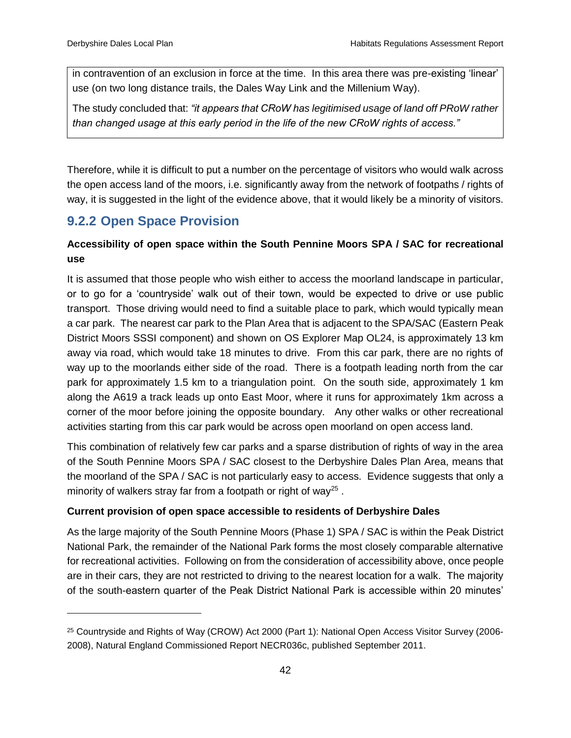in contravention of an exclusion in force at the time. In this area there was pre-existing 'linear' use (on two long distance trails, the Dales Way Link and the Millenium Way).

The study concluded that: *"it appears that CRoW has legitimised usage of land off PRoW rather than changed usage at this early period in the life of the new CRoW rights of access."*

Therefore, while it is difficult to put a number on the percentage of visitors who would walk across the open access land of the moors, i.e. significantly away from the network of footpaths / rights of way, it is suggested in the light of the evidence above, that it would likely be a minority of visitors.

# <span id="page-49-0"></span>**9.2.2 Open Space Provision**

 $\overline{a}$ 

## **Accessibility of open space within the South Pennine Moors SPA / SAC for recreational use**

It is assumed that those people who wish either to access the moorland landscape in particular, or to go for a 'countryside' walk out of their town, would be expected to drive or use public transport. Those driving would need to find a suitable place to park, which would typically mean a car park. The nearest car park to the Plan Area that is adjacent to the SPA/SAC (Eastern Peak District Moors SSSI component) and shown on OS Explorer Map OL24, is approximately 13 km away via road, which would take 18 minutes to drive. From this car park, there are no rights of way up to the moorlands either side of the road. There is a footpath leading north from the car park for approximately 1.5 km to a triangulation point. On the south side, approximately 1 km along the A619 a track leads up onto East Moor, where it runs for approximately 1km across a corner of the moor before joining the opposite boundary. Any other walks or other recreational activities starting from this car park would be across open moorland on open access land.

This combination of relatively few car parks and a sparse distribution of rights of way in the area of the South Pennine Moors SPA / SAC closest to the Derbyshire Dales Plan Area, means that the moorland of the SPA / SAC is not particularly easy to access. Evidence suggests that only a minority of walkers stray far from a footpath or right of way<sup>25</sup>.

## **Current provision of open space accessible to residents of Derbyshire Dales**

As the large majority of the South Pennine Moors (Phase 1) SPA / SAC is within the Peak District National Park, the remainder of the National Park forms the most closely comparable alternative for recreational activities. Following on from the consideration of accessibility above, once people are in their cars, they are not restricted to driving to the nearest location for a walk. The majority of the south-eastern quarter of the Peak District National Park is accessible within 20 minutes'

<sup>25</sup> Countryside and Rights of Way (CROW) Act 2000 (Part 1): National Open Access Visitor Survey (2006- 2008), Natural England Commissioned Report NECR036c, published September 2011.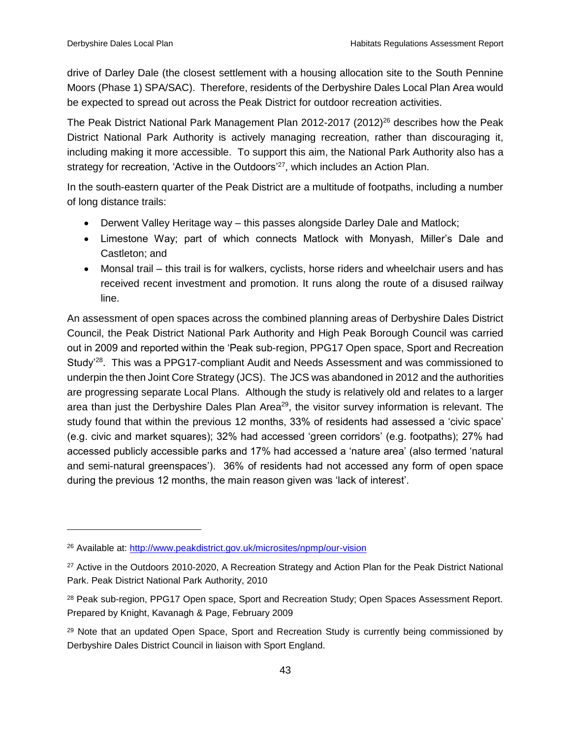drive of Darley Dale (the closest settlement with a housing allocation site to the South Pennine Moors (Phase 1) SPA/SAC). Therefore, residents of the Derbyshire Dales Local Plan Area would be expected to spread out across the Peak District for outdoor recreation activities.

The Peak District National Park Management Plan 2012-2017 (2012)<sup>26</sup> describes how the Peak District National Park Authority is actively managing recreation, rather than discouraging it, including making it more accessible. To support this aim, the National Park Authority also has a strategy for recreation, 'Active in the Outdoors'<sup>27</sup>, which includes an Action Plan.

In the south-eastern quarter of the Peak District are a multitude of footpaths, including a number of long distance trails:

- Derwent Valley Heritage way this passes alongside Darley Dale and Matlock;
- Limestone Way; part of which connects Matlock with Monyash, Miller's Dale and Castleton; and
- Monsal trail this trail is for walkers, cyclists, horse riders and wheelchair users and has received recent investment and promotion. It runs along the route of a disused railway line.

An assessment of open spaces across the combined planning areas of Derbyshire Dales District Council, the Peak District National Park Authority and High Peak Borough Council was carried out in 2009 and reported within the 'Peak sub-region, PPG17 Open space, Sport and Recreation Study'<sup>28</sup>. This was a PPG17-compliant Audit and Needs Assessment and was commissioned to underpin the then Joint Core Strategy (JCS). The JCS was abandoned in 2012 and the authorities are progressing separate Local Plans. Although the study is relatively old and relates to a larger area than just the Derbyshire Dales Plan Area<sup>29</sup>, the visitor survey information is relevant. The study found that within the previous 12 months, 33% of residents had assessed a 'civic space' (e.g. civic and market squares); 32% had accessed 'green corridors' (e.g. footpaths); 27% had accessed publicly accessible parks and 17% had accessed a 'nature area' (also termed 'natural and semi-natural greenspaces'). 36% of residents had not accessed any form of open space during the previous 12 months, the main reason given was 'lack of interest'.

<sup>26</sup> Available at:<http://www.peakdistrict.gov.uk/microsites/npmp/our-vision>

<sup>&</sup>lt;sup>27</sup> Active in the Outdoors 2010-2020, A Recreation Strategy and Action Plan for the Peak District National Park. Peak District National Park Authority, 2010

<sup>&</sup>lt;sup>28</sup> Peak sub-region, PPG17 Open space, Sport and Recreation Study; Open Spaces Assessment Report. Prepared by Knight, Kavanagh & Page, February 2009

<sup>&</sup>lt;sup>29</sup> Note that an updated Open Space, Sport and Recreation Study is currently being commissioned by Derbyshire Dales District Council in liaison with Sport England.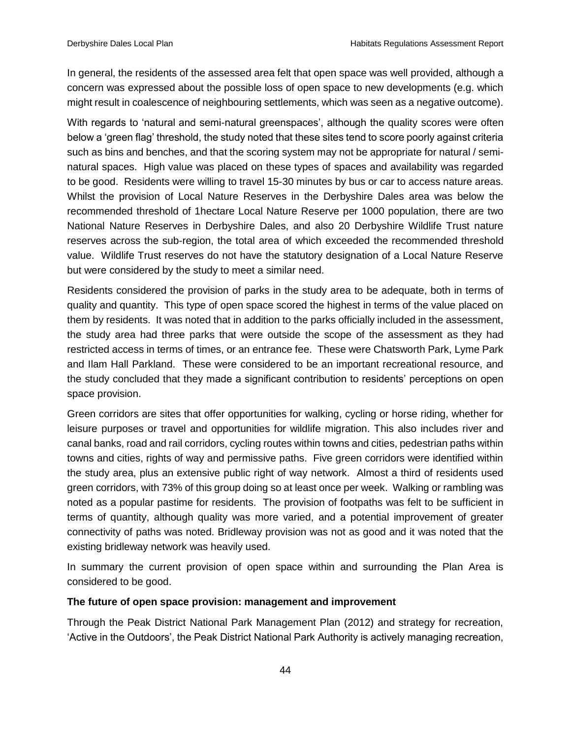In general, the residents of the assessed area felt that open space was well provided, although a concern was expressed about the possible loss of open space to new developments (e.g. which might result in coalescence of neighbouring settlements, which was seen as a negative outcome).

With regards to 'natural and semi-natural greenspaces', although the quality scores were often below a 'green flag' threshold, the study noted that these sites tend to score poorly against criteria such as bins and benches, and that the scoring system may not be appropriate for natural / seminatural spaces. High value was placed on these types of spaces and availability was regarded to be good. Residents were willing to travel 15-30 minutes by bus or car to access nature areas. Whilst the provision of Local Nature Reserves in the Derbyshire Dales area was below the recommended threshold of 1hectare Local Nature Reserve per 1000 population, there are two National Nature Reserves in Derbyshire Dales, and also 20 Derbyshire Wildlife Trust nature reserves across the sub-region, the total area of which exceeded the recommended threshold value. Wildlife Trust reserves do not have the statutory designation of a Local Nature Reserve but were considered by the study to meet a similar need.

Residents considered the provision of parks in the study area to be adequate, both in terms of quality and quantity. This type of open space scored the highest in terms of the value placed on them by residents. It was noted that in addition to the parks officially included in the assessment, the study area had three parks that were outside the scope of the assessment as they had restricted access in terms of times, or an entrance fee. These were Chatsworth Park, Lyme Park and Ilam Hall Parkland. These were considered to be an important recreational resource, and the study concluded that they made a significant contribution to residents' perceptions on open space provision.

Green corridors are sites that offer opportunities for walking, cycling or horse riding, whether for leisure purposes or travel and opportunities for wildlife migration. This also includes river and canal banks, road and rail corridors, cycling routes within towns and cities, pedestrian paths within towns and cities, rights of way and permissive paths. Five green corridors were identified within the study area, plus an extensive public right of way network. Almost a third of residents used green corridors, with 73% of this group doing so at least once per week. Walking or rambling was noted as a popular pastime for residents. The provision of footpaths was felt to be sufficient in terms of quantity, although quality was more varied, and a potential improvement of greater connectivity of paths was noted. Bridleway provision was not as good and it was noted that the existing bridleway network was heavily used.

In summary the current provision of open space within and surrounding the Plan Area is considered to be good.

#### **The future of open space provision: management and improvement**

Through the Peak District National Park Management Plan (2012) and strategy for recreation, 'Active in the Outdoors', the Peak District National Park Authority is actively managing recreation,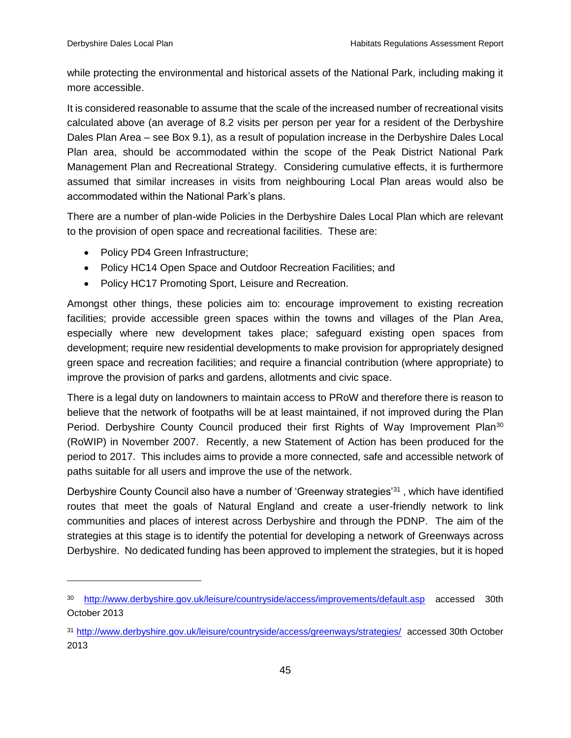while protecting the environmental and historical assets of the National Park, including making it more accessible.

It is considered reasonable to assume that the scale of the increased number of recreational visits calculated above (an average of 8.2 visits per person per year for a resident of the Derbyshire Dales Plan Area – see Box 9.1), as a result of population increase in the Derbyshire Dales Local Plan area, should be accommodated within the scope of the Peak District National Park Management Plan and Recreational Strategy. Considering cumulative effects, it is furthermore assumed that similar increases in visits from neighbouring Local Plan areas would also be accommodated within the National Park's plans.

There are a number of plan-wide Policies in the Derbyshire Dales Local Plan which are relevant to the provision of open space and recreational facilities. These are:

- Policy PD4 Green Infrastructure;
- Policy HC14 Open Space and Outdoor Recreation Facilities; and
- Policy HC17 Promoting Sport, Leisure and Recreation.

Amongst other things, these policies aim to: encourage improvement to existing recreation facilities; provide accessible green spaces within the towns and villages of the Plan Area, especially where new development takes place; safeguard existing open spaces from development; require new residential developments to make provision for appropriately designed green space and recreation facilities; and require a financial contribution (where appropriate) to improve the provision of parks and gardens, allotments and civic space.

There is a legal duty on landowners to maintain access to PRoW and therefore there is reason to believe that the network of footpaths will be at least maintained, if not improved during the Plan Period. Derbyshire County Council produced their first Rights of Way Improvement Plan<sup>30</sup> (RoWIP) in November 2007. Recently, a new Statement of Action has been produced for the period to 2017. This includes aims to provide a more connected, safe and accessible network of paths suitable for all users and improve the use of the network.

Derbyshire County Council also have a number of 'Greenway strategies'<sup>31</sup>, which have identified routes that meet the goals of Natural England and create a user-friendly network to link communities and places of interest across Derbyshire and through the PDNP. The aim of the strategies at this stage is to identify the potential for developing a network of Greenways across Derbyshire. No dedicated funding has been approved to implement the strategies, but it is hoped

<sup>30</sup> <http://www.derbyshire.gov.uk/leisure/countryside/access/improvements/default.asp> accessed 30th October 2013

<sup>31</sup> <http://www.derbyshire.gov.uk/leisure/countryside/access/greenways/strategies/> accessed 30th October 2013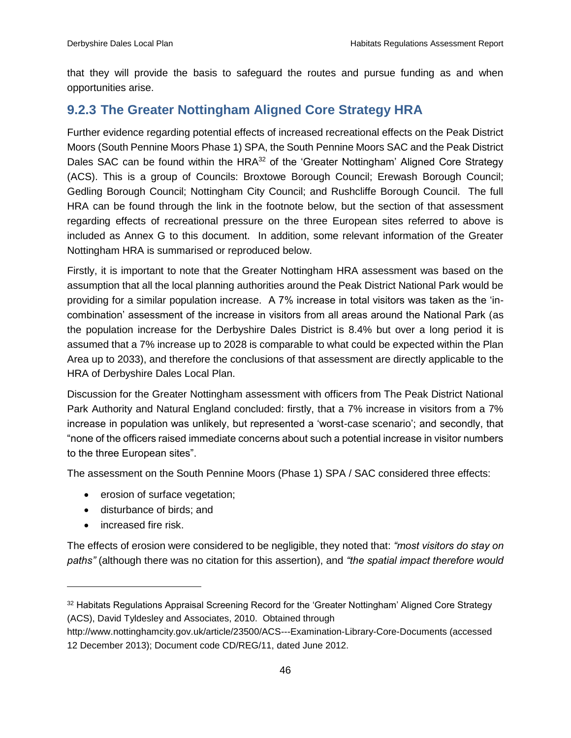that they will provide the basis to safeguard the routes and pursue funding as and when opportunities arise.

## <span id="page-53-0"></span>**9.2.3 The Greater Nottingham Aligned Core Strategy HRA**

Further evidence regarding potential effects of increased recreational effects on the Peak District Moors (South Pennine Moors Phase 1) SPA, the South Pennine Moors SAC and the Peak District Dales SAC can be found within the HRA<sup>32</sup> of the 'Greater Nottingham' Aligned Core Strategy (ACS). This is a group of Councils: Broxtowe Borough Council; Erewash Borough Council; Gedling Borough Council; Nottingham City Council; and Rushcliffe Borough Council. The full HRA can be found through the link in the footnote below, but the section of that assessment regarding effects of recreational pressure on the three European sites referred to above is included as Annex G to this document. In addition, some relevant information of the Greater Nottingham HRA is summarised or reproduced below.

Firstly, it is important to note that the Greater Nottingham HRA assessment was based on the assumption that all the local planning authorities around the Peak District National Park would be providing for a similar population increase. A 7% increase in total visitors was taken as the 'incombination' assessment of the increase in visitors from all areas around the National Park (as the population increase for the Derbyshire Dales District is 8.4% but over a long period it is assumed that a 7% increase up to 2028 is comparable to what could be expected within the Plan Area up to 2033), and therefore the conclusions of that assessment are directly applicable to the HRA of Derbyshire Dales Local Plan.

Discussion for the Greater Nottingham assessment with officers from The Peak District National Park Authority and Natural England concluded: firstly, that a 7% increase in visitors from a 7% increase in population was unlikely, but represented a 'worst-case scenario'; and secondly, that "none of the officers raised immediate concerns about such a potential increase in visitor numbers to the three European sites".

The assessment on the South Pennine Moors (Phase 1) SPA / SAC considered three effects:

- erosion of surface vegetation;
- disturbance of birds; and
- increased fire risk.

The effects of erosion were considered to be negligible, they noted that: *"most visitors do stay on paths"* (although there was no citation for this assertion), and *"the spatial impact therefore would* 

<sup>&</sup>lt;sup>32</sup> Habitats Regulations Appraisal Screening Record for the 'Greater Nottingham' Aligned Core Strategy (ACS), David Tyldesley and Associates, 2010. Obtained through

http://www.nottinghamcity.gov.uk/article/23500/ACS---Examination-Library-Core-Documents (accessed 12 December 2013); Document code CD/REG/11, dated June 2012.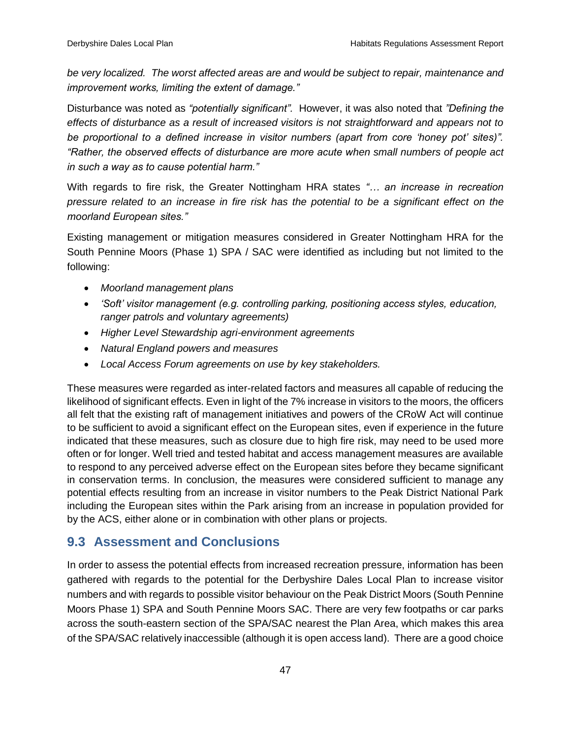*be very localized. The worst affected areas are and would be subject to repair, maintenance and improvement works, limiting the extent of damage."*

Disturbance was noted as *"potentially significant".* However, it was also noted that *"Defining the effects of disturbance as a result of increased visitors is not straightforward and appears not to be proportional to a defined increase in visitor numbers (apart from core 'honey pot' sites)". "Rather, the observed effects of disturbance are more acute when small numbers of people act in such a way as to cause potential harm."*

With regards to fire risk, the Greater Nottingham HRA states *"… an increase in recreation pressure related to an increase in fire risk has the potential to be a significant effect on the moorland European sites."*

Existing management or mitigation measures considered in Greater Nottingham HRA for the South Pennine Moors (Phase 1) SPA / SAC were identified as including but not limited to the following:

- *Moorland management plans*
- *'Soft' visitor management (e.g. controlling parking, positioning access styles, education, ranger patrols and voluntary agreements)*
- *Higher Level Stewardship agri-environment agreements*
- *Natural England powers and measures*
- *Local Access Forum agreements on use by key stakeholders.*

These measures were regarded as inter-related factors and measures all capable of reducing the likelihood of significant effects. Even in light of the 7% increase in visitors to the moors, the officers all felt that the existing raft of management initiatives and powers of the CRoW Act will continue to be sufficient to avoid a significant effect on the European sites, even if experience in the future indicated that these measures, such as closure due to high fire risk, may need to be used more often or for longer. Well tried and tested habitat and access management measures are available to respond to any perceived adverse effect on the European sites before they became significant in conservation terms. In conclusion, the measures were considered sufficient to manage any potential effects resulting from an increase in visitor numbers to the Peak District National Park including the European sites within the Park arising from an increase in population provided for by the ACS, either alone or in combination with other plans or projects.

## <span id="page-54-0"></span>**9.3 Assessment and Conclusions**

In order to assess the potential effects from increased recreation pressure, information has been gathered with regards to the potential for the Derbyshire Dales Local Plan to increase visitor numbers and with regards to possible visitor behaviour on the Peak District Moors (South Pennine Moors Phase 1) SPA and South Pennine Moors SAC. There are very few footpaths or car parks across the south-eastern section of the SPA/SAC nearest the Plan Area, which makes this area of the SPA/SAC relatively inaccessible (although it is open access land). There are a good choice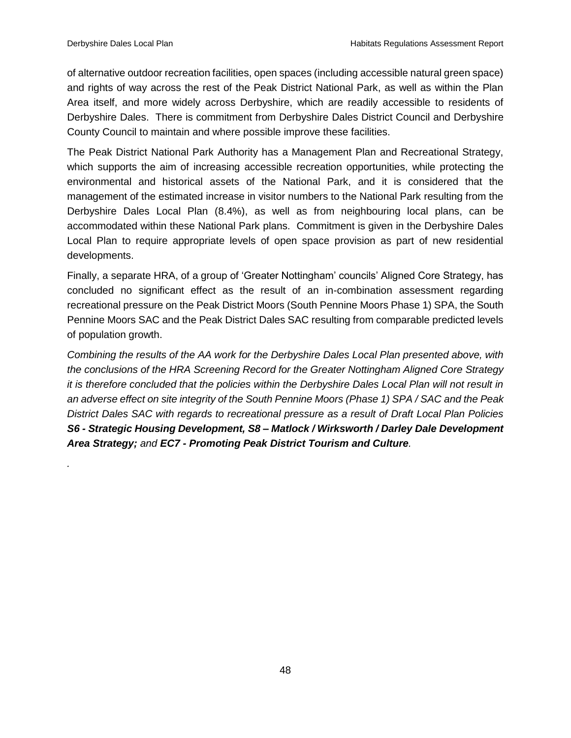*.*

of alternative outdoor recreation facilities, open spaces (including accessible natural green space) and rights of way across the rest of the Peak District National Park, as well as within the Plan Area itself, and more widely across Derbyshire, which are readily accessible to residents of Derbyshire Dales. There is commitment from Derbyshire Dales District Council and Derbyshire County Council to maintain and where possible improve these facilities.

The Peak District National Park Authority has a Management Plan and Recreational Strategy, which supports the aim of increasing accessible recreation opportunities, while protecting the environmental and historical assets of the National Park, and it is considered that the management of the estimated increase in visitor numbers to the National Park resulting from the Derbyshire Dales Local Plan (8.4%), as well as from neighbouring local plans, can be accommodated within these National Park plans. Commitment is given in the Derbyshire Dales Local Plan to require appropriate levels of open space provision as part of new residential developments.

Finally, a separate HRA, of a group of 'Greater Nottingham' councils' Aligned Core Strategy, has concluded no significant effect as the result of an in-combination assessment regarding recreational pressure on the Peak District Moors (South Pennine Moors Phase 1) SPA, the South Pennine Moors SAC and the Peak District Dales SAC resulting from comparable predicted levels of population growth.

*Combining the results of the AA work for the Derbyshire Dales Local Plan presented above, with the conclusions of the HRA Screening Record for the Greater Nottingham Aligned Core Strategy it is therefore concluded that the policies within the Derbyshire Dales Local Plan will not result in an adverse effect on site integrity of the South Pennine Moors (Phase 1) SPA / SAC and the Peak District Dales SAC with regards to recreational pressure as a result of Draft Local Plan Policies S6 - Strategic Housing Development, S8 – Matlock / Wirksworth / Darley Dale Development Area Strategy; and EC7 - Promoting Peak District Tourism and Culture.*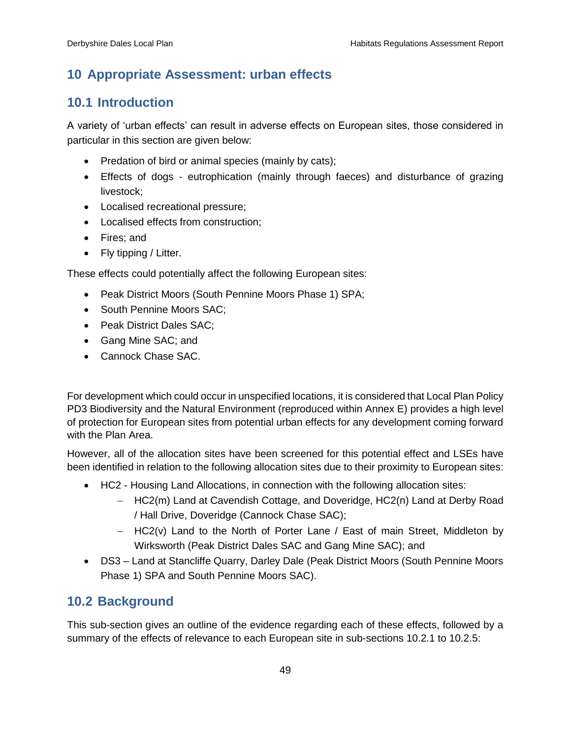## <span id="page-56-0"></span>**10 Appropriate Assessment: urban effects**

## <span id="page-56-1"></span>**10.1 Introduction**

A variety of 'urban effects' can result in adverse effects on European sites, those considered in particular in this section are given below:

- Predation of bird or animal species (mainly by cats);
- Effects of dogs eutrophication (mainly through faeces) and disturbance of grazing livestock;
- Localised recreational pressure;
- Localised effects from construction:
- Fires: and
- Fly tipping / Litter.

These effects could potentially affect the following European sites:

- Peak District Moors (South Pennine Moors Phase 1) SPA;
- South Pennine Moors SAC:
- Peak District Dales SAC;
- Gang Mine SAC; and
- Cannock Chase SAC.

For development which could occur in unspecified locations, it is considered that Local Plan Policy PD3 Biodiversity and the Natural Environment (reproduced within Annex E) provides a high level of protection for European sites from potential urban effects for any development coming forward with the Plan Area.

However, all of the allocation sites have been screened for this potential effect and LSEs have been identified in relation to the following allocation sites due to their proximity to European sites:

- HC2 Housing Land Allocations, in connection with the following allocation sites:
	- HC2(m) Land at Cavendish Cottage, and Doveridge, HC2(n) Land at Derby Road / Hall Drive, Doveridge (Cannock Chase SAC);
	- $-$  HC2(v) Land to the North of Porter Lane / East of main Street, Middleton by Wirksworth (Peak District Dales SAC and Gang Mine SAC); and
- DS3 Land at Stancliffe Quarry, Darley Dale (Peak District Moors (South Pennine Moors Phase 1) SPA and South Pennine Moors SAC).

## <span id="page-56-2"></span>**10.2 Background**

This sub-section gives an outline of the evidence regarding each of these effects, followed by a summary of the effects of relevance to each European site in sub-sections 10.2.1 to 10.2.5: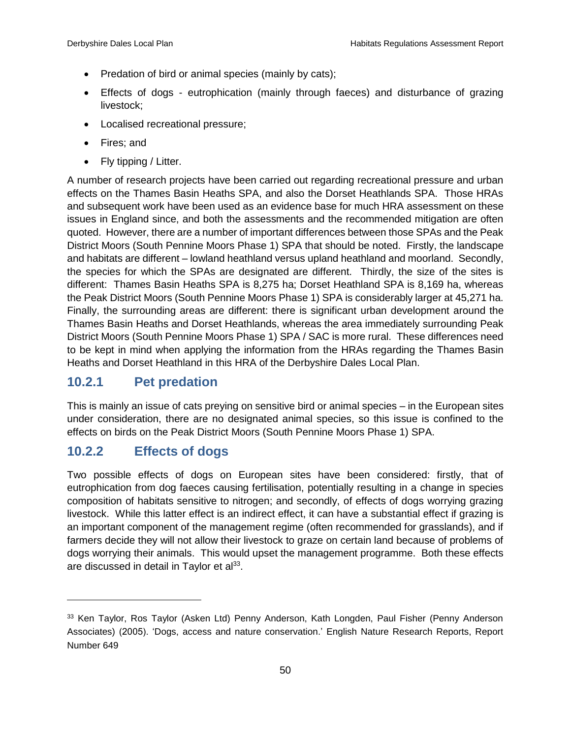- Predation of bird or animal species (mainly by cats);
- Effects of dogs eutrophication (mainly through faeces) and disturbance of grazing livestock;
- Localised recreational pressure;
- Fires; and
- Fly tipping / Litter.

A number of research projects have been carried out regarding recreational pressure and urban effects on the Thames Basin Heaths SPA, and also the Dorset Heathlands SPA. Those HRAs and subsequent work have been used as an evidence base for much HRA assessment on these issues in England since, and both the assessments and the recommended mitigation are often quoted. However, there are a number of important differences between those SPAs and the Peak District Moors (South Pennine Moors Phase 1) SPA that should be noted. Firstly, the landscape and habitats are different – lowland heathland versus upland heathland and moorland. Secondly, the species for which the SPAs are designated are different. Thirdly, the size of the sites is different: Thames Basin Heaths SPA is 8,275 ha; Dorset Heathland SPA is 8,169 ha, whereas the Peak District Moors (South Pennine Moors Phase 1) SPA is considerably larger at 45,271 ha. Finally, the surrounding areas are different: there is significant urban development around the Thames Basin Heaths and Dorset Heathlands, whereas the area immediately surrounding Peak District Moors (South Pennine Moors Phase 1) SPA / SAC is more rural. These differences need to be kept in mind when applying the information from the HRAs regarding the Thames Basin Heaths and Dorset Heathland in this HRA of the Derbyshire Dales Local Plan.

## <span id="page-57-0"></span>**10.2.1 Pet predation**

This is mainly an issue of cats preying on sensitive bird or animal species – in the European sites under consideration, there are no designated animal species, so this issue is confined to the effects on birds on the Peak District Moors (South Pennine Moors Phase 1) SPA.

## <span id="page-57-1"></span>**10.2.2 Effects of dogs**

 $\overline{a}$ 

Two possible effects of dogs on European sites have been considered: firstly, that of eutrophication from dog faeces causing fertilisation, potentially resulting in a change in species composition of habitats sensitive to nitrogen; and secondly, of effects of dogs worrying grazing livestock. While this latter effect is an indirect effect, it can have a substantial effect if grazing is an important component of the management regime (often recommended for grasslands), and if farmers decide they will not allow their livestock to graze on certain land because of problems of dogs worrying their animals. This would upset the management programme. Both these effects are discussed in detail in Taylor et al<sup>33</sup>.

<sup>33</sup> Ken Taylor, Ros Taylor (Asken Ltd) Penny Anderson, Kath Longden, Paul Fisher (Penny Anderson Associates) (2005). 'Dogs, access and nature conservation.' English Nature Research Reports, Report Number 649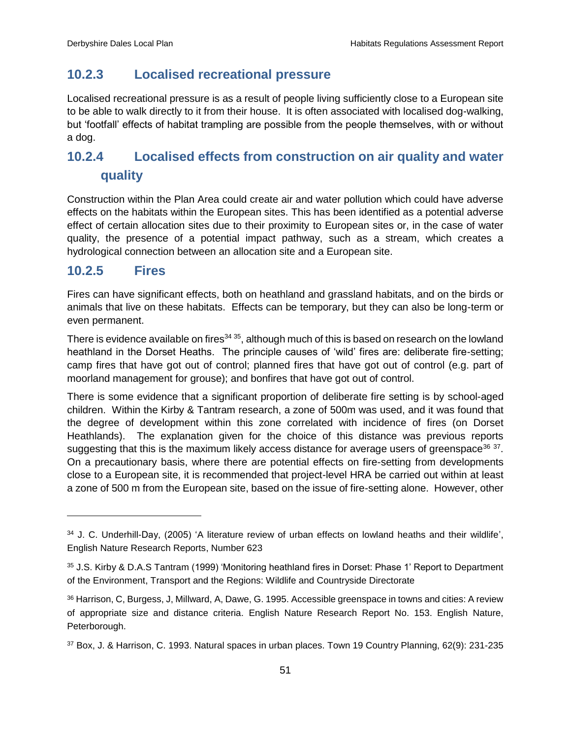## <span id="page-58-0"></span>**10.2.3 Localised recreational pressure**

Localised recreational pressure is as a result of people living sufficiently close to a European site to be able to walk directly to it from their house. It is often associated with localised dog-walking, but 'footfall' effects of habitat trampling are possible from the people themselves, with or without a dog.

# <span id="page-58-1"></span>**10.2.4 Localised effects from construction on air quality and water quality**

Construction within the Plan Area could create air and water pollution which could have adverse effects on the habitats within the European sites. This has been identified as a potential adverse effect of certain allocation sites due to their proximity to European sites or, in the case of water quality, the presence of a potential impact pathway, such as a stream, which creates a hydrological connection between an allocation site and a European site.

## <span id="page-58-2"></span>**10.2.5 Fires**

 $\overline{a}$ 

Fires can have significant effects, both on heathland and grassland habitats, and on the birds or animals that live on these habitats. Effects can be temporary, but they can also be long-term or even permanent.

There is evidence available on fires<sup>34 35</sup>, although much of this is based on research on the lowland heathland in the Dorset Heaths. The principle causes of 'wild' fires are: deliberate fire-setting; camp fires that have got out of control; planned fires that have got out of control (e.g. part of moorland management for grouse); and bonfires that have got out of control.

There is some evidence that a significant proportion of deliberate fire setting is by school-aged children. Within the Kirby & Tantram research, a zone of 500m was used, and it was found that the degree of development within this zone correlated with incidence of fires (on Dorset Heathlands). The explanation given for the choice of this distance was previous reports suggesting that this is the maximum likely access distance for average users of greenspace<sup>36</sup>  $37$ . On a precautionary basis, where there are potential effects on fire-setting from developments close to a European site, it is recommended that project-level HRA be carried out within at least a zone of 500 m from the European site, based on the issue of fire-setting alone. However, other

<sup>34</sup> J. C. Underhill-Day, (2005) 'A literature review of urban effects on lowland heaths and their wildlife', English Nature Research Reports, Number 623

<sup>35</sup> J.S. Kirby & D.A.S Tantram (1999) 'Monitoring heathland fires in Dorset: Phase 1' Report to Department of the Environment, Transport and the Regions: Wildlife and Countryside Directorate

<sup>36</sup> Harrison, C, Burgess, J, Millward, A, Dawe, G. 1995. Accessible greenspace in towns and cities: A review of appropriate size and distance criteria. English Nature Research Report No. 153. English Nature, Peterborough.

<sup>37</sup> Box, J. & Harrison, C. 1993. Natural spaces in urban places. Town 19 Country Planning, 62(9): 231-235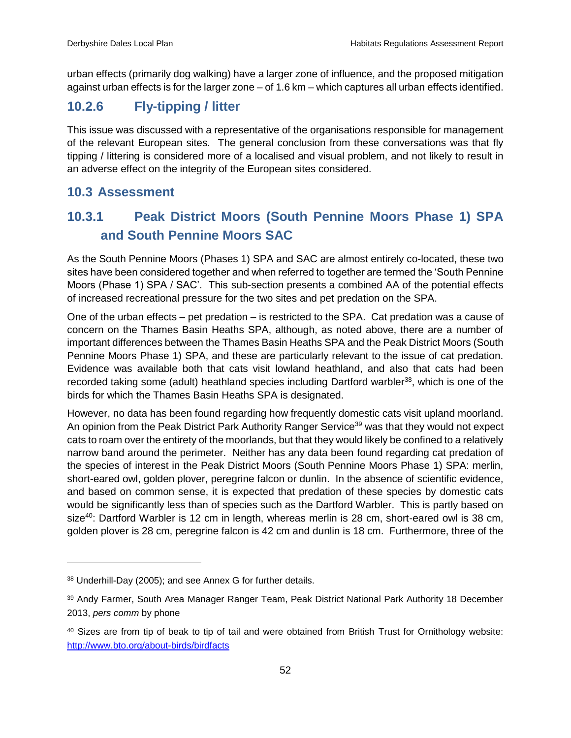urban effects (primarily dog walking) have a larger zone of influence, and the proposed mitigation against urban effects is for the larger zone – of 1.6 km – which captures all urban effects identified.

# <span id="page-59-0"></span>**10.2.6 Fly-tipping / litter**

This issue was discussed with a representative of the organisations responsible for management of the relevant European sites. The general conclusion from these conversations was that fly tipping / littering is considered more of a localised and visual problem, and not likely to result in an adverse effect on the integrity of the European sites considered.

## <span id="page-59-1"></span>**10.3 Assessment**

# <span id="page-59-2"></span>**10.3.1 Peak District Moors (South Pennine Moors Phase 1) SPA and South Pennine Moors SAC**

As the South Pennine Moors (Phases 1) SPA and SAC are almost entirely co-located, these two sites have been considered together and when referred to together are termed the 'South Pennine Moors (Phase 1) SPA / SAC'. This sub-section presents a combined AA of the potential effects of increased recreational pressure for the two sites and pet predation on the SPA.

One of the urban effects – pet predation – is restricted to the SPA. Cat predation was a cause of concern on the Thames Basin Heaths SPA, although, as noted above, there are a number of important differences between the Thames Basin Heaths SPA and the Peak District Moors (South Pennine Moors Phase 1) SPA, and these are particularly relevant to the issue of cat predation. Evidence was available both that cats visit lowland heathland, and also that cats had been recorded taking some (adult) heathland species including Dartford warbler<sup>38</sup>, which is one of the birds for which the Thames Basin Heaths SPA is designated.

However, no data has been found regarding how frequently domestic cats visit upland moorland. An opinion from the Peak District Park Authority Ranger Service<sup>39</sup> was that they would not expect cats to roam over the entirety of the moorlands, but that they would likely be confined to a relatively narrow band around the perimeter. Neither has any data been found regarding cat predation of the species of interest in the Peak District Moors (South Pennine Moors Phase 1) SPA: merlin, short-eared owl, golden plover, peregrine falcon or dunlin. In the absence of scientific evidence, and based on common sense, it is expected that predation of these species by domestic cats would be significantly less than of species such as the Dartford Warbler. This is partly based on size<sup>40</sup>: Dartford Warbler is 12 cm in length, whereas merlin is 28 cm, short-eared owl is 38 cm, golden plover is 28 cm, peregrine falcon is 42 cm and dunlin is 18 cm. Furthermore, three of the

<sup>38</sup> Underhill-Day (2005); and see Annex G for further details.

<sup>39</sup> Andy Farmer, South Area Manager Ranger Team, Peak District National Park Authority 18 December 2013, *pers comm* by phone

<sup>40</sup> Sizes are from tip of beak to tip of tail and were obtained from British Trust for Ornithology website: <http://www.bto.org/about-birds/birdfacts>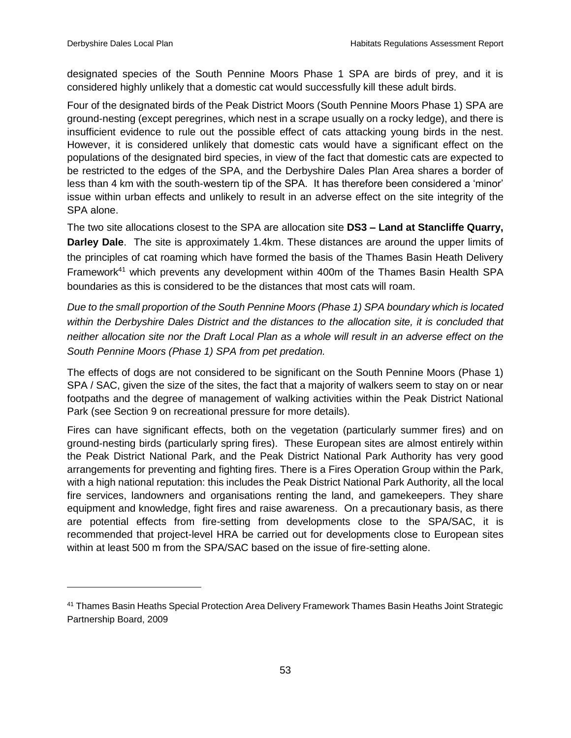$\overline{a}$ 

designated species of the South Pennine Moors Phase 1 SPA are birds of prey, and it is considered highly unlikely that a domestic cat would successfully kill these adult birds.

Four of the designated birds of the Peak District Moors (South Pennine Moors Phase 1) SPA are ground-nesting (except peregrines, which nest in a scrape usually on a rocky ledge), and there is insufficient evidence to rule out the possible effect of cats attacking young birds in the nest. However, it is considered unlikely that domestic cats would have a significant effect on the populations of the designated bird species, in view of the fact that domestic cats are expected to be restricted to the edges of the SPA, and the Derbyshire Dales Plan Area shares a border of less than 4 km with the south-western tip of the SPA. It has therefore been considered a 'minor' issue within urban effects and unlikely to result in an adverse effect on the site integrity of the SPA alone.

The two site allocations closest to the SPA are allocation site **DS3 – Land at Stancliffe Quarry, Darley Dale**. The site is approximately 1.4km. These distances are around the upper limits of the principles of cat roaming which have formed the basis of the Thames Basin Heath Delivery Framework<sup>41</sup> which prevents any development within 400m of the Thames Basin Health SPA boundaries as this is considered to be the distances that most cats will roam.

*Due to the small proportion of the South Pennine Moors (Phase 1) SPA boundary which is located within the Derbyshire Dales District and the distances to the allocation site, it is concluded that neither allocation site nor the Draft Local Plan as a whole will result in an adverse effect on the South Pennine Moors (Phase 1) SPA from pet predation.* 

The effects of dogs are not considered to be significant on the South Pennine Moors (Phase 1) SPA / SAC, given the size of the sites, the fact that a majority of walkers seem to stay on or near footpaths and the degree of management of walking activities within the Peak District National Park (see Section 9 on recreational pressure for more details).

Fires can have significant effects, both on the vegetation (particularly summer fires) and on ground-nesting birds (particularly spring fires). These European sites are almost entirely within the Peak District National Park, and the Peak District National Park Authority has very good arrangements for preventing and fighting fires. There is a Fires Operation Group within the Park, with a high national reputation: this includes the Peak District National Park Authority, all the local fire services, landowners and organisations renting the land, and gamekeepers. They share equipment and knowledge, fight fires and raise awareness. On a precautionary basis, as there are potential effects from fire-setting from developments close to the SPA/SAC, it is recommended that project-level HRA be carried out for developments close to European sites within at least 500 m from the SPA/SAC based on the issue of fire-setting alone.

<sup>41</sup> Thames Basin Heaths Special Protection Area Delivery Framework Thames Basin Heaths Joint Strategic Partnership Board, 2009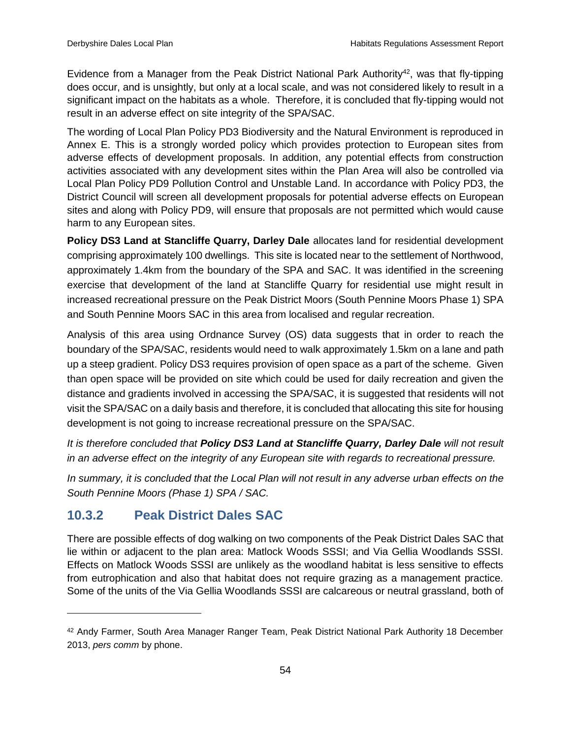Evidence from a Manager from the Peak District National Park Authority<sup>42</sup>, was that fly-tipping does occur, and is unsightly, but only at a local scale, and was not considered likely to result in a significant impact on the habitats as a whole. Therefore, it is concluded that fly-tipping would not result in an adverse effect on site integrity of the SPA/SAC.

The wording of Local Plan Policy PD3 Biodiversity and the Natural Environment is reproduced in Annex E. This is a strongly worded policy which provides protection to European sites from adverse effects of development proposals. In addition, any potential effects from construction activities associated with any development sites within the Plan Area will also be controlled via Local Plan Policy PD9 Pollution Control and Unstable Land. In accordance with Policy PD3, the District Council will screen all development proposals for potential adverse effects on European sites and along with Policy PD9, will ensure that proposals are not permitted which would cause harm to any European sites.

**Policy DS3 Land at Stancliffe Quarry, Darley Dale** allocates land for residential development comprising approximately 100 dwellings. This site is located near to the settlement of Northwood, approximately 1.4km from the boundary of the SPA and SAC. It was identified in the screening exercise that development of the land at Stancliffe Quarry for residential use might result in increased recreational pressure on the Peak District Moors (South Pennine Moors Phase 1) SPA and South Pennine Moors SAC in this area from localised and regular recreation.

Analysis of this area using Ordnance Survey (OS) data suggests that in order to reach the boundary of the SPA/SAC, residents would need to walk approximately 1.5km on a lane and path up a steep gradient. Policy DS3 requires provision of open space as a part of the scheme. Given than open space will be provided on site which could be used for daily recreation and given the distance and gradients involved in accessing the SPA/SAC, it is suggested that residents will not visit the SPA/SAC on a daily basis and therefore, it is concluded that allocating this site for housing development is not going to increase recreational pressure on the SPA/SAC.

*It is therefore concluded that Policy DS3 Land at Stancliffe Quarry, Darley Dale will not result in an adverse effect on the integrity of any European site with regards to recreational pressure.* 

*In summary, it is concluded that the Local Plan will not result in any adverse urban effects on the South Pennine Moors (Phase 1) SPA / SAC.*

## <span id="page-61-0"></span>**10.3.2 Peak District Dales SAC**

 $\overline{a}$ 

There are possible effects of dog walking on two components of the Peak District Dales SAC that lie within or adjacent to the plan area: Matlock Woods SSSI; and Via Gellia Woodlands SSSI. Effects on Matlock Woods SSSI are unlikely as the woodland habitat is less sensitive to effects from eutrophication and also that habitat does not require grazing as a management practice. Some of the units of the Via Gellia Woodlands SSSI are calcareous or neutral grassland, both of

<sup>42</sup> Andy Farmer, South Area Manager Ranger Team, Peak District National Park Authority 18 December 2013, *pers comm* by phone.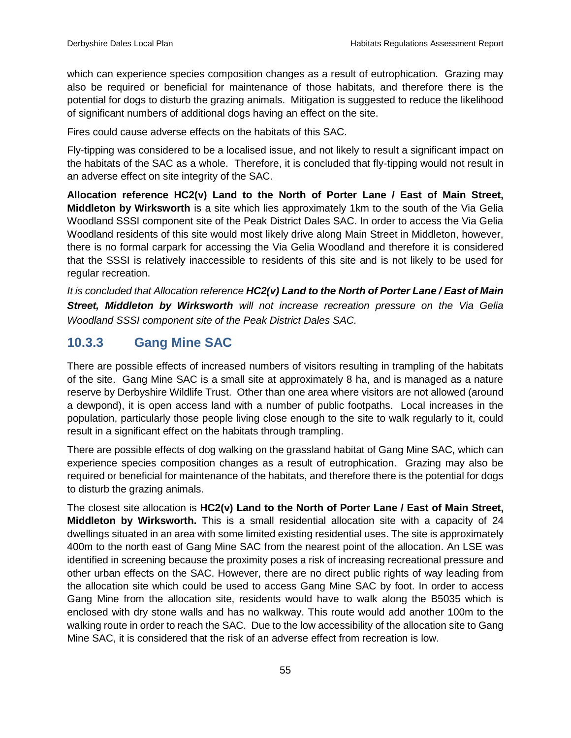which can experience species composition changes as a result of eutrophication. Grazing may also be required or beneficial for maintenance of those habitats, and therefore there is the potential for dogs to disturb the grazing animals. Mitigation is suggested to reduce the likelihood of significant numbers of additional dogs having an effect on the site.

Fires could cause adverse effects on the habitats of this SAC.

Fly-tipping was considered to be a localised issue, and not likely to result a significant impact on the habitats of the SAC as a whole. Therefore, it is concluded that fly-tipping would not result in an adverse effect on site integrity of the SAC.

**Allocation reference HC2(v) Land to the North of Porter Lane / East of Main Street, Middleton by Wirksworth** is a site which lies approximately 1km to the south of the Via Gelia Woodland SSSI component site of the Peak District Dales SAC. In order to access the Via Gelia Woodland residents of this site would most likely drive along Main Street in Middleton, however, there is no formal carpark for accessing the Via Gelia Woodland and therefore it is considered that the SSSI is relatively inaccessible to residents of this site and is not likely to be used for regular recreation.

*It is concluded that Allocation reference HC2(v) Land to the North of Porter Lane / East of Main Street, Middleton by Wirksworth will not increase recreation pressure on the Via Gelia Woodland SSSI component site of the Peak District Dales SAC.*

## <span id="page-62-0"></span>**10.3.3 Gang Mine SAC**

There are possible effects of increased numbers of visitors resulting in trampling of the habitats of the site. Gang Mine SAC is a small site at approximately 8 ha, and is managed as a nature reserve by Derbyshire Wildlife Trust. Other than one area where visitors are not allowed (around a dewpond), it is open access land with a number of public footpaths. Local increases in the population, particularly those people living close enough to the site to walk regularly to it, could result in a significant effect on the habitats through trampling.

There are possible effects of dog walking on the grassland habitat of Gang Mine SAC, which can experience species composition changes as a result of eutrophication. Grazing may also be required or beneficial for maintenance of the habitats, and therefore there is the potential for dogs to disturb the grazing animals.

The closest site allocation is **HC2(v) Land to the North of Porter Lane / East of Main Street, Middleton by Wirksworth.** This is a small residential allocation site with a capacity of 24 dwellings situated in an area with some limited existing residential uses. The site is approximately 400m to the north east of Gang Mine SAC from the nearest point of the allocation. An LSE was identified in screening because the proximity poses a risk of increasing recreational pressure and other urban effects on the SAC. However, there are no direct public rights of way leading from the allocation site which could be used to access Gang Mine SAC by foot. In order to access Gang Mine from the allocation site, residents would have to walk along the B5035 which is enclosed with dry stone walls and has no walkway. This route would add another 100m to the walking route in order to reach the SAC. Due to the low accessibility of the allocation site to Gang Mine SAC, it is considered that the risk of an adverse effect from recreation is low.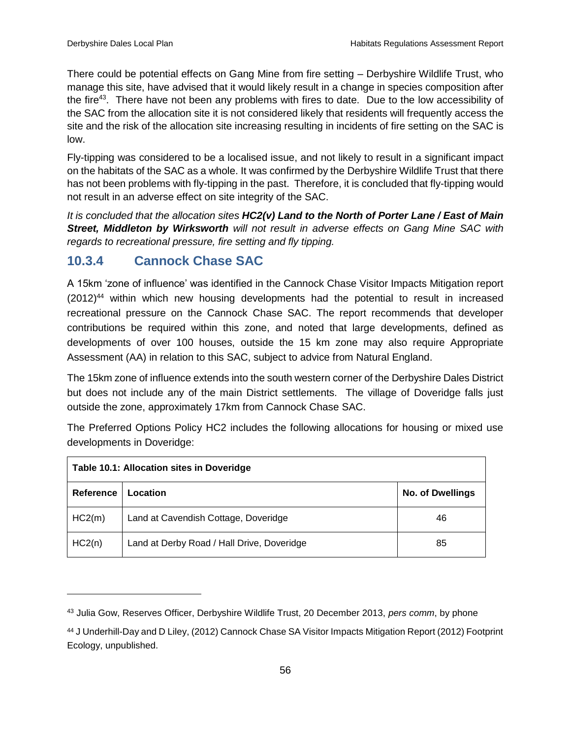$\overline{a}$ 

There could be potential effects on Gang Mine from fire setting – Derbyshire Wildlife Trust, who manage this site, have advised that it would likely result in a change in species composition after the fire<sup>43</sup>. There have not been any problems with fires to date. Due to the low accessibility of the SAC from the allocation site it is not considered likely that residents will frequently access the site and the risk of the allocation site increasing resulting in incidents of fire setting on the SAC is low.

Fly-tipping was considered to be a localised issue, and not likely to result in a significant impact on the habitats of the SAC as a whole. It was confirmed by the Derbyshire Wildlife Trust that there has not been problems with fly-tipping in the past. Therefore, it is concluded that fly-tipping would not result in an adverse effect on site integrity of the SAC.

*It is concluded that the allocation sites HC2(v) Land to the North of Porter Lane / East of Main Street, Middleton by Wirksworth will not result in adverse effects on Gang Mine SAC with regards to recreational pressure, fire setting and fly tipping.*

## <span id="page-63-0"></span>**10.3.4 Cannock Chase SAC**

A 15km 'zone of influence' was identified in the Cannock Chase Visitor Impacts Mitigation report  $(2012)^{44}$  within which new housing developments had the potential to result in increased recreational pressure on the Cannock Chase SAC. The report recommends that developer contributions be required within this zone, and noted that large developments, defined as developments of over 100 houses, outside the 15 km zone may also require Appropriate Assessment (AA) in relation to this SAC, subject to advice from Natural England.

The 15km zone of influence extends into the south western corner of the Derbyshire Dales District but does not include any of the main District settlements. The village of Doveridge falls just outside the zone, approximately 17km from Cannock Chase SAC.

The Preferred Options Policy HC2 includes the following allocations for housing or mixed use developments in Doveridge:

| Table 10.1: Allocation sites in Doveridge |                                            |                         |  |  |  |
|-------------------------------------------|--------------------------------------------|-------------------------|--|--|--|
| Reference                                 | Location                                   | <b>No. of Dwellings</b> |  |  |  |
| HC2(m)                                    | Land at Cavendish Cottage, Doveridge       | 46                      |  |  |  |
| HC2(n)                                    | Land at Derby Road / Hall Drive, Doveridge | 85                      |  |  |  |

<sup>43</sup> Julia Gow, Reserves Officer, Derbyshire Wildlife Trust, 20 December 2013, *pers comm*, by phone

<sup>44</sup> J Underhill-Day and D Liley, (2012) Cannock Chase SA Visitor Impacts Mitigation Report (2012) Footprint Ecology, unpublished.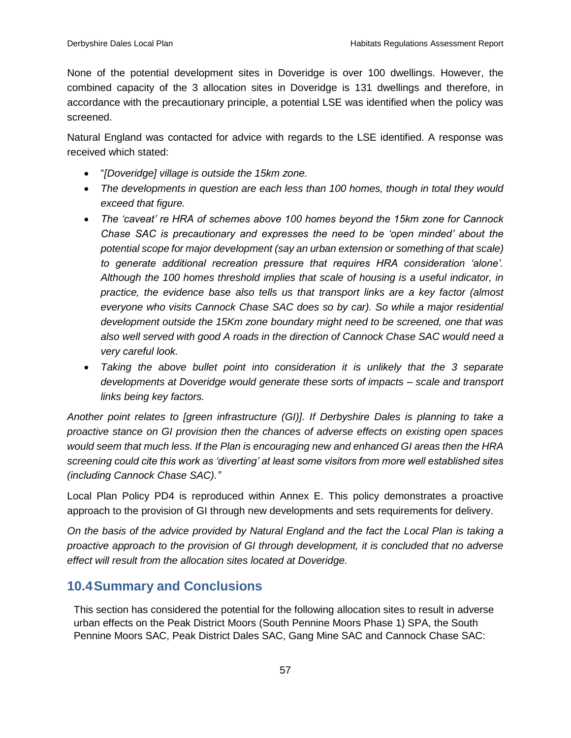None of the potential development sites in Doveridge is over 100 dwellings. However, the combined capacity of the 3 allocation sites in Doveridge is 131 dwellings and therefore, in accordance with the precautionary principle, a potential LSE was identified when the policy was screened.

Natural England was contacted for advice with regards to the LSE identified. A response was received which stated:

- "*[Doveridge] village is outside the 15km zone.*
- *The developments in question are each less than 100 homes, though in total they would exceed that figure.*
- *The 'caveat' re HRA of schemes above 100 homes beyond the 15km zone for Cannock Chase SAC is precautionary and expresses the need to be 'open minded' about the potential scope for major development (say an urban extension or something of that scale) to generate additional recreation pressure that requires HRA consideration 'alone'. Although the 100 homes threshold implies that scale of housing is a useful indicator, in practice, the evidence base also tells us that transport links are a key factor (almost everyone who visits Cannock Chase SAC does so by car). So while a major residential development outside the 15Km zone boundary might need to be screened, one that was also well served with good A roads in the direction of Cannock Chase SAC would need a very careful look.*
- Taking the above bullet point into consideration it is unlikely that the 3 separate *developments at Doveridge would generate these sorts of impacts – scale and transport links being key factors.*

*Another point relates to [green infrastructure (GI)]. If Derbyshire Dales is planning to take a proactive stance on GI provision then the chances of adverse effects on existing open spaces would seem that much less. If the Plan is encouraging new and enhanced GI areas then the HRA screening could cite this work as 'diverting' at least some visitors from more well established sites (including Cannock Chase SAC)."*

Local Plan Policy PD4 is reproduced within Annex E. This policy demonstrates a proactive approach to the provision of GI through new developments and sets requirements for delivery.

*On the basis of the advice provided by Natural England and the fact the Local Plan is taking a proactive approach to the provision of GI through development, it is concluded that no adverse effect will result from the allocation sites located at Doveridge.* 

## <span id="page-64-0"></span>**10.4Summary and Conclusions**

This section has considered the potential for the following allocation sites to result in adverse urban effects on the Peak District Moors (South Pennine Moors Phase 1) SPA, the South Pennine Moors SAC, Peak District Dales SAC, Gang Mine SAC and Cannock Chase SAC: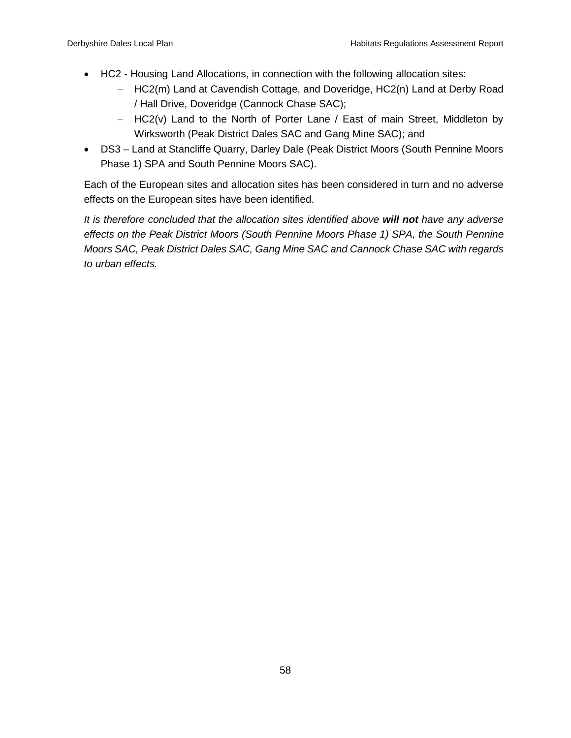- HC2 Housing Land Allocations, in connection with the following allocation sites:
	- HC2(m) Land at Cavendish Cottage, and Doveridge, HC2(n) Land at Derby Road / Hall Drive, Doveridge (Cannock Chase SAC);
	- $-$  HC2(v) Land to the North of Porter Lane / East of main Street, Middleton by Wirksworth (Peak District Dales SAC and Gang Mine SAC); and
- DS3 Land at Stancliffe Quarry, Darley Dale (Peak District Moors (South Pennine Moors Phase 1) SPA and South Pennine Moors SAC).

Each of the European sites and allocation sites has been considered in turn and no adverse effects on the European sites have been identified.

*It is therefore concluded that the allocation sites identified above will not have any adverse effects on the Peak District Moors (South Pennine Moors Phase 1) SPA, the South Pennine Moors SAC, Peak District Dales SAC, Gang Mine SAC and Cannock Chase SAC with regards to urban effects.*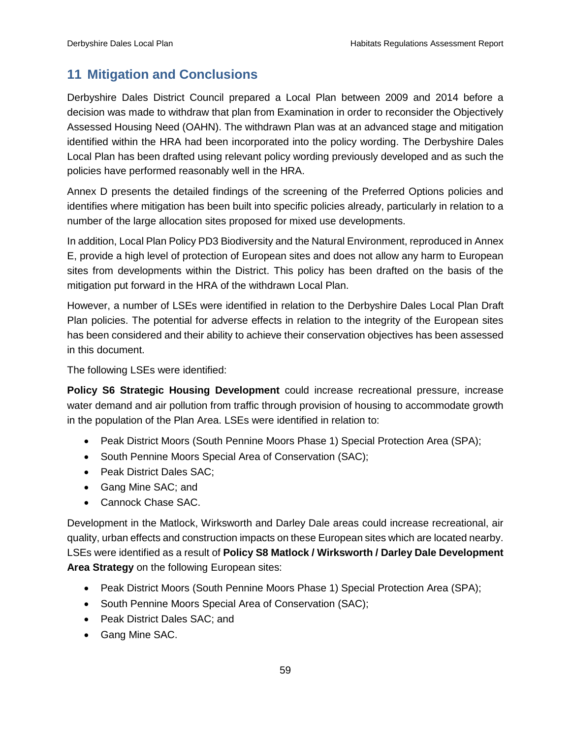## <span id="page-66-0"></span>**11 Mitigation and Conclusions**

Derbyshire Dales District Council prepared a Local Plan between 2009 and 2014 before a decision was made to withdraw that plan from Examination in order to reconsider the Objectively Assessed Housing Need (OAHN). The withdrawn Plan was at an advanced stage and mitigation identified within the HRA had been incorporated into the policy wording. The Derbyshire Dales Local Plan has been drafted using relevant policy wording previously developed and as such the policies have performed reasonably well in the HRA.

Annex D presents the detailed findings of the screening of the Preferred Options policies and identifies where mitigation has been built into specific policies already, particularly in relation to a number of the large allocation sites proposed for mixed use developments.

In addition, Local Plan Policy PD3 Biodiversity and the Natural Environment, reproduced in Annex E, provide a high level of protection of European sites and does not allow any harm to European sites from developments within the District. This policy has been drafted on the basis of the mitigation put forward in the HRA of the withdrawn Local Plan.

However, a number of LSEs were identified in relation to the Derbyshire Dales Local Plan Draft Plan policies. The potential for adverse effects in relation to the integrity of the European sites has been considered and their ability to achieve their conservation objectives has been assessed in this document.

The following LSEs were identified:

**Policy S6 Strategic Housing Development** could increase recreational pressure, increase water demand and air pollution from traffic through provision of housing to accommodate growth in the population of the Plan Area. LSEs were identified in relation to:

- Peak District Moors (South Pennine Moors Phase 1) Special Protection Area (SPA);
- South Pennine Moors Special Area of Conservation (SAC);
- Peak District Dales SAC;
- Gang Mine SAC; and
- Cannock Chase SAC.

Development in the Matlock, Wirksworth and Darley Dale areas could increase recreational, air quality, urban effects and construction impacts on these European sites which are located nearby. LSEs were identified as a result of **Policy S8 Matlock / Wirksworth / Darley Dale Development Area Strategy** on the following European sites:

- Peak District Moors (South Pennine Moors Phase 1) Special Protection Area (SPA);
- South Pennine Moors Special Area of Conservation (SAC);
- Peak District Dales SAC; and
- Gang Mine SAC.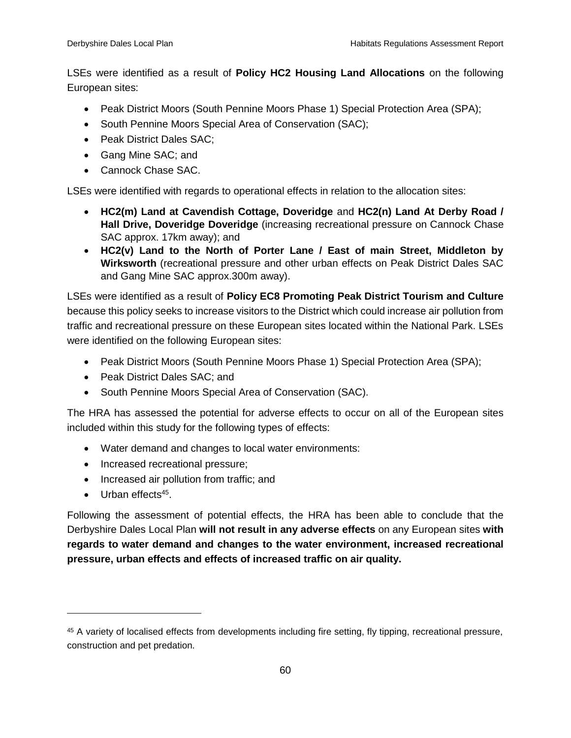LSEs were identified as a result of **Policy HC2 Housing Land Allocations** on the following European sites:

- Peak District Moors (South Pennine Moors Phase 1) Special Protection Area (SPA);
- South Pennine Moors Special Area of Conservation (SAC);
- Peak District Dales SAC:
- Gang Mine SAC; and
- Cannock Chase SAC.

LSEs were identified with regards to operational effects in relation to the allocation sites:

- **HC2(m) Land at Cavendish Cottage, Doveridge** and **HC2(n) Land At Derby Road / Hall Drive, Doveridge Doveridge** (increasing recreational pressure on Cannock Chase SAC approx. 17km away); and
- **HC2(v) Land to the North of Porter Lane / East of main Street, Middleton by Wirksworth** (recreational pressure and other urban effects on Peak District Dales SAC and Gang Mine SAC approx.300m away).

LSEs were identified as a result of **Policy EC8 Promoting Peak District Tourism and Culture** because this policy seeks to increase visitors to the District which could increase air pollution from traffic and recreational pressure on these European sites located within the National Park. LSEs were identified on the following European sites:

- Peak District Moors (South Pennine Moors Phase 1) Special Protection Area (SPA);
- Peak District Dales SAC: and
- South Pennine Moors Special Area of Conservation (SAC).

The HRA has assessed the potential for adverse effects to occur on all of the European sites included within this study for the following types of effects:

- Water demand and changes to local water environments:
- Increased recreational pressure;
- Increased air pollution from traffic; and
- Urban effects<sup>45</sup>.

 $\overline{a}$ 

Following the assessment of potential effects, the HRA has been able to conclude that the Derbyshire Dales Local Plan **will not result in any adverse effects** on any European sites **with regards to water demand and changes to the water environment, increased recreational pressure, urban effects and effects of increased traffic on air quality.**

<sup>45</sup> A variety of localised effects from developments including fire setting, fly tipping, recreational pressure, construction and pet predation.